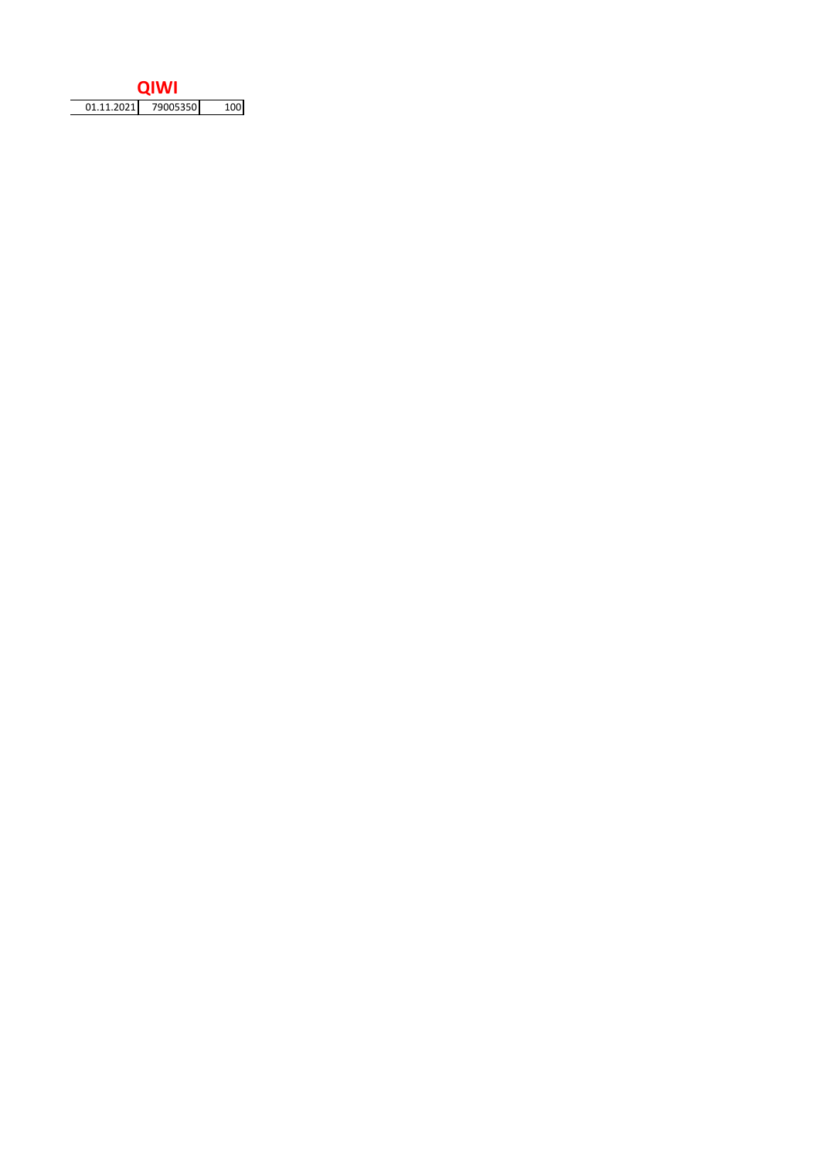| 79005350<br>01.11.2021 |
|------------------------|
|                        |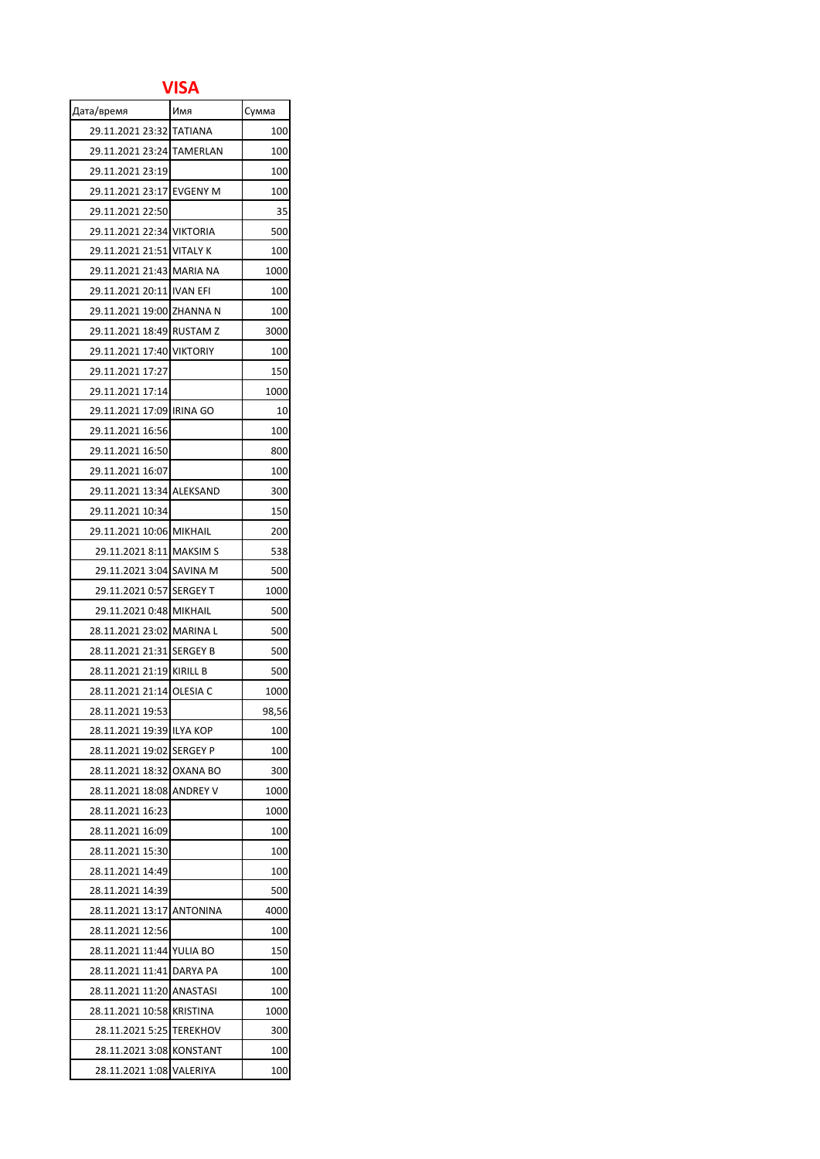## **VISA**

| Дата/время                | Имя             | Сумма |
|---------------------------|-----------------|-------|
| 29.11.2021 23:32          | <b>TATIANA</b>  | 100   |
| 29.11.2021 23:24 TAMERLAN |                 | 100   |
| 29.11.2021 23:19          |                 | 100   |
| 29.11.2021 23:17 EVGENY M |                 | 100   |
| 29.11.2021 22:50          |                 | 35    |
| 29.11.2021 22:34 VIKTORIA |                 | 500   |
| 29.11.2021 21:51 VITALY K |                 | 100   |
| 29.11.2021 21:43 MARIA NA |                 | 1000  |
| 29.11.2021 20:11 IVAN EFI |                 | 100   |
| 29.11.2021 19:00 ZHANNA N |                 | 100   |
| 29.11.2021 18:49 RUSTAM Z |                 | 3000  |
| 29.11.2021 17:40 VIKTORIY |                 | 100   |
| 29.11.2021 17:27          |                 | 150   |
| 29.11.2021 17:14          |                 | 1000  |
| 29.11.2021 17:09 IRINA GO |                 | 10    |
| 29.11.2021 16:56          |                 | 100   |
| 29.11.2021 16:50          |                 | 800   |
| 29.11.2021 16:07          |                 | 100   |
| 29.11.2021 13:34 ALEKSAND |                 | 300   |
| 29.11.2021 10:34          |                 | 150   |
| 29.11.2021 10:06 MIKHAIL  |                 | 200   |
| 29.11.2021 8:11 MAKSIM S  |                 | 538   |
| 29.11.2021 3:04 SAVINA M  |                 | 500   |
| 29.11.2021 0:57 SERGEY T  |                 | 1000  |
| 29.11.2021 0:48 MIKHAIL   |                 | 500   |
| 28.11.2021 23:02 MARINA L |                 | 500   |
| 28.11.2021 21:31 SERGEY B |                 | 500   |
| 28.11.2021 21:19 KIRILL B |                 | 500   |
| 28.11.2021 21:14 OLESIA C |                 | 1000  |
| 28.11.2021 19:53          |                 | 98,56 |
| 28.11.2021 19:39 ILYA KOP |                 | 100   |
| 28.11.2021 19:02 SERGEY P |                 | 100   |
| 28.11.2021 18:32 OXANA BO |                 | 300   |
| 28.11.2021 18:08 ANDREY V |                 | 1000  |
| 28.11.2021 16:23          |                 | 1000  |
| 28.11.2021 16:09          |                 | 100   |
| 28.11.2021 15:30          |                 | 100   |
| 28.11.2021 14:49          |                 | 100   |
| 28.11.2021 14:39          |                 | 500   |
| 28.11.2021 13:17          | <b>ANTONINA</b> | 4000  |
| 28.11.2021 12:56          |                 | 100   |
| 28.11.2021 11:44          | YULIA BO        | 150   |
| 28.11.2021 11:41          | DARYA PA        | 100   |
| 28.11.2021 11:20          | ANASTASI        | 100   |
| 28.11.2021 10:58          | <b>KRISTINA</b> | 1000  |
| 28.11.2021 5:25           | <b>TEREKHOV</b> | 300   |
| 28.11.2021 3:08           | <b>KONSTANT</b> | 100   |
| 28.11.2021 1:08           | VALERIYA        | 100   |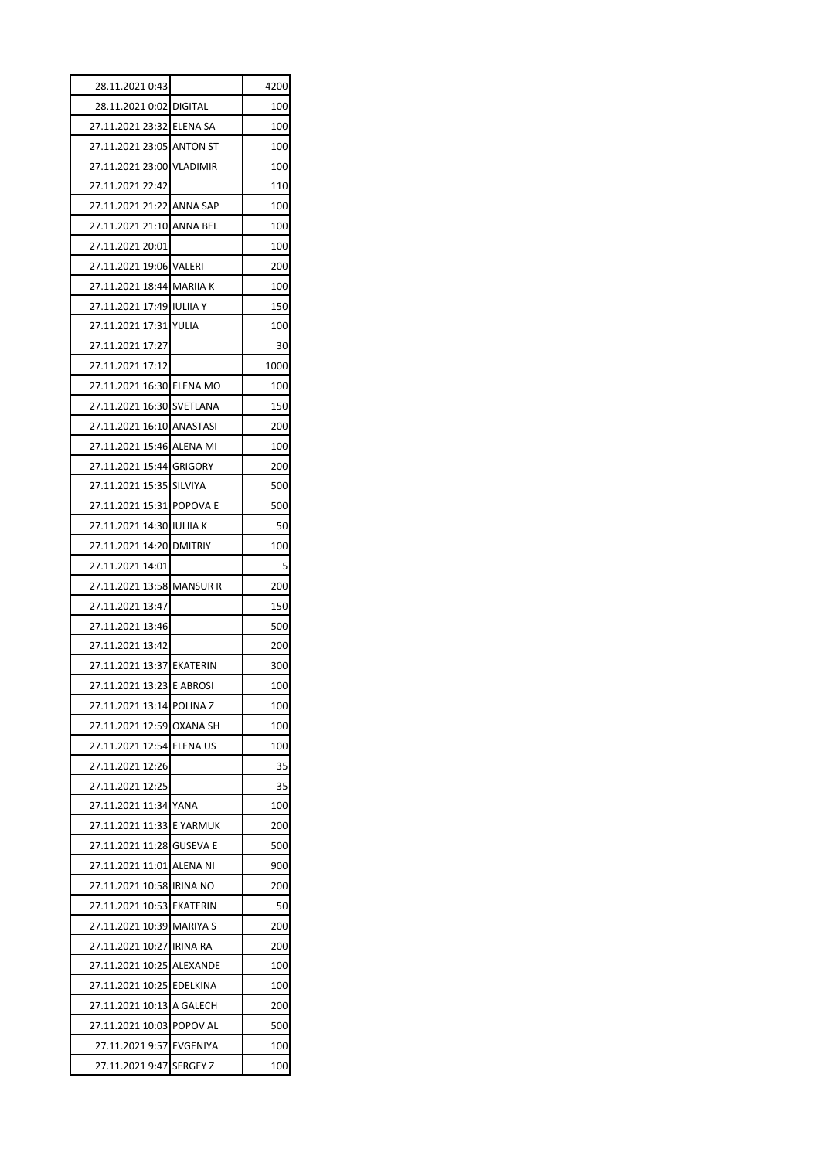| 28.11.2021 0:43           |                     | 4200 |
|---------------------------|---------------------|------|
| 28.11.2021 0:02 DIGITAL   |                     | 100  |
| 27.11.2021 23:32 ELENA SA |                     | 100  |
| 27.11.2021 23:05          | <b>ANTON ST</b>     | 100  |
| 27.11.2021 23:00          | <b>VLADIMIR</b>     | 100  |
| 27.11.2021 22:42          |                     | 110  |
| 27.11.2021 21:22 ANNA SAP |                     | 100  |
| 27.11.2021 21:10 ANNA BEL |                     | 100  |
| 27.11.2021 20:01          |                     | 100  |
| 27.11.2021 19:06 VALERI   |                     | 200  |
| 27.11.2021 18:44 MARIIA K |                     | 100  |
| 27.11.2021 17:49 IULIIA Y |                     | 150  |
| 27.11.2021 17:31 YULIA    |                     | 100  |
| 27.11.2021 17:27          |                     | 30   |
| 27.11.2021 17:12          |                     | 1000 |
| 27.11.2021 16:30 ELENA MO |                     | 100  |
| 27.11.2021 16:30 SVETLANA |                     | 150  |
| 27.11.2021 16:10 ANASTASI |                     | 200  |
| 27.11.2021 15:46 ALENA MI |                     | 100  |
| 27.11.2021 15:44 GRIGORY  |                     | 200  |
| 27.11.2021 15:35          | <b>SILVIYA</b>      | 500  |
| 27.11.2021 15:31 POPOVA E |                     | 500  |
| 27.11.2021 14:30 IULIIA K |                     | 50   |
| 27.11.2021 14:20          | <b>DMITRIY</b>      | 100  |
| 27.11.2021 14:01          |                     | 5    |
| 27.11.2021 13:58          | <b>MANSUR R</b>     | 200  |
| 27.11.2021 13:47          |                     | 150  |
| 27.11.2021 13:46          |                     | 500  |
| 27.11.2021 13:42          |                     | 200  |
| 27.11.2021 13:37 EKATERIN |                     | 300  |
| 27.11.2021 13:23 E ABROSI |                     | 100  |
| 27.11.2021 13:14          | POLINA <sub>Z</sub> | 100  |
| 27.11.2021 12:59          | <b>OXANA SH</b>     | 100  |
| 27.11.2021 12:54          | <b>ELENA US</b>     | 100  |
| 27.11.2021 12:26          |                     | 35   |
| 27.11.2021 12:25          |                     | 35   |
| 27.11.2021 11:34          | YANA                | 100  |
| 27.11.2021 11:33          | E YARMUK            | 200  |
| 27.11.2021 11:28          | <b>GUSEVA E</b>     | 500  |
| 27.11.2021 11:01          | ALENA NI            | 900  |
| 27.11.2021 10:58          | IRINA NO            | 200  |
| 27.11.2021 10:53          | EKATERIN            | 50   |
| 27.11.2021 10:39          | <b>MARIYA S</b>     | 200  |
| 27.11.2021 10:27          | <b>IRINA RA</b>     | 200  |
| 27.11.2021 10:25          | ALEXANDE            | 100  |
| 27.11.2021 10:25          | <b>EDELKINA</b>     | 100  |
| 27.11.2021 10:13          | A GALECH            | 200  |
| 27.11.2021 10:03          | POPOV AL            | 500  |
| 27.11.2021 9:57           | EVGENIYA            | 100  |
| 27.11.2021 9:47           | <b>SERGEY Z</b>     | 100  |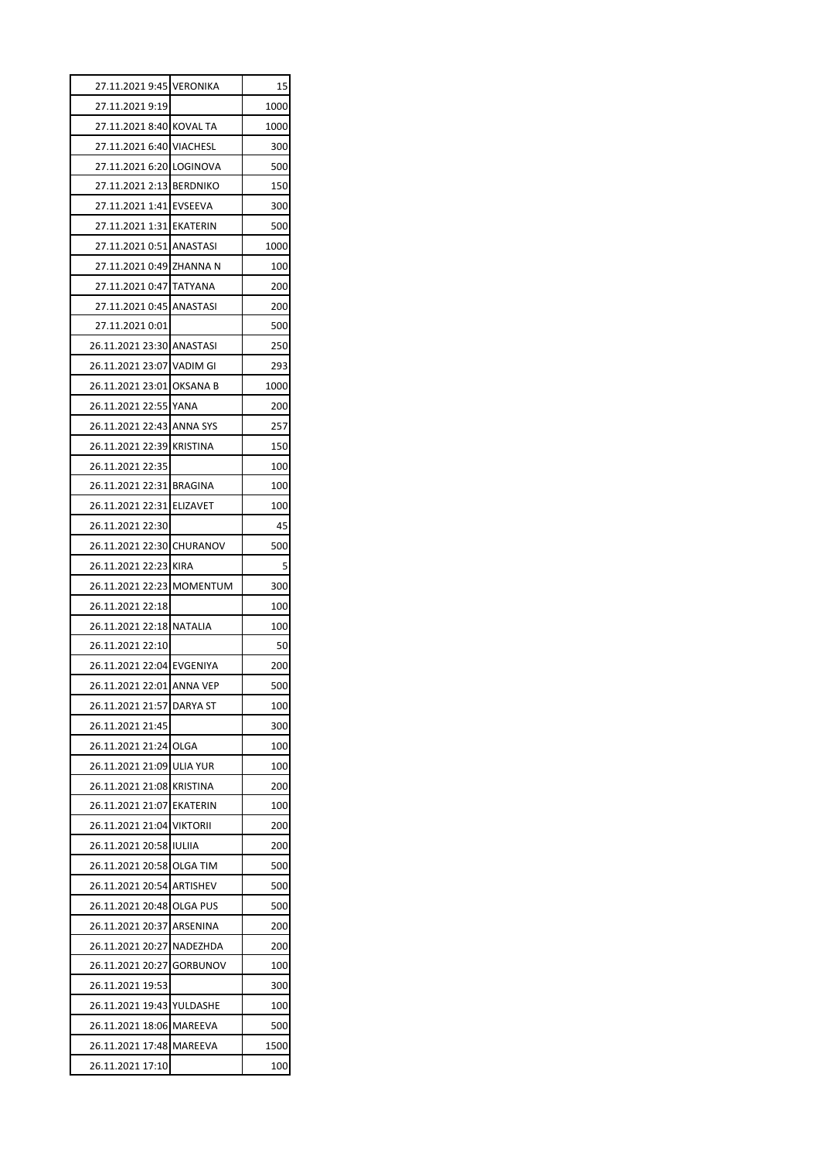| 27.11.2021 9:45 VERONIKA                             |          | 15          |
|------------------------------------------------------|----------|-------------|
| 27.11.2021 9:19                                      |          | 1000        |
| 27.11.2021 8:40 KOVAL TA                             |          | 1000        |
| 27.11.2021 6:40 VIACHESL                             |          | 300         |
| 27.11.2021 6:20 LOGINOVA                             |          | 500         |
| 27.11.2021 2:13 BERDNIKO                             |          | 150         |
| 27.11.2021 1:41 EVSEEVA                              |          | 300         |
| 27.11.2021 1:31 EKATERIN                             |          | 500         |
| 27.11.2021 0:51 ANASTASI                             |          | 1000        |
| 27.11.2021  0:49 ZHANNA N                            |          | 100         |
| 27.11.2021 0:47 TATYANA                              |          | 200         |
| 27.11.2021 0:45 ANASTASI                             |          | 200         |
| 27.11.2021 0:01                                      |          | 500         |
| 26.11.2021 23:30 ANASTASI                            |          | 250         |
| 26.11.2021 23:07 VADIM GI                            |          | 293         |
| 26.11.2021 23:01 OKSANA B                            |          | 1000        |
| 26.11.2021 22:55 YANA                                |          | 200         |
| 26.11.2021 22:43 ANNA SYS                            |          | 257         |
| 26.11.2021 22:39 KRISTINA                            |          | 150         |
| 26.11.2021 22:35                                     |          | 100         |
| 26.11.2021 22:31 BRAGINA                             |          | 100         |
| 26.11.2021 22:31 ELIZAVET                            |          | 100         |
| 26.11.2021 22:30                                     |          | 45          |
| 26.11.2021 22:30 CHURANOV                            |          | 500         |
| 26.11.2021 22:23 KIRA                                |          | 5           |
| 26.11.2021 22:23 MOMENTUM                            |          | 300         |
| 26.11.2021 22:18                                     |          | 100         |
| 26.11.2021 22:18 NATALIA                             |          | 100         |
| 26.11.2021 22:10                                     |          | 50          |
| 26.11.2021 22:04 EVGENIYA                            |          | 200         |
| 26.11.2021 22:01 ANNA VEP                            |          | 500         |
| 26.11.2021 21:57 DARYA ST                            |          | 100         |
| 26.11.2021 21:45                                     |          | 300         |
| 26.11.2021 21:24 OLGA                                |          | 100         |
| 26.11.2021 21:09 ULIA YUR                            |          | 100         |
| 26.11.2021 21:08 KRISTINA                            |          | 200         |
| 26.11.2021 21:07 EKATERIN                            |          | 100         |
| 26.11.2021 21:04 VIKTORII                            |          | 200         |
| 26.11.2021 20:58 IULIIA                              |          | 200         |
| 26.11.2021 20:58 OLGA TIM                            |          | 500         |
| 26.11.2021 20:54 ARTISHEV                            |          | 500         |
| 26.11.2021 20:48 OLGA PUS                            |          | 500         |
| 26.11.2021 20:37                                     | ARSENINA | 200         |
| 26.11.2021 20:27                                     | NADEZHDA | 200         |
| 26.11.2021 20:27                                     | GORBUNOV | 100         |
| 26.11.2021 19:53                                     |          | 300         |
|                                                      |          |             |
|                                                      |          |             |
| 26.11.2021 19:43 YULDASHE                            |          | 100         |
| 26.11.2021 18:06 MAREEVA<br>26.11.2021 17:48 MAREEVA |          | 500<br>1500 |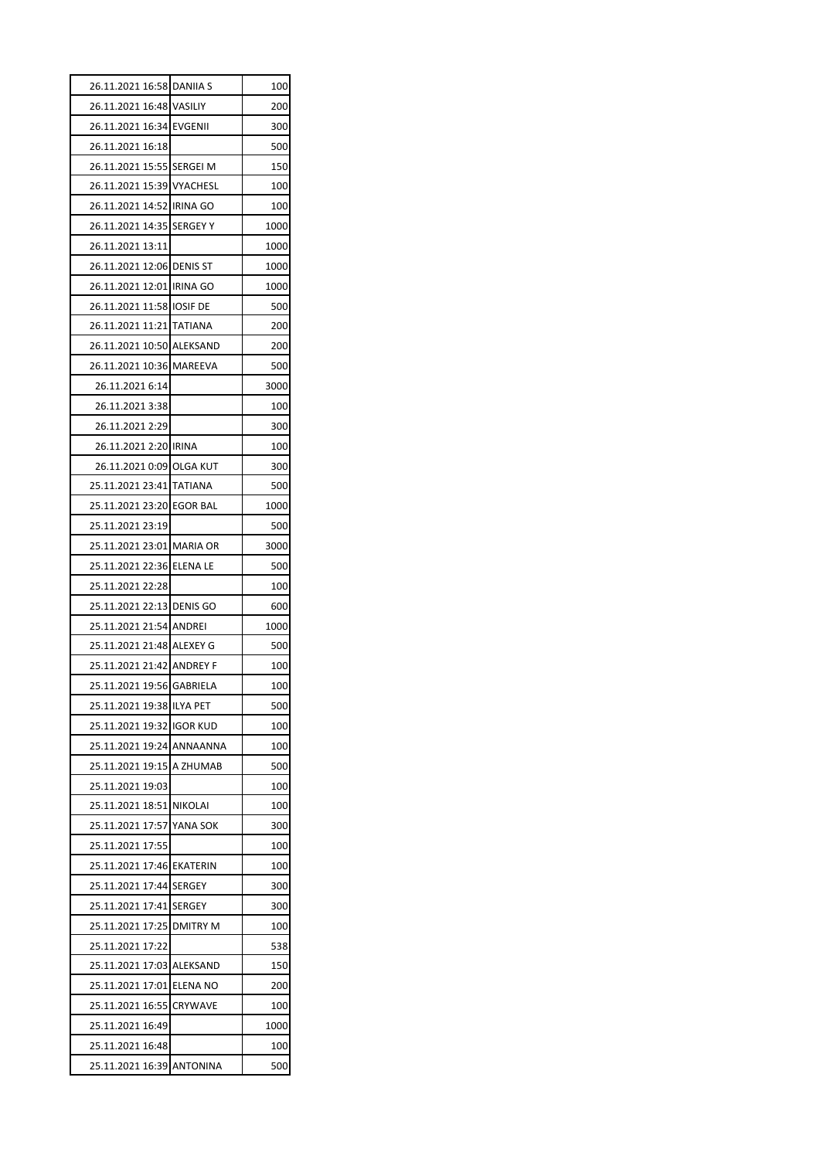| 26.11.2021 16:58 DANIIA S |                 | 100  |
|---------------------------|-----------------|------|
| 26.11.2021 16:48 VASILIY  |                 | 200  |
| 26.11.2021 16:34 EVGENII  |                 | 300  |
| 26.11.2021 16:18          |                 | 500  |
| 26.11.2021 15:55          | <b>SERGEI M</b> | 150  |
| 26.11.2021 15:39 VYACHESL |                 | 100  |
| 26.11.2021 14:52 IRINA GO |                 | 100  |
| 26.11.2021 14:35 SERGEY Y |                 | 1000 |
| 26.11.2021 13:11          |                 | 1000 |
| 26.11.2021 12:06 DENIS ST |                 | 1000 |
| 26.11.2021 12:01 IRINA GO |                 | 1000 |
| 26.11.2021 11:58 IOSIF DE |                 | 500  |
| 26.11.2021 11:21 TATIANA  |                 | 200  |
| 26.11.2021 10:50 ALEKSAND |                 | 200  |
| 26.11.2021 10:36 MAREEVA  |                 | 500  |
| 26.11.2021 6:14           |                 | 3000 |
| 26.11.2021 3:38           |                 | 100  |
| 26.11.2021 2:29           |                 | 300  |
| 26.11.2021 2:20 IRINA     |                 | 100  |
| 26.11.2021 0:09 OLGA KUT  |                 | 300  |
| 25.11.2021 23:41 TATIANA  |                 | 500  |
| 25.11.2021 23:20 EGOR BAL |                 | 1000 |
| 25.11.2021 23:19          |                 | 500  |
| 25.11.2021 23:01 MARIA OR |                 | 3000 |
|                           |                 |      |
| 25.11.2021 22:36 ELENA LE |                 | 500  |
| 25.11.2021 22:28          |                 | 100  |
| 25.11.2021 22:13 DENIS GO |                 | 600  |
| 25.11.2021 21:54 ANDREI   |                 | 1000 |
| 25.11.2021 21:48 ALEXEY G |                 | 500  |
| 25.11.2021 21:42 ANDREY F |                 | 100  |
| 25.11.2021 19:56 GABRIELA |                 | 100  |
| 25.11.2021 19:38 ILYA PET |                 | 500  |
| 25.11.2021 19:32          | <b>IGOR KUD</b> | 100  |
| 25.11.2021 19:24 ANNAANNA |                 | 100  |
| 25.11.2021 19:15 A ZHUMAB |                 | 500  |
| 25.11.2021 19:03          |                 | 100  |
| 25.11.2021 18:51          | <b>NIKOLAI</b>  | 100  |
| 25.11.2021 17:57          | YANA SOK        | 300  |
| 25.11.2021 17:55          |                 | 100  |
| 25.11.2021 17:46          | <b>EKATERIN</b> | 100  |
| 25.11.2021 17:44          | <b>SERGEY</b>   | 300  |
| 25.11.2021 17:41          | <b>SERGEY</b>   | 300  |
| 25.11.2021 17:25          | <b>DMITRY M</b> | 100  |
| 25.11.2021 17:22          |                 | 538  |
| 25.11.2021 17:03          | ALEKSAND        | 150  |
| 25.11.2021 17:01          | ELENA NO        | 200  |
| 25.11.2021 16:55          | CRYWAVE         | 100  |
| 25.11.2021 16:49          |                 | 1000 |
| 25.11.2021 16:48          |                 | 100  |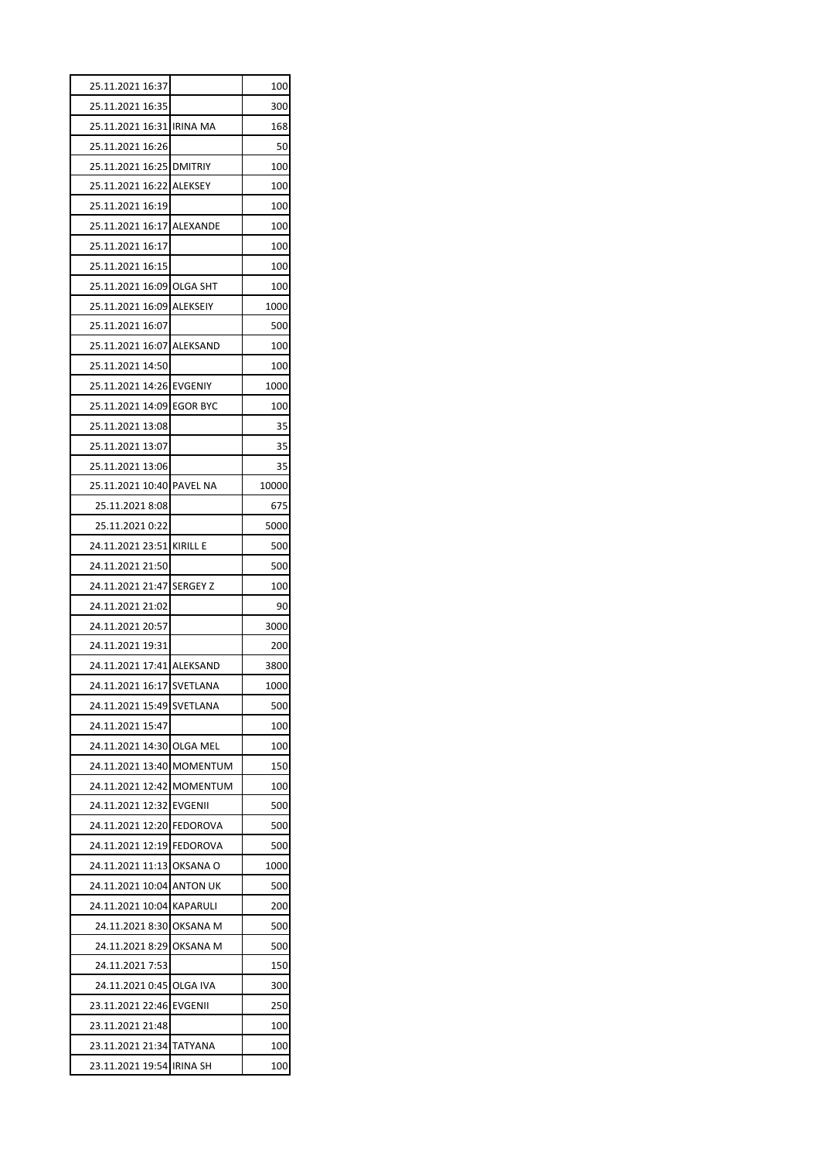| 25.11.2021 16:37          |                 | 100   |
|---------------------------|-----------------|-------|
| 25.11.2021 16:35          |                 | 300   |
| 25.11.2021 16:31 IRINA MA |                 | 168   |
| 25.11.2021 16:26          |                 | 50    |
| 25.11.2021 16:25 DMITRIY  |                 | 100   |
| 25.11.2021 16:22 ALEKSEY  |                 | 100   |
| 25.11.2021 16:19          |                 | 100   |
| 25.11.2021 16:17 ALEXANDE |                 | 100   |
| 25.11.2021 16:17          |                 | 100   |
| 25.11.2021 16:15          |                 | 100   |
| 25.11.2021 16:09 OLGA SHT |                 | 100   |
| 25.11.2021 16:09 ALEKSEIY |                 | 1000  |
| 25.11.2021 16:07          |                 | 500   |
| 25.11.2021 16:07 ALEKSAND |                 | 100   |
| 25.11.2021 14:50          |                 | 100   |
| 25.11.2021 14:26 EVGENIY  |                 | 1000  |
| 25.11.2021 14:09 EGOR BYC |                 | 100   |
| 25.11.2021 13:08          |                 | 35    |
| 25.11.2021 13:07          |                 | 35    |
| 25.11.2021 13:06          |                 | 35    |
| 25.11.2021 10:40 PAVEL NA |                 | 10000 |
| 25.11.2021 8:08           |                 | 675   |
| 25.11.2021 0:22           |                 | 5000  |
| 24.11.2021 23:51 KIRILL E |                 | 500   |
| 24.11.2021 21:50          |                 | 500   |
| 24.11.2021 21:47 SERGEY Z |                 | 100   |
| 24.11.2021 21:02          |                 | 90    |
| 24.11.2021 20:57          |                 | 3000  |
| 24.11.2021 19:31          |                 | 200   |
| 24.11.2021 17:41 ALEKSAND |                 | 3800  |
| 24.11.2021 16:17 SVETLANA |                 | 1000  |
| 24.11.2021 15:49          | SVETLANA        | 500   |
| 24.11.2021 15:47          |                 | 100   |
| 24.11.2021 14:30 OLGA MEL |                 | 100   |
| 24.11.2021 13:40 MOMENTUM |                 | 150   |
| 24.11.2021 12:42          | <b>MOMENTUM</b> | 100   |
| 24.11.2021 12:32 EVGENII  |                 | 500   |
| 24.11.2021 12:20          | <b>FEDOROVA</b> | 500   |
| 24.11.2021 12:19 FEDOROVA |                 | 500   |
| 24.11.2021 11:13          | OKSANA O        | 1000  |
| 24.11.2021 10:04 ANTON UK |                 | 500   |
| 24.11.2021 10:04 KAPARULI |                 | 200   |
| 24.11.2021 8:30 OKSANA M  |                 | 500   |
| 24.11.2021 8:29           | OKSANA M        | 500   |
| 24.11.2021 7:53           |                 | 150   |
| 24.11.2021 0:45 OLGA IVA  |                 | 300   |
| 23.11.2021 22:46          | <b>EVGENII</b>  | 250   |
| 23.11.2021 21:48          |                 | 100   |
| 23.11.2021 21:34 TATYANA  |                 | 100   |
|                           |                 |       |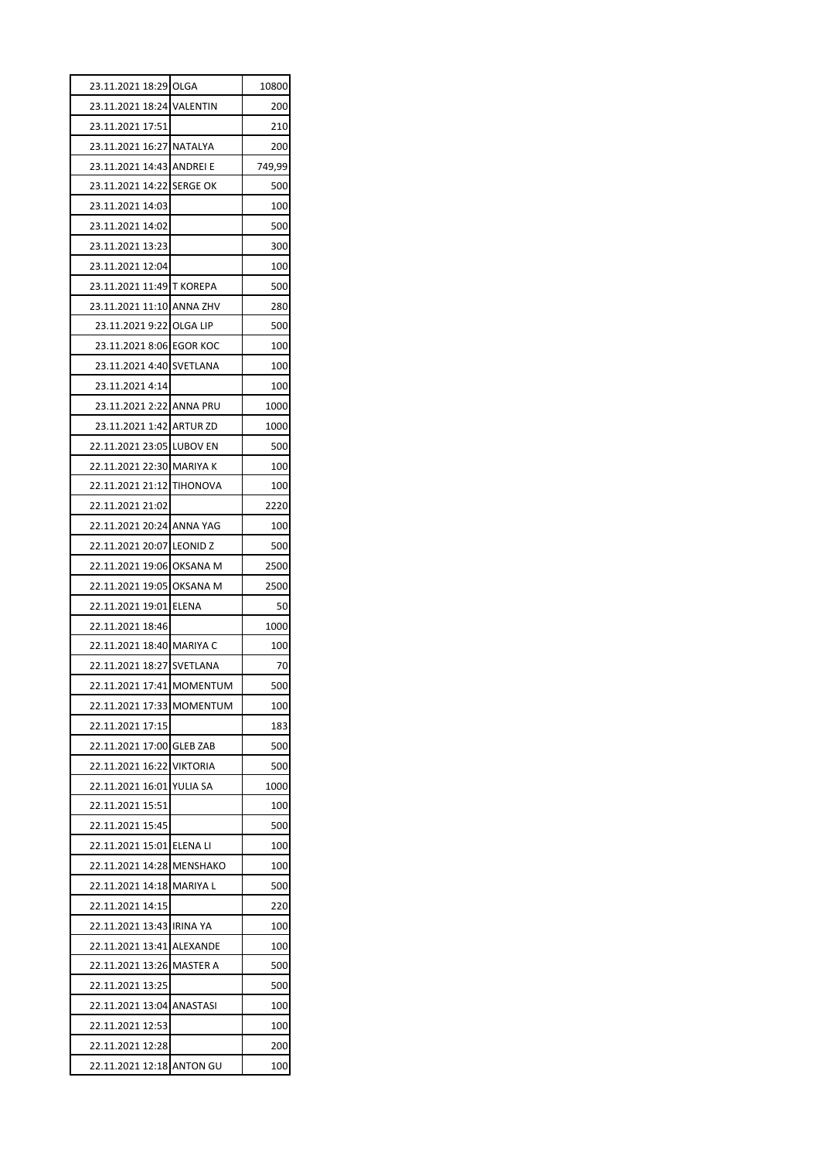| 23.11.2021 18:29 OLGA     |                 | 10800  |
|---------------------------|-----------------|--------|
| 23.11.2021 18:24 VALENTIN |                 | 200    |
| 23.11.2021 17:51          |                 | 210    |
| 23.11.2021 16:27 NATALYA  |                 | 200    |
| 23.11.2021 14:43 ANDREI E |                 | 749,99 |
| 23.11.2021 14:22 SERGE OK |                 | 500    |
| 23.11.2021 14:03          |                 | 100    |
| 23.11.2021 14:02          |                 | 500    |
| 23.11.2021 13:23          |                 | 300    |
| 23.11.2021 12:04          |                 | 100    |
| 23.11.2021 11:49 T KOREPA |                 | 500    |
| 23.11.2021 11:10 ANNA ZHV |                 | 280    |
| 23.11.2021 9:22 OLGA LIP  |                 | 500    |
| 23.11.2021 8:06 EGOR KOC  |                 | 100    |
| 23.11.2021 4:40 SVETLANA  |                 | 100    |
| 23.11.2021 4:14           |                 | 100    |
| 23.11.2021 2:22 ANNA PRU  |                 | 1000   |
| 23.11.2021 1:42 ARTUR ZD  |                 | 1000   |
| 22.11.2021 23:05 LUBOV EN |                 | 500    |
| 22.11.2021 22:30 MARIYA K |                 | 100    |
| 22.11.2021 21:12 TIHONOVA |                 | 100    |
| 22.11.2021 21:02          |                 | 2220   |
| 22.11.2021 20:24 ANNA YAG |                 | 100    |
| 22.11.2021 20:07 LEONID Z |                 | 500    |
| 22.11.2021 19:06 OKSANA M |                 | 2500   |
| 22.11.2021 19:05 OKSANA M |                 | 2500   |
| 22.11.2021 19:01 ELENA    |                 | 50     |
| 22.11.2021 18:46          |                 | 1000   |
| 22.11.2021 18:40 MARIYA C |                 | 100    |
| 22.11.2021 18:27 SVETLANA |                 | 70     |
| 22.11.2021 17:41 MOMENTUM |                 | 500    |
| 22.11.2021 17:33 MOMENTUM |                 | 100    |
| 22.11.2021 17:15          |                 | 183    |
| 22.11.2021 17:00 GLEB ZAB |                 | 500    |
| 22.11.2021 16:22 VIKTORIA |                 | 500    |
| 22.11.2021 16:01          | YULIA SA        | 1000   |
| 22.11.2021 15:51          |                 | 100    |
| 22.11.2021 15:45          |                 | 500    |
| 22.11.2021 15:01 ELENA LI |                 | 100    |
| 22.11.2021 14:28 MENSHAKO |                 | 100    |
| 22.11.2021 14:18          | <b>MARIYA L</b> | 500    |
| 22.11.2021 14:15          |                 | 220    |
| 22.11.2021 13:43 IRINA YA |                 | 100    |
| 22.11.2021 13:41 ALEXANDE |                 | 100    |
| 22.11.2021 13:26          | MASTER A        | 500    |
| 22.11.2021 13:25          |                 | 500    |
| 22.11.2021 13:04          | ANASTASI        | 100    |
| 22.11.2021 12:53          |                 | 100    |
| 22.11.2021 12:28          |                 | 200    |
| 22.11.2021 12:18 ANTON GU |                 | 100    |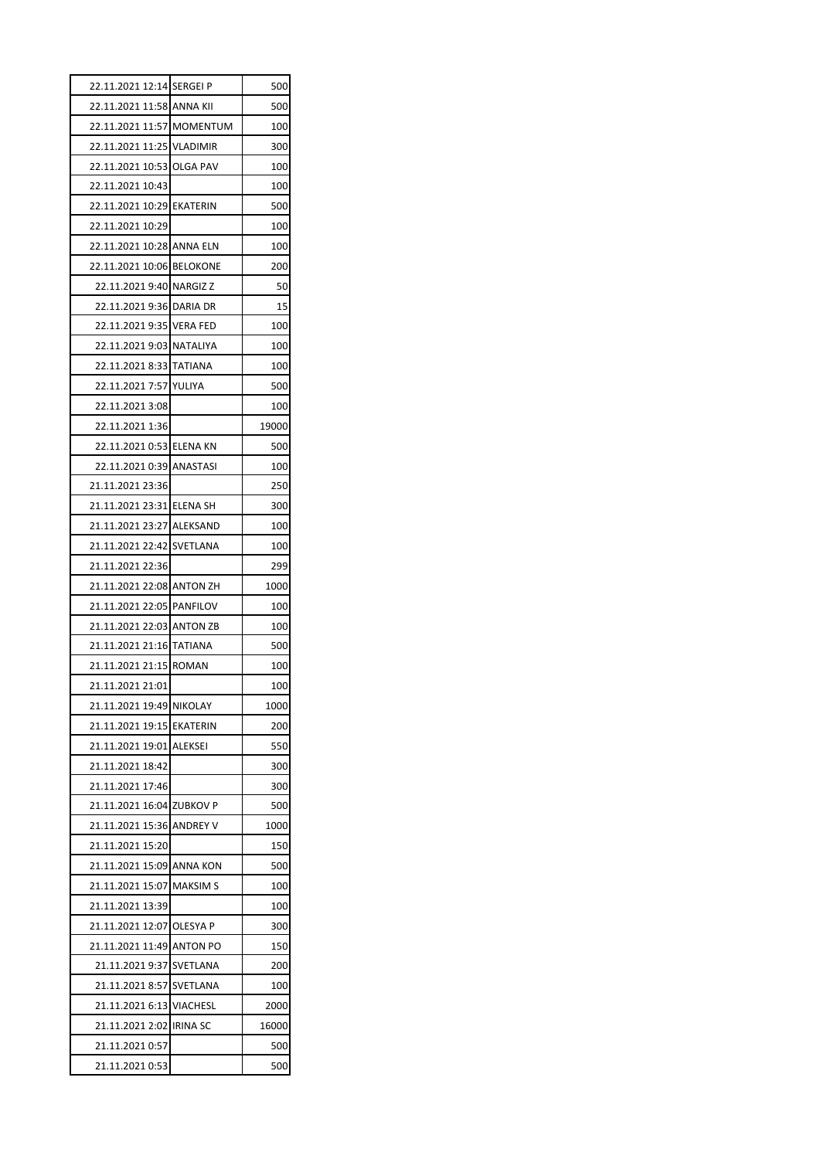| 22.11.2021 12:14 SERGEI P |                 | 500   |
|---------------------------|-----------------|-------|
| 22.11.2021 11:58 ANNA KII |                 | 500   |
| 22.11.2021 11:57 MOMENTUM |                 | 100   |
| 22.11.2021 11:25 VLADIMIR |                 | 300   |
| 22.11.2021 10:53 OLGA PAV |                 | 100   |
| 22.11.2021 10:43          |                 | 100   |
| 22.11.2021 10:29 EKATERIN |                 | 500   |
| 22.11.2021 10:29          |                 | 100   |
| 22.11.2021 10:28 ANNA ELN |                 | 100   |
| 22.11.2021 10:06 BELOKONE |                 | 200   |
| 22.11.2021 9:40 NARGIZ Z  |                 | 50    |
| 22.11.2021 9:36 DARIA DR  |                 | 15    |
| 22.11.2021 9:35 VERA FED  |                 | 100   |
| 22.11.2021 9:03 NATALIYA  |                 | 100   |
| 22.11.2021 8:33           | <b>TATIANA</b>  | 100   |
| 22.11.2021 7:57 YULIYA    |                 | 500   |
| 22.11.2021 3:08           |                 | 100   |
| 22.11.2021 1:36           |                 | 19000 |
| 22.11.2021 0:53 ELENA KN  |                 | 500   |
| 22.11.2021 0:39 ANASTASI  |                 | 100   |
| 21.11.2021 23:36          |                 | 250   |
| 21.11.2021 23:31 ELENA SH |                 | 300   |
| 21.11.2021 23:27 ALEKSAND |                 | 100   |
| 21.11.2021 22:42          | <b>SVETLANA</b> | 100   |
| 21.11.2021 22:36          |                 | 299   |
| 21.11.2021 22:08 ANTON ZH |                 | 1000  |
| 21.11.2021 22:05 PANFILOV |                 | 100   |
| 21.11.2021 22:03 ANTON ZB |                 | 100   |
| 21.11.2021 21:16          | <b>TATIANA</b>  | 500   |
| 21.11.2021 21:15          | <b>ROMAN</b>    | 100   |
| 21.11.2021 21:01          |                 | 100   |
| 21.11.2021 19:49          | <b>NIKOLAY</b>  | 1000  |
| 21.11.2021 19:15          | <b>EKATERIN</b> | 200   |
| 21.11.2021 19:01          | ALEKSEI         | 550   |
| 21.11.2021 18:42          |                 | 300   |
| 21.11.2021 17:46          |                 | 300   |
| 21.11.2021 16:04 ZUBKOV P |                 | 500   |
| 21.11.2021 15:36          | ANDREY V        | 1000  |
| 21.11.2021 15:20          |                 | 150   |
| 21.11.2021 15:09          | ANNA KON        | 500   |
| 21.11.2021 15:07          | <b>MAKSIM S</b> | 100   |
| 21.11.2021 13:39          |                 | 100   |
| 21.11.2021 12:07          | OLESYA P        | 300   |
| 21.11.2021 11:49          | ANTON PO        | 150   |
| 21.11.2021 9:37           | SVETLANA        | 200   |
| 21.11.2021 8:57           | SVETLANA        | 100   |
| 21.11.2021 6:13           | <b>VIACHESL</b> | 2000  |
| 21.11.2021 2:02           | <b>IRINA SC</b> | 16000 |
| 21.11.2021 0:57           |                 | 500   |
|                           |                 | 500   |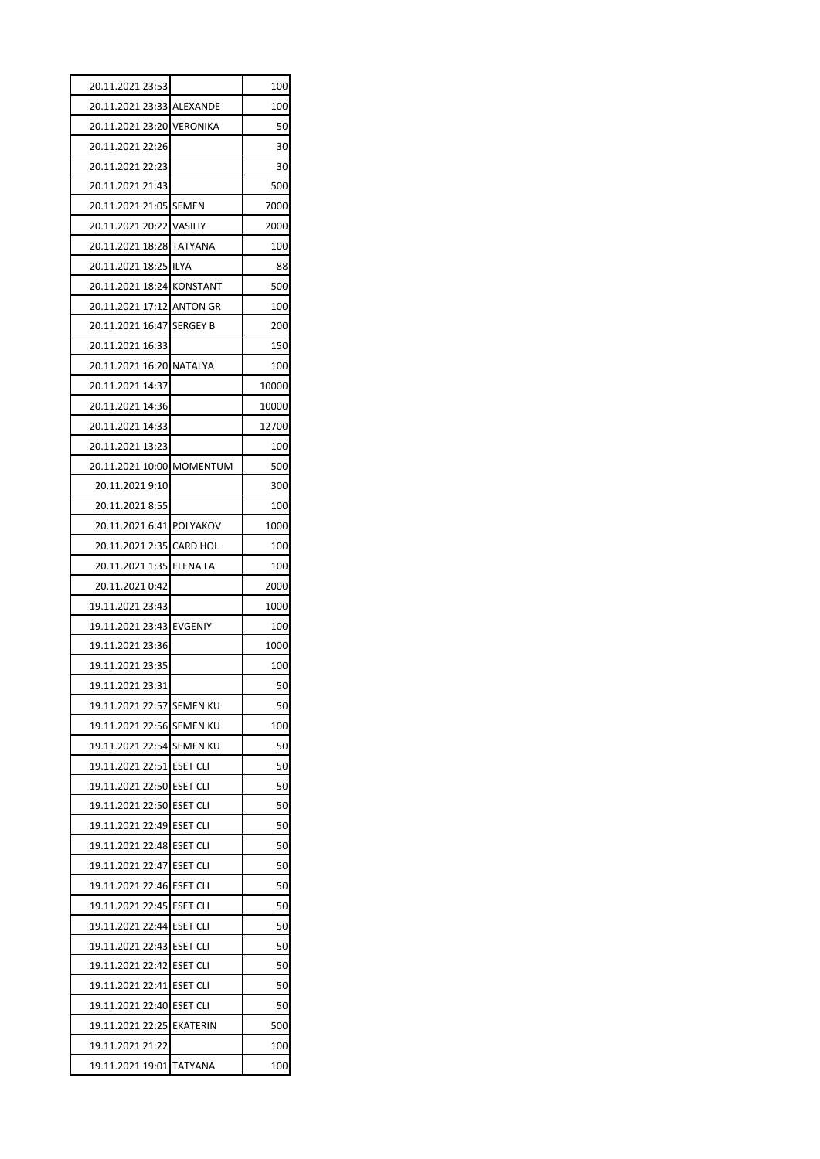| 20.11.2021 23:53          |                                    | 100      |
|---------------------------|------------------------------------|----------|
| 20.11.2021 23:33 ALEXANDE |                                    | 100      |
| 20.11.2021 23:20 VERONIKA |                                    | 50       |
| 20.11.2021 22:26          |                                    | 30       |
| 20.11.2021 22:23          |                                    | 30       |
| 20.11.2021 21:43          |                                    | 500      |
| 20.11.2021 21:05 SEMEN    |                                    | 7000     |
| 20.11.2021 20:22 VASILIY  |                                    | 2000     |
| 20.11.2021 18:28          | <b>TATYANA</b>                     | 100      |
| 20.11.2021 18:25          | <b>ILYA</b>                        | 88       |
| 20.11.2021 18:24 KONSTANT |                                    | 500      |
| 20.11.2021 17:12 ANTON GR |                                    | 100      |
| 20.11.2021 16:47 SERGEY B |                                    | 200      |
| 20.11.2021 16:33          |                                    | 150      |
| 20.11.2021 16:20 NATALYA  |                                    | 100      |
| 20.11.2021 14:37          |                                    | 10000    |
| 20.11.2021 14:36          |                                    | 10000    |
| 20.11.2021 14:33          |                                    | 12700    |
| 20.11.2021 13:23          |                                    | 100      |
| 20.11.2021 10:00 MOMENTUM |                                    | 500      |
| 20.11.2021 9:10           |                                    | 300      |
| 20.11.2021 8:55           |                                    | 100      |
| 20.11.2021 6:41 POLYAKOV  |                                    | 1000     |
| 20.11.2021 2:35 CARD HOL  |                                    | 100      |
| 20.11.2021 1:35 ELENA LA  |                                    | 100      |
| 20.11.2021 0:42           |                                    | 2000     |
| 19.11.2021 23:43          |                                    | 1000     |
| 19.11.2021 23:43 EVGENIY  |                                    | 100      |
| 19.11.2021 23:36          |                                    | 1000     |
| 19.11.2021 23:35          |                                    | 100      |
| 19.11.2021 23:31          |                                    | 50       |
| 19.11.2021 22:57          | <b>SEMEN KU</b>                    | 50       |
| 19.11.2021 22:56          | SEMEN KU                           | 100      |
| 19.11.2021 22:54 SEMEN KU |                                    | 50       |
| 19.11.2021 22:51          | <b>ESET CLI</b>                    | 50       |
| 19.11.2021 22:50          | <b>ESET CLI</b>                    | 50       |
| 19.11.2021 22:50 ESET CLI |                                    | 50       |
| 19.11.2021 22:49          | <b>ESET CLI</b>                    | 50       |
| 19.11.2021 22:48 ESET CLI |                                    | 50       |
| 19.11.2021 22:47          | ESET CLI                           | 50       |
| 19.11.2021 22:46          | <b>ESET CLI</b>                    | 50       |
| 19.11.2021 22:45          | <b>ESET CLI</b>                    | 50       |
|                           |                                    |          |
| 19.11.2021 22:44          | <b>ESET CLI</b>                    | 50       |
| 19.11.2021 22:43 ESET CLI |                                    | 50       |
| 19.11.2021 22:42          | <b>ESET CLI</b>                    | 50       |
| 19.11.2021 22:41          |                                    |          |
| 19.11.2021 22:40          | <b>ESET CLI</b>                    | 50<br>50 |
| 19.11.2021 22:25          | <b>ESET CLI</b><br><b>EKATERIN</b> | 500      |
| 19.11.2021 21:22          |                                    | 100      |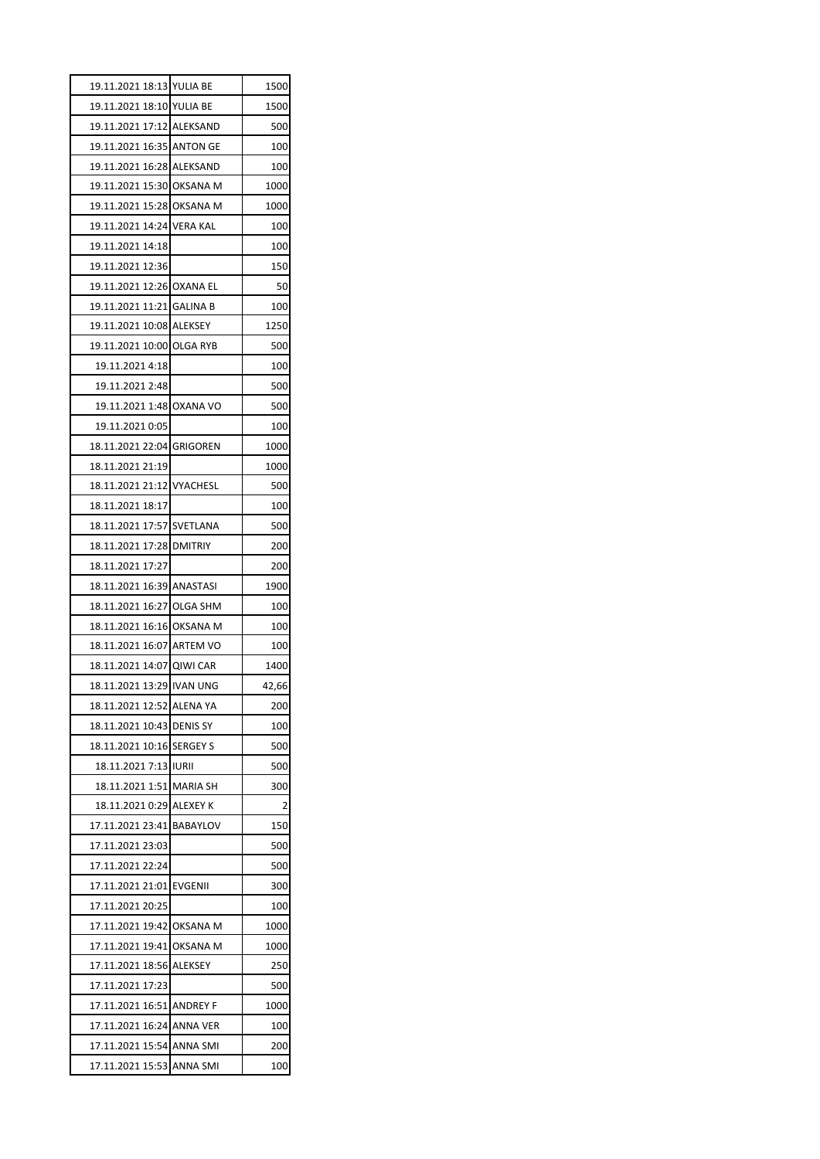| 19.11.2021 18:13 YULIA BE | 1500  |
|---------------------------|-------|
| 19.11.2021 18:10 YULIA BE | 1500  |
| 19.11.2021 17:12 ALEKSAND | 500   |
| 19.11.2021 16:35 ANTON GE | 100   |
| 19.11.2021 16:28 ALEKSAND | 100   |
| 19.11.2021 15:30 OKSANA M | 1000  |
| 19.11.2021 15:28 OKSANA M | 1000  |
| 19.11.2021 14:24 VERA KAL | 100   |
| 19.11.2021 14:18          | 100   |
| 19.11.2021 12:36          | 150   |
| 19.11.2021 12:26 OXANA EL | 50    |
| 19.11.2021 11:21 GALINA B | 100   |
| 19.11.2021 10:08 ALEKSEY  | 1250  |
| 19.11.2021 10:00 OLGA RYB | 500   |
| 19.11.2021 4:18           | 100   |
| 19.11.2021 2:48           | 500   |
| 19.11.2021 1:48 OXANA VO  | 500   |
| 19.11.2021 0:05           | 100   |
| 18.11.2021 22:04 GRIGOREN | 1000  |
| 18.11.2021 21:19          | 1000  |
| 18.11.2021 21:12 VYACHESL | 500   |
| 18.11.2021 18:17          | 100   |
| 18.11.2021 17:57 SVETLANA | 500   |
| 18.11.2021 17:28 DMITRIY  | 200   |
| 18.11.2021 17:27          | 200   |
| 18.11.2021 16:39 ANASTASI | 1900  |
| 18.11.2021 16:27 OLGA SHM | 100   |
| 18.11.2021 16:16 OKSANA M | 100   |
| 18.11.2021 16:07 ARTEM VO | 100   |
| 18.11.2021 14:07 QIWI CAR | 1400  |
| 18.11.2021 13:29 IVAN UNG | 42,66 |
| 18.11.2021 12:52 ALENA YA | 200   |
| 18.11.2021 10:43 DENIS SY | 100   |
| 18.11.2021 10:16 SERGEY S | 500   |
| 18.11.2021 7:13 JURIL     | 500   |
| 18.11.2021 1:51 MARIA SH  | 300   |
| 18.11.2021 0:29 ALEXEY K  | 2     |
| 17.11.2021 23:41 BABAYLOV | 150   |
| 17.11.2021 23:03          | 500   |
| 17.11.2021 22:24          | 500   |
| 17.11.2021 21:01 EVGENII  | 300   |
| 17.11.2021 20:25          | 100   |
| 17.11.2021 19:42 OKSANA M | 1000  |
| 17.11.2021 19:41 OKSANA M | 1000  |
| 17.11.2021 18:56 ALEKSEY  | 250   |
| 17.11.2021 17:23          | 500   |
| 17.11.2021 16:51 ANDREY F | 1000  |
| 17.11.2021 16:24 ANNA VER | 100   |
|                           |       |
| 17.11.2021 15:54 ANNA SMI | 200   |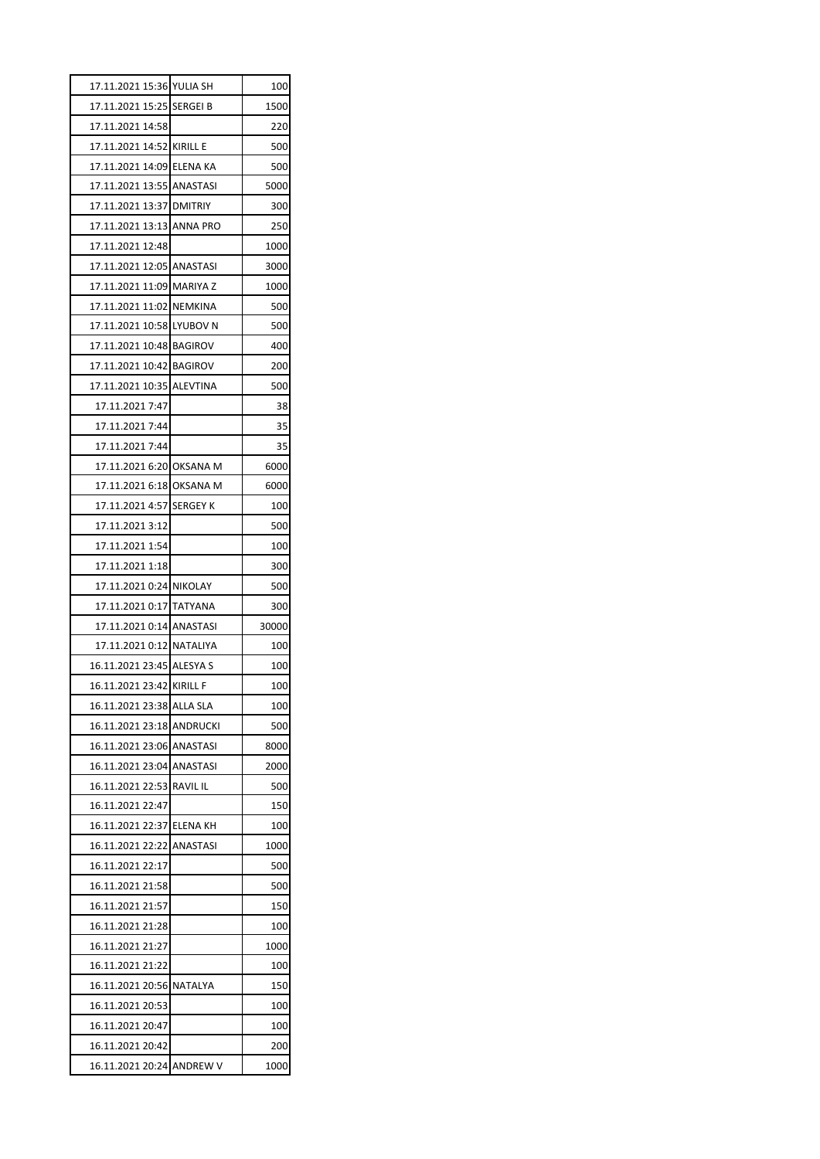| 17.11.2021 15:36 YULIA SH |                 | 100   |
|---------------------------|-----------------|-------|
| 17.11.2021 15:25 SERGEI B |                 | 1500  |
| 17.11.2021 14:58          |                 | 220   |
| 17.11.2021 14:52 KIRILL E |                 | 500   |
| 17.11.2021 14:09 ELENA KA |                 | 500   |
| 17.11.2021 13:55 ANASTASI |                 | 5000  |
| 17.11.2021 13:37 DMITRIY  |                 | 300   |
| 17.11.2021 13:13 ANNA PRO |                 | 250   |
| 17.11.2021 12:48          |                 | 1000  |
| 17.11.2021 12:05 ANASTASI |                 | 3000  |
| 17.11.2021 11:09 MARIYA Z |                 | 1000  |
| 17.11.2021 11:02 NEMKINA  |                 | 500   |
| 17.11.2021 10:58 LYUBOV N |                 | 500   |
| 17.11.2021 10:48 BAGIROV  |                 | 400   |
| 17.11.2021 10:42 BAGIROV  |                 | 200   |
| 17.11.2021 10:35 ALEVTINA |                 | 500   |
| 17.11.2021 7:47           |                 | 38    |
| 17.11.2021 7:44           |                 | 35    |
| 17.11.2021 7:44           |                 | 35    |
| 17.11.2021 6:20 OKSANA M  |                 | 6000  |
| 17.11.2021 6:18 OKSANA M  |                 | 6000  |
| 17.11.2021 4:57 SERGEY K  |                 | 100   |
| 17.11.2021 3:12           |                 | 500   |
| 17.11.2021 1:54           |                 | 100   |
|                           |                 |       |
| 17.11.2021 1:18           |                 | 300   |
| 17.11.2021 0:24 NIKOLAY   |                 | 500   |
|                           |                 | 300   |
|                           |                 | 30000 |
| 17.11.2021 0:12 NATALIYA  |                 | 100   |
| 16.11.2021 23:45 ALESYA S |                 | 100   |
| 16.11.2021 23:42 KIRILL F |                 | 100   |
| 16.11.2021 23:38          | <b>ALLA SLA</b> | 100   |
| 16.11.2021 23:18          | ANDRUCKI        | 500   |
| 16.11.2021 23:06          | <b>ANASTASI</b> | 8000  |
| 16.11.2021 23:04          | <b>ANASTASI</b> | 2000  |
| 16.11.2021 22:53          | <b>RAVIL IL</b> | 500   |
| 16.11.2021 22:47          |                 | 150   |
| 16.11.2021 22:37          | ELENA KH        | 100   |
| 16.11.2021 22:22          | ANASTASI        | 1000  |
| 16.11.2021 22:17          |                 | 500   |
| 16.11.2021 21:58          |                 | 500   |
| 16.11.2021 21:57          |                 | 150   |
| 16.11.2021 21:28          |                 | 100   |
| 16.11.2021 21:27          |                 | 1000  |
| 16.11.2021 21:22          |                 | 100   |
| 16.11.2021 20:56          | NATALYA         | 150   |
| 16.11.2021 20:53          |                 | 100   |
| 16.11.2021 20:47          |                 | 100   |
| 16.11.2021 20:42          |                 | 200   |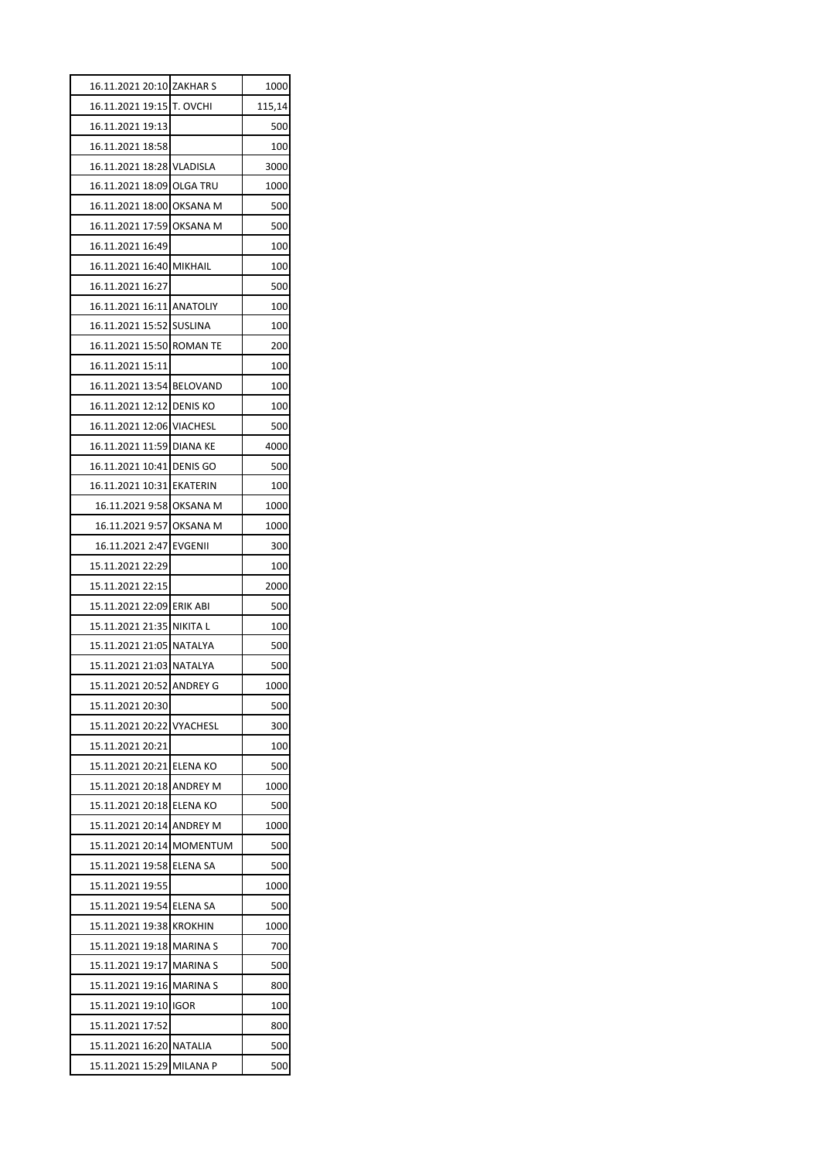| 16.11.2021 20:10 ZAKHAR S |                 | 1000   |
|---------------------------|-----------------|--------|
| 16.11.2021 19:15          | T. OVCHI        | 115,14 |
| 16.11.2021 19:13          |                 | 500    |
| 16.11.2021 18:58          |                 | 100    |
| 16.11.2021 18:28 VLADISLA |                 | 3000   |
| 16.11.2021 18:09 OLGA TRU |                 | 1000   |
| 16.11.2021 18:00 OKSANA M |                 | 500    |
| 16.11.2021 17:59 OKSANA M |                 | 500    |
| 16.11.2021 16:49          |                 | 100    |
| 16.11.2021 16:40 MIKHAIL  |                 | 100    |
| 16.11.2021 16:27          |                 | 500    |
| 16.11.2021 16:11 ANATOLIY |                 | 100    |
| 16.11.2021 15:52 SUSLINA  |                 | 100    |
| 16.11.2021 15:50 ROMAN TE |                 | 200    |
| 16.11.2021 15:11          |                 | 100    |
| 16.11.2021 13:54 BELOVAND |                 | 100    |
| 16.11.2021 12:12 DENIS KO |                 | 100    |
| 16.11.2021 12:06 VIACHESL |                 | 500    |
| 16.11.2021 11:59 DIANA KE |                 | 4000   |
| 16.11.2021 10:41 DENIS GO |                 | 500    |
| 16.11.2021 10:31 EKATERIN |                 | 100    |
| 16.11.2021 9:58 OKSANA M  |                 | 1000   |
| 16.11.2021 9:57 OKSANA M  |                 | 1000   |
| 16.11.2021 2:47           | <b>EVGENII</b>  | 300    |
| 15.11.2021 22:29          |                 | 100    |
| 15.11.2021 22:15          |                 | 2000   |
| 15.11.2021 22:09 ERIK ABI |                 | 500    |
| 15.11.2021 21:35          | <b>NIKITAL</b>  | 100    |
| 15.11.2021 21:05 NATALYA  |                 | 500    |
| 15.11.2021 21:03 NATALYA  |                 | 500    |
| 15.11.2021 20:52 ANDREY G |                 | 1000   |
| 15.11.2021 20:30          |                 | 500    |
| 15.11.2021 20:22          | VYACHESL        | 300    |
| 15.11.2021 20:21          |                 | 100    |
| 15.11.2021 20:21          | ELENA KO        | 500    |
| 15.11.2021 20:18          | <b>ANDREY M</b> | 1000   |
| 15.11.2021 20:18 ELENA KO |                 | 500    |
| 15.11.2021 20:14          | <b>ANDREY M</b> | 1000   |
| 15.11.2021 20:14          | <b>MOMENTUM</b> | 500    |
| 15.11.2021 19:58          | <b>ELENA SA</b> | 500    |
| 15.11.2021 19:55          |                 | 1000   |
| 15.11.2021 19:54 ELENA SA |                 | 500    |
| 15.11.2021 19:38          | <b>KROKHIN</b>  | 1000   |
| 15.11.2021 19:18          | <b>MARINA S</b> | 700    |
| 15.11.2021 19:17          | <b>MARINA S</b> | 500    |
| 15.11.2021 19:16          | <b>MARINAS</b>  | 800    |
| 15.11.2021 19:10          | igor            | 100    |
| 15.11.2021 17:52          |                 | 800    |
| 15.11.2021 16:20 NATALIA  |                 | 500    |
| 15.11.2021 15:29          | <b>MILANA P</b> | 500    |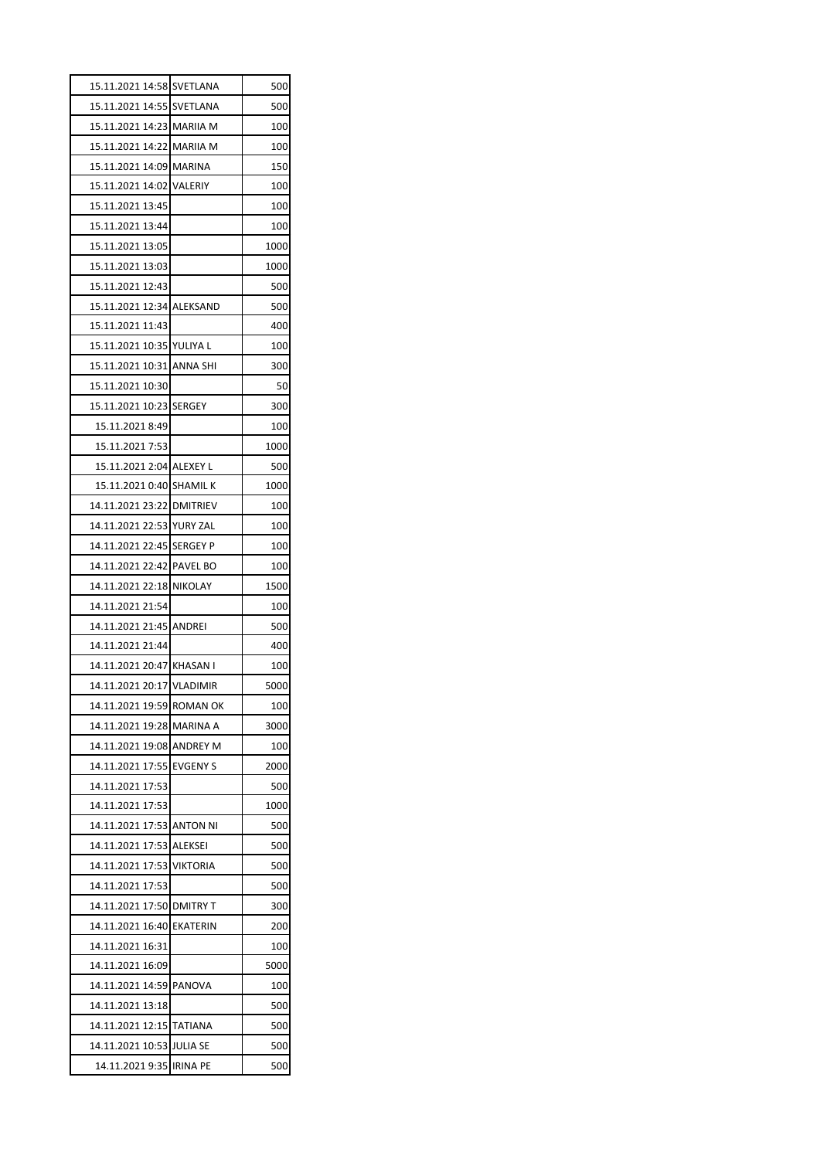| 15.11.2021 14:58 SVETLANA  |                 | 500  |
|----------------------------|-----------------|------|
| 15.11.2021 14:55           | SVETLANA        | 500  |
| 15.11.2021 14:23 MARIIA M  |                 | 100  |
| 15.11.2021 14:22 MARIIA M  |                 | 100  |
| 15.11.2021 14:09           | <b>MARINA</b>   | 150  |
| 15.11.2021 14:02 VALERIY   |                 | 100  |
| 15.11.2021 13:45           |                 | 100  |
| 15.11.2021 13:44           |                 | 100  |
| 15.11.2021 13:05           |                 | 1000 |
| 15.11.2021 13:03           |                 | 1000 |
| 15.11.2021 12:43           |                 | 500  |
| 15.11.2021 12:34 ALEKSAND  |                 | 500  |
| 15.11.2021 11:43           |                 | 400  |
| 15.11.2021 10:35 YULIYA L  |                 | 100  |
| 15.11.2021 10:31 ANNA SHI  |                 | 300  |
| 15.11.2021 10:30           |                 | 50   |
| 15.11.2021 10:23 SERGEY    |                 | 300  |
| 15.11.2021 8:49            |                 | 100  |
| 15.11.2021 7:53            |                 | 1000 |
| 15.11.2021 2:04 ALEXEY L   |                 | 500  |
| 15.11.2021   0:40 SHAMIL K |                 | 1000 |
| 14.11.2021 23:22 DMITRIEV  |                 | 100  |
| 14.11.2021 22:53 YURY ZAL  |                 | 100  |
| 14.11.2021 22:45           | <b>SERGEY P</b> | 100  |
| 14.11.2021 22:42 PAVEL BO  |                 | 100  |
| 14.11.2021 22:18 NIKOLAY   |                 | 1500 |
| 14.11.2021 21:54           |                 | 100  |
| 14.11.2021 21:45           | <b>ANDREI</b>   | 500  |
| 14.11.2021 21:44           |                 | 400  |
| 14.11.2021 20:47 KHASAN I  |                 | 100  |
| 14.11.2021 20:17 VLADIMIR  |                 | 5000 |
| 14.11.2021 19:59           | <b>ROMAN OK</b> | 100  |
| 14.11.2021 19:28           | MARINA A        | 3000 |
| 14.11.2021 19:08           | <b>ANDREY M</b> | 100  |
| 14.11.2021 17:55           | <b>EVGENY S</b> | 2000 |
| 14.11.2021 17:53           |                 | 500  |
| 14.11.2021 17:53           |                 | 1000 |
| 14.11.2021 17:53           | <b>ANTON NI</b> | 500  |
| 14.11.2021 17:53           | <b>ALEKSEI</b>  | 500  |
| 14.11.2021 17:53           | <b>VIKTORIA</b> | 500  |
| 14.11.2021 17:53           |                 | 500  |
| 14.11.2021 17:50           | <b>DMITRY T</b> | 300  |
| 14.11.2021 16:40           | <b>EKATERIN</b> | 200  |
| 14.11.2021 16:31           |                 | 100  |
| 14.11.2021 16:09           |                 | 5000 |
| 14.11.2021 14:59           | PANOVA          | 100  |
| 14.11.2021 13:18           |                 | 500  |
| 14.11.2021 12:15           | <b>TATIANA</b>  | 500  |
| 14.11.2021 10:53           | <b>JULIA SE</b> | 500  |
| 14.11.2021 9:35            | <b>IRINA PE</b> | 500  |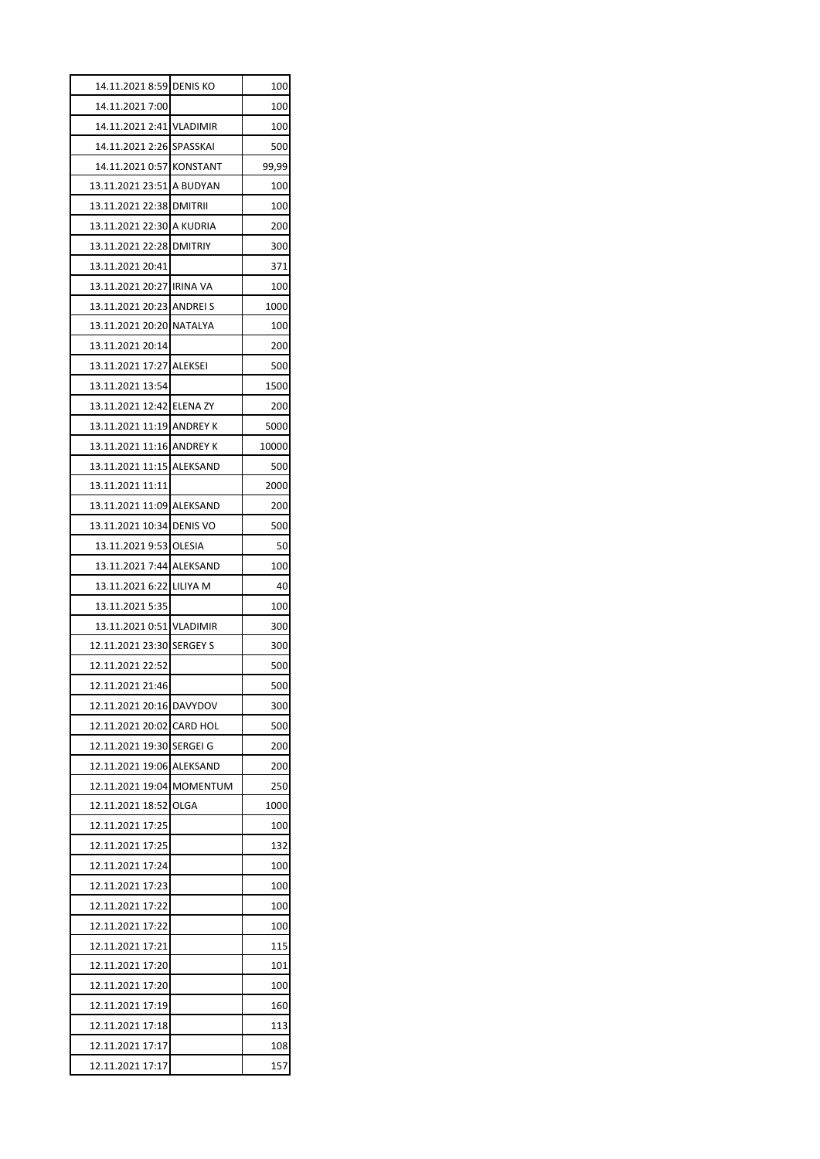| 14.11.2021 8:59           | <b>DENIS KO</b> | 100        |
|---------------------------|-----------------|------------|
| 14.11.2021 7:00           |                 | 100        |
| 14.11.2021 2:41 VLADIMIR  |                 | 100        |
| 14.11.2021 2:26 SPASSKAI  |                 | 500        |
| 14.11.2021 0:57           | <b>KONSTANT</b> | 99,99      |
| 13.11.2021 23:51 A BUDYAN |                 | 100        |
| 13.11.2021 22:38 DMITRII  |                 | 100        |
| 13.11.2021 22:30 A KUDRIA |                 | 200        |
| 13.11.2021 22:28          | <b>DMITRIY</b>  | 300        |
| 13.11.2021 20:41          |                 | 371        |
| 13.11.2021 20:27 IRINA VA |                 | 100        |
| 13.11.2021 20:23 ANDREI S |                 | 1000       |
| 13.11.2021 20:20 NATALYA  |                 | 100        |
| 13.11.2021 20:14          |                 | 200        |
| 13.11.2021 17:27 ALEKSEI  |                 | 500        |
| 13.11.2021 13:54          |                 | 1500       |
| 13.11.2021 12:42 ELENA ZY |                 | 200        |
| 13.11.2021 11:19 ANDREY K |                 | 5000       |
| 13.11.2021 11:16 ANDREY K |                 | 10000      |
| 13.11.2021 11:15 ALEKSAND |                 | 500        |
| 13.11.2021 11:11          |                 | 2000       |
| 13.11.2021 11:09 ALEKSAND |                 | 200        |
| 13.11.2021 10:34 DENIS VO |                 | 500        |
| 13.11.2021 9:53 OLESIA    |                 | 50         |
| 13.11.2021 7:44 ALEKSAND  |                 | 100        |
| 13.11.2021 6:22 LILIYA M  |                 | 40         |
| 13.11.2021 5:35           |                 | 100        |
| 13.11.2021 0:51 VLADIMIR  |                 | 300        |
| 12.11.2021 23:30 SERGEY S |                 | 300        |
| 12.11.2021 22:52          |                 | 500        |
| 12.11.2021 21:46          |                 | 500        |
| 12.11.2021 20:16          | <b>DAVYDOV</b>  | 300        |
| 12.11.2021 20:02          | CARD HOL        | 500        |
| 12.11.2021 19:30          | SERGEI G        | 200        |
| 12.11.2021 19:06          | ALEKSAND        |            |
| 12.11.2021 19:04          | MOMENTUM        | 200<br>250 |
| 12.11.2021 18:52          | OLGA            | 1000       |
| 12.11.2021 17:25          |                 | 100        |
| 12.11.2021 17:25          |                 | 132        |
| 12.11.2021 17:24          |                 | 100        |
| 12.11.2021 17:23          |                 | 100        |
| 12.11.2021 17:22          |                 | 100        |
| 12.11.2021 17:22          |                 | 100        |
| 12.11.2021 17:21          |                 | 115        |
|                           |                 |            |
| 12.11.2021 17:20          |                 | 101        |
| 12.11.2021 17:20          |                 | 100        |
| 12.11.2021 17:19          |                 | 160        |
| 12.11.2021 17:18          |                 | 113        |
| 12.11.2021 17:17          |                 | 108        |
| 12.11.2021 17:17          |                 | 157        |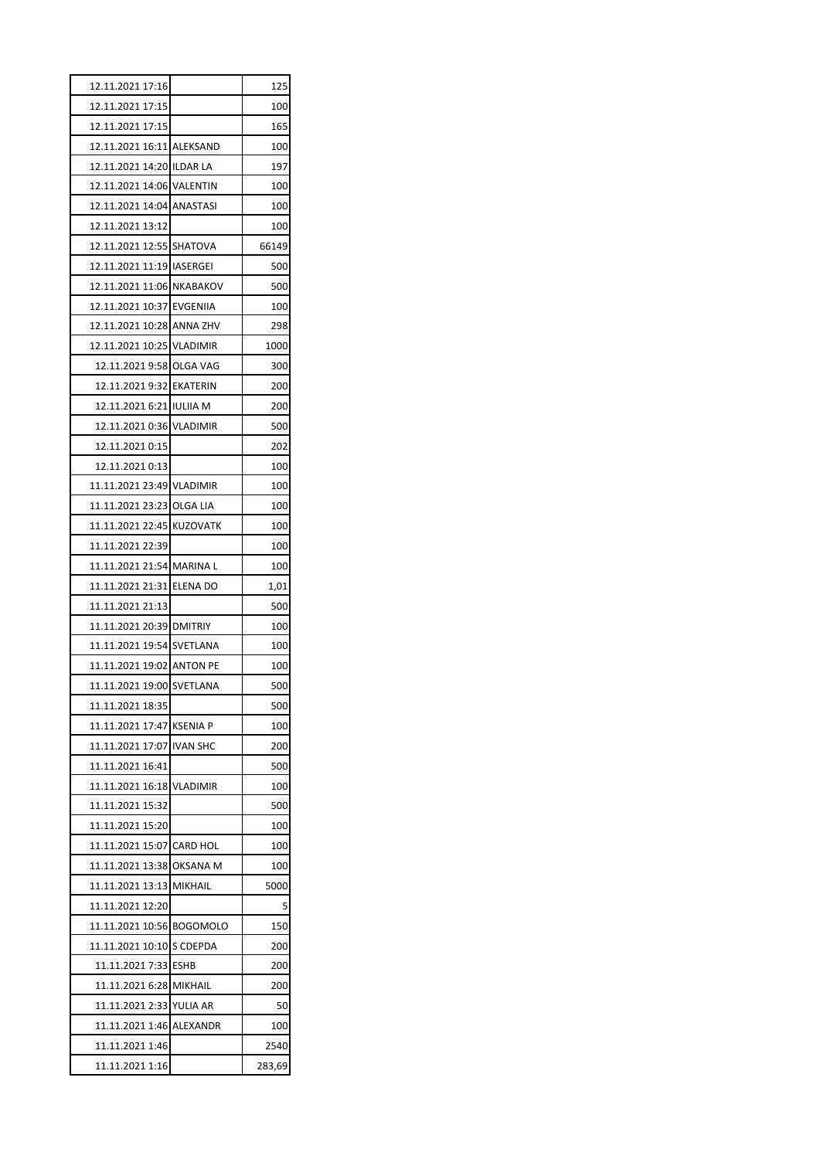| 12.11.2021 17:16                   |          | 125         |
|------------------------------------|----------|-------------|
| 12.11.2021 17:15                   |          | 100         |
| 12.11.2021 17:15                   |          | 165         |
| 12.11.2021 16:11 ALEKSAND          |          | 100         |
| 12.11.2021 14:20 ILDAR LA          |          | 197         |
| 12.11.2021 14:06 VALENTIN          |          | 100         |
| 12.11.2021 14:04 ANASTASI          |          | 100         |
| 12.11.2021 13:12                   |          | 100         |
| 12.11.2021 12:55 SHATOVA           |          | 66149       |
| 12.11.2021 11:19 IASERGEI          |          | 500         |
| 12.11.2021 11:06 NKABAKOV          |          | 500         |
| 12.11.2021 10:37 EVGENIIA          |          | 100         |
| 12.11.2021 10:28 ANNA ZHV          |          | 298         |
| 12.11.2021 10:25 VLADIMIR          |          | 1000        |
| 12.11.2021 9:58 OLGA VAG           |          | 300         |
| 12.11.2021 9:32 EKATERIN           |          | 200         |
| 12.11.2021 6:21 IULIIA M           |          | 200         |
| 12.11.2021 0:36 VLADIMIR           |          | 500         |
| 12.11.2021 0:15                    |          | 202         |
| 12.11.2021 0:13                    |          | 100         |
| 11.11.2021 23:49 VLADIMIR          |          | 100         |
| 11.11.2021 23:23 OLGA LIA          |          | 100         |
| 11.11.2021 22:45 KUZOVATK          |          | 100         |
| 11.11.2021 22:39                   |          | 100         |
| 11.11.2021 21:54 MARINA L          |          | 100         |
| 11.11.2021 21:31 ELENA DO          |          | 1,01        |
| 11.11.2021 21:13                   |          | 500         |
| 11.11.2021 20:39 DMITRIY           |          | 100         |
| 11.11.2021 19:54 SVETLANA          |          | 100         |
| 11.11.2021 19:02 ANTON PE          |          | 100         |
| 11.11.2021 19:00 SVETLANA          |          | 500         |
| 11.11.2021 18:35                   |          | 500         |
| 11.11.2021 17:47 KSENIA P          |          | 100         |
| 11.11.2021 17:07 IVAN SHC          |          | 200         |
| 11.11.2021 16:41                   |          | 500         |
| 11.11.2021 16:18 VLADIMIR          |          | 100         |
| 11.11.2021 15:32                   |          | 500         |
| 11.11.2021 15:20                   |          | 100         |
| 11.11.2021 15:07 CARD HOL          |          | 100         |
| 11.11.2021 13:38 OKSANA M          |          | 100         |
| 11.11.2021 13:13 MIKHAIL           |          | 5000        |
| 11.11.2021 12:20                   |          | 5           |
| 11.11.2021 10:56 BOGOMOLO          |          | 150         |
| 11.11.2021 10:10 S CDEPDA          |          | 200         |
| 11.11.2021 7:33 ESHB               |          | 200         |
| 11.11.2021 6:28 MIKHAIL            |          | 200         |
|                                    |          |             |
|                                    |          |             |
| 11.11.2021 2:33 YULIA AR           |          | 50          |
| 11.11.2021 1:46<br>11.11.2021 1:46 | ALEXANDR | 100<br>2540 |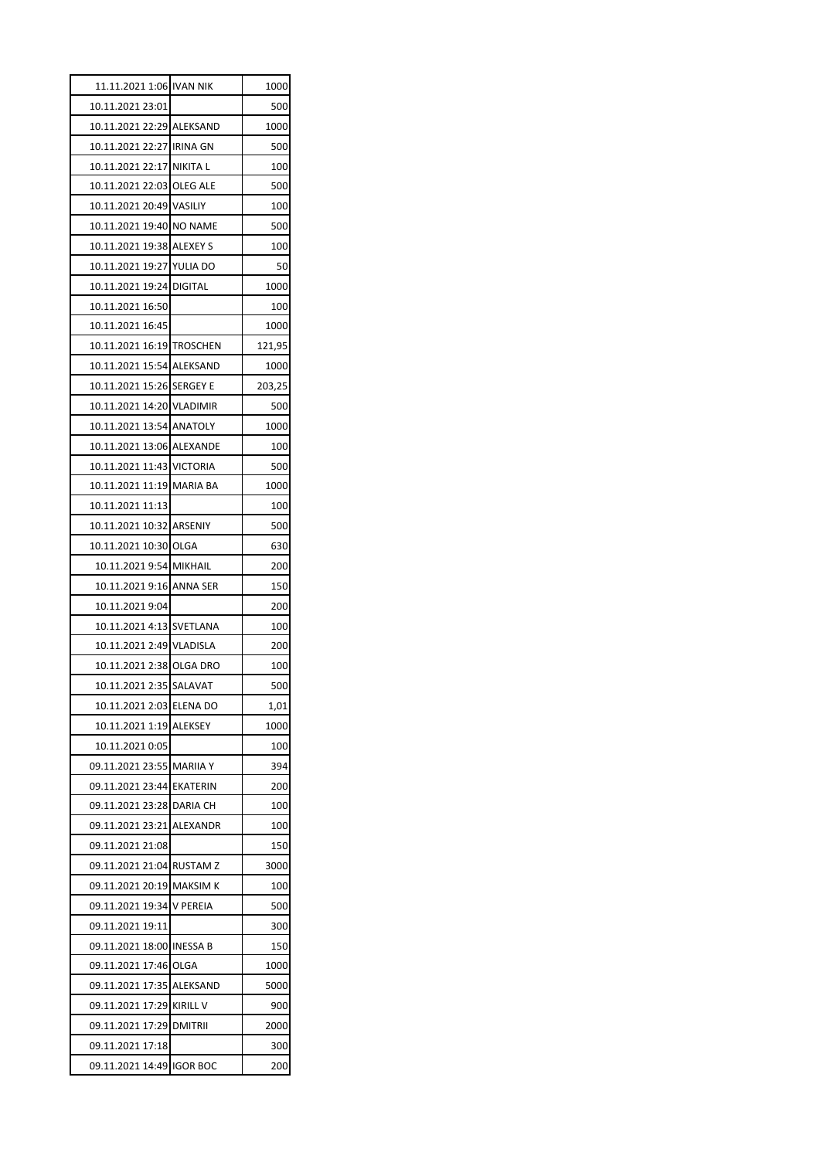| 11.11.2021 1:06 IVAN NIK  |                 | 1000   |
|---------------------------|-----------------|--------|
| 10.11.2021 23:01          |                 | 500    |
| 10.11.2021 22:29 ALEKSAND |                 | 1000   |
| 10.11.2021 22:27 IRINA GN |                 | 500    |
| 10.11.2021 22:17 NIKITA L |                 | 100    |
| 10.11.2021 22:03 OLEG ALE |                 | 500    |
| 10.11.2021 20:49 VASILIY  |                 | 100    |
| 10.11.2021 19:40 NO NAME  |                 | 500    |
| 10.11.2021 19:38 ALEXEY S |                 | 100    |
| 10.11.2021 19:27 YULIA DO |                 | 50     |
| 10.11.2021 19:24 DIGITAL  |                 | 1000   |
| 10.11.2021 16:50          |                 | 100    |
| 10.11.2021 16:45          |                 | 1000   |
| 10.11.2021 16:19 TROSCHEN |                 | 121,95 |
| 10.11.2021 15:54 ALEKSAND |                 | 1000   |
| 10.11.2021 15:26 SERGEY E |                 | 203,25 |
| 10.11.2021 14:20 VLADIMIR |                 | 500    |
| 10.11.2021 13:54 ANATOLY  |                 | 1000   |
| 10.11.2021 13:06 ALEXANDE |                 | 100    |
| 10.11.2021 11:43 VICTORIA |                 | 500    |
| 10.11.2021 11:19 MARIA BA |                 | 1000   |
| 10.11.2021 11:13          |                 | 100    |
| 10.11.2021 10:32 ARSENIY  |                 | 500    |
| 10.11.2021 10:30 OLGA     |                 | 630    |
| 10.11.2021 9:54 MIKHAIL   |                 | 200    |
| 10.11.2021 9:16 ANNA SER  |                 | 150    |
| 10.11.2021 9:04           |                 | 200    |
| 10.11.2021 4:13 SVETLANA  |                 | 100    |
| 10.11.2021 2:49 VLADISLA  |                 | 200    |
| 10.11.2021 2:38 OLGA DRO  |                 | 100    |
| 10.11.2021 2:35 SALAVAT   |                 | 500    |
| 10.11.2021 2:03           | <b>ELENA DO</b> | 1,01   |
| 10.11.2021 1:19           | <b>ALEKSEY</b>  | 1000   |
| 10.11.2021 0:05           |                 | 100    |
| 09.11.2021 23:55          | <b>MARIIA Y</b> | 394    |
| 09.11.2021 23:44          | <b>EKATERIN</b> | 200    |
| 09.11.2021 23:28          | <b>DARIA CH</b> | 100    |
| 09.11.2021 23:21          | ALEXANDR        | 100    |
| 09.11.2021 21:08          |                 | 150    |
| 09.11.2021 21:04          | <b>RUSTAMZ</b>  | 3000   |
| 09.11.2021 20:19          | <b>MAKSIM K</b> | 100    |
| 09.11.2021 19:34          | V PEREIA        | 500    |
| 09.11.2021 19:11          |                 | 300    |
| 09.11.2021 18:00          | <b>INESSA B</b> | 150    |
| 09.11.2021 17:46          | OLGA            | 1000   |
| 09.11.2021 17:35          | ALEKSAND        | 5000   |
| 09.11.2021 17:29          | <b>KIRILL V</b> | 900    |
| 09.11.2021 17:29          | <b>DMITRII</b>  | 2000   |
| 09.11.2021 17:18          |                 | 300    |
| 09.11.2021 14:49          | <b>IGOR BOC</b> | 200    |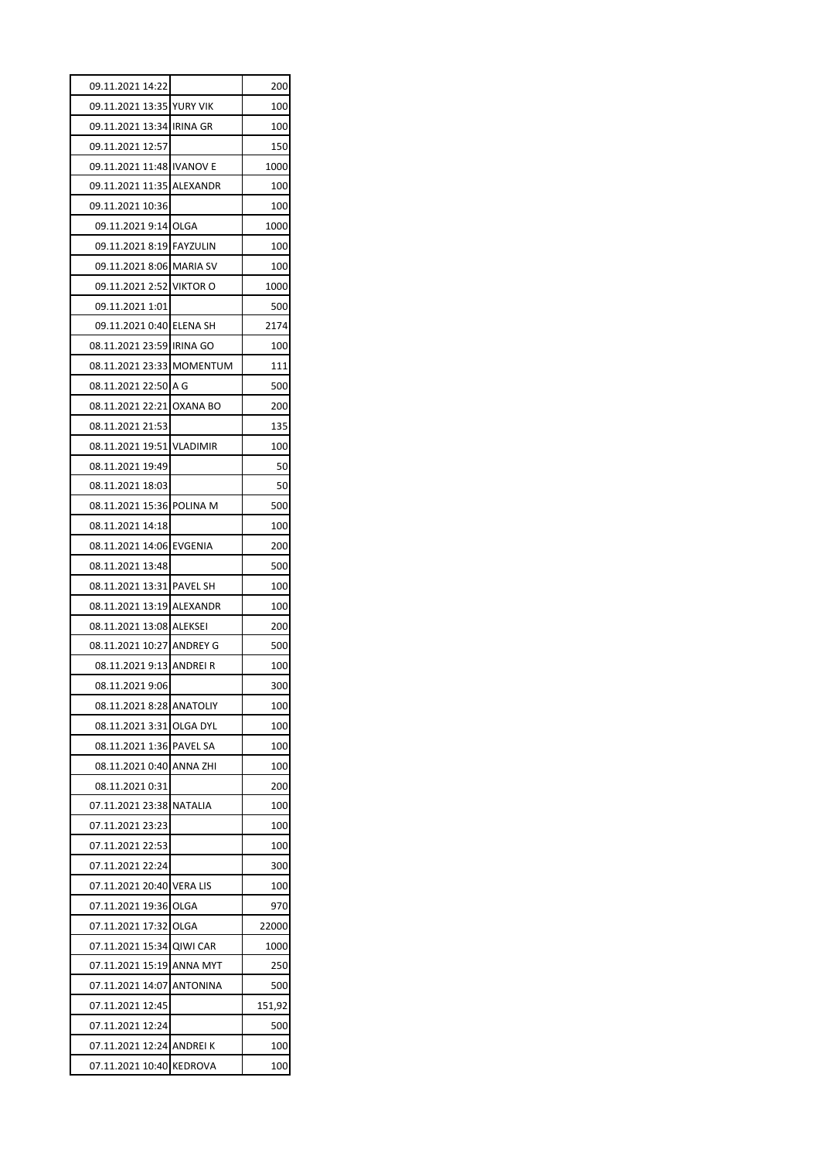| 09.11.2021 14:22          |                 | 200    |
|---------------------------|-----------------|--------|
| 09.11.2021 13:35 YURY VIK |                 | 100    |
| 09.11.2021 13:34 IRINA GR |                 | 100    |
| 09.11.2021 12:57          |                 | 150    |
| 09.11.2021 11:48 IVANOV E |                 | 1000   |
| 09.11.2021 11:35 ALEXANDR |                 | 100    |
| 09.11.2021 10:36          |                 | 100    |
| 09.11.2021 9:14 OLGA      |                 | 1000   |
| 09.11.2021 8:19 FAYZULIN  |                 | 100    |
| 09.11.2021 8:06 MARIA SV  |                 | 100    |
| 09.11.2021 2:52 VIKTOR O  |                 | 1000   |
| 09.11.2021 1:01           |                 | 500    |
| 09.11.2021 0:40 ELENA SH  |                 | 2174   |
| 08.11.2021 23:59 IRINA GO |                 | 100    |
| 08.11.2021 23:33 MOMENTUM |                 | 111    |
| 08.11.2021 22:50 A G      |                 | 500    |
| 08.11.2021 22:21 OXANA BO |                 | 200    |
| 08.11.2021 21:53          |                 | 135    |
| 08.11.2021 19:51 VLADIMIR |                 | 100    |
| 08.11.2021 19:49          |                 | 50     |
| 08.11.2021 18:03          |                 | 50     |
| 08.11.2021 15:36 POLINA M |                 | 500    |
| 08.11.2021 14:18          |                 | 100    |
| 08.11.2021 14:06 EVGENIA  |                 | 200    |
| 08.11.2021 13:48          |                 | 500    |
| 08.11.2021 13:31 PAVEL SH |                 | 100    |
| 08.11.2021 13:19 ALEXANDR |                 | 100    |
| 08.11.2021 13:08 ALEKSEI  |                 | 200    |
| 08.11.2021 10:27 ANDREY G |                 | 500    |
| 08.11.2021 9:13 ANDREI R  |                 | 100    |
| 08.11.2021 9:06           |                 | 300    |
| 08.11.2021 8:28 ANATOLIY  |                 | 100    |
| 08.11.2021 3:31           | OLGA DYL        | 100    |
| 08.11.2021 1:36           | <b>PAVEL SA</b> | 100    |
| 08.11.2021 0:40           | ANNA ZHI        | 100    |
| 08.11.2021 0:31           |                 | 200    |
| 07.11.2021 23:38          | <b>NATALIA</b>  | 100    |
| 07.11.2021 23:23          |                 | 100    |
| 07.11.2021 22:53          |                 | 100    |
| 07.11.2021 22:24          |                 | 300    |
| 07.11.2021 20:40 VERA LIS |                 | 100    |
| 07.11.2021 19:36 OLGA     |                 | 970    |
| 07.11.2021 17:32          | OLGA            | 22000  |
| 07.11.2021 15:34 QIWI CAR |                 | 1000   |
| 07.11.2021 15:19          | ANNA MYT        | 250    |
| 07.11.2021 14:07          | <b>ANTONINA</b> | 500    |
| 07.11.2021 12:45          |                 | 151,92 |
| 07.11.2021 12:24          |                 | 500    |
| 07.11.2021 12:24 ANDREIK  |                 | 100    |
| 07.11.2021 10:40          | <b>KEDROVA</b>  | 100    |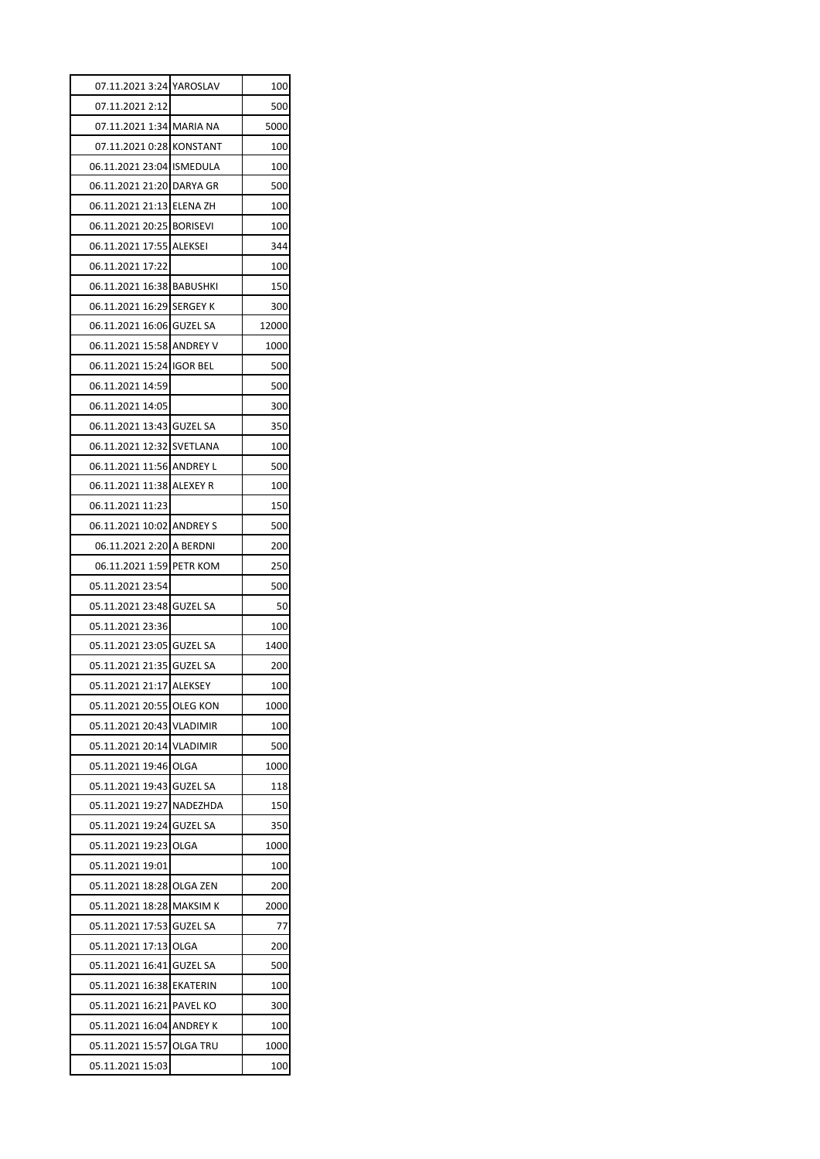| 07.11.2021 3:24 YAROSLAV  |                 | 100   |
|---------------------------|-----------------|-------|
| 07.11.2021 2:12           |                 | 500   |
| 07.11.2021 1:34 MARIA NA  |                 | 5000  |
| 07.11.2021 0:28 KONSTANT  |                 | 100   |
| 06.11.2021 23:04 ISMEDULA |                 | 100   |
| 06.11.2021 21:20 DARYA GR |                 | 500   |
| 06.11.2021 21:13 ELENA ZH |                 | 100   |
| 06.11.2021 20:25 BORISEVI |                 | 100   |
| 06.11.2021 17:55 ALEKSEI  |                 | 344   |
| 06.11.2021 17:22          |                 | 100   |
| 06.11.2021 16:38 BABUSHKI |                 | 150   |
| 06.11.2021 16:29 SERGEY K |                 | 300   |
| 06.11.2021 16:06 GUZEL SA |                 | 12000 |
| 06.11.2021 15:58 ANDREY V |                 | 1000  |
| 06.11.2021 15:24 IGOR BEL |                 | 500   |
| 06.11.2021 14:59          |                 | 500   |
| 06.11.2021 14:05          |                 | 300   |
| 06.11.2021 13:43 GUZEL SA |                 | 350   |
| 06.11.2021 12:32 SVETLANA |                 | 100   |
| 06.11.2021 11:56 ANDREY L |                 | 500   |
| 06.11.2021 11:38 ALEXEY R |                 | 100   |
| 06.11.2021 11:23          |                 | 150   |
| 06.11.2021 10:02 ANDREY S |                 | 500   |
| 06.11.2021 2:20 A BERDNI  |                 | 200   |
| 06.11.2021 1:59 PETR KOM  |                 | 250   |
| 05.11.2021 23:54          |                 | 500   |
| 05.11.2021 23:48 GUZEL SA |                 | 50    |
| 05.11.2021 23:36          |                 | 100   |
| 05.11.2021 23:05 GUZEL SA |                 | 1400  |
| 05.11.2021 21:35 GUZEL SA |                 | 200   |
| 05.11.2021 21:17 ALEKSEY  |                 | 100   |
| 05.11.2021 20:55 OLEG KON |                 | 1000  |
| 05.11.2021 20:43          | <b>VLADIMIR</b> | 100   |
| 05.11.2021 20:14 VLADIMIR |                 | 500   |
| 05.11.2021 19:46          | OLGA            | 1000  |
| 05.11.2021 19:43          | <b>GUZEL SA</b> | 118   |
| 05.11.2021 19:27 NADEZHDA |                 | 150   |
| 05.11.2021 19:24 GUZEL SA |                 | 350   |
| 05.11.2021 19:23          | OLGA            | 1000  |
| 05.11.2021 19:01          |                 | 100   |
| 05.11.2021 18:28 OLGA ZEN |                 | 200   |
| 05.11.2021 18:28 MAKSIM K |                 | 2000  |
| 05.11.2021 17:53          | <b>GUZEL SA</b> | 77    |
| 05.11.2021 17:13          | OLGA            | 200   |
| 05.11.2021 16:41 GUZEL SA |                 | 500   |
| 05.11.2021 16:38 EKATERIN |                 | 100   |
| 05.11.2021 16:21 PAVEL KO |                 | 300   |
| 05.11.2021 16:04 ANDREY K |                 | 100   |
| 05.11.2021 15:57          | <b>OLGA TRU</b> | 1000  |
|                           |                 |       |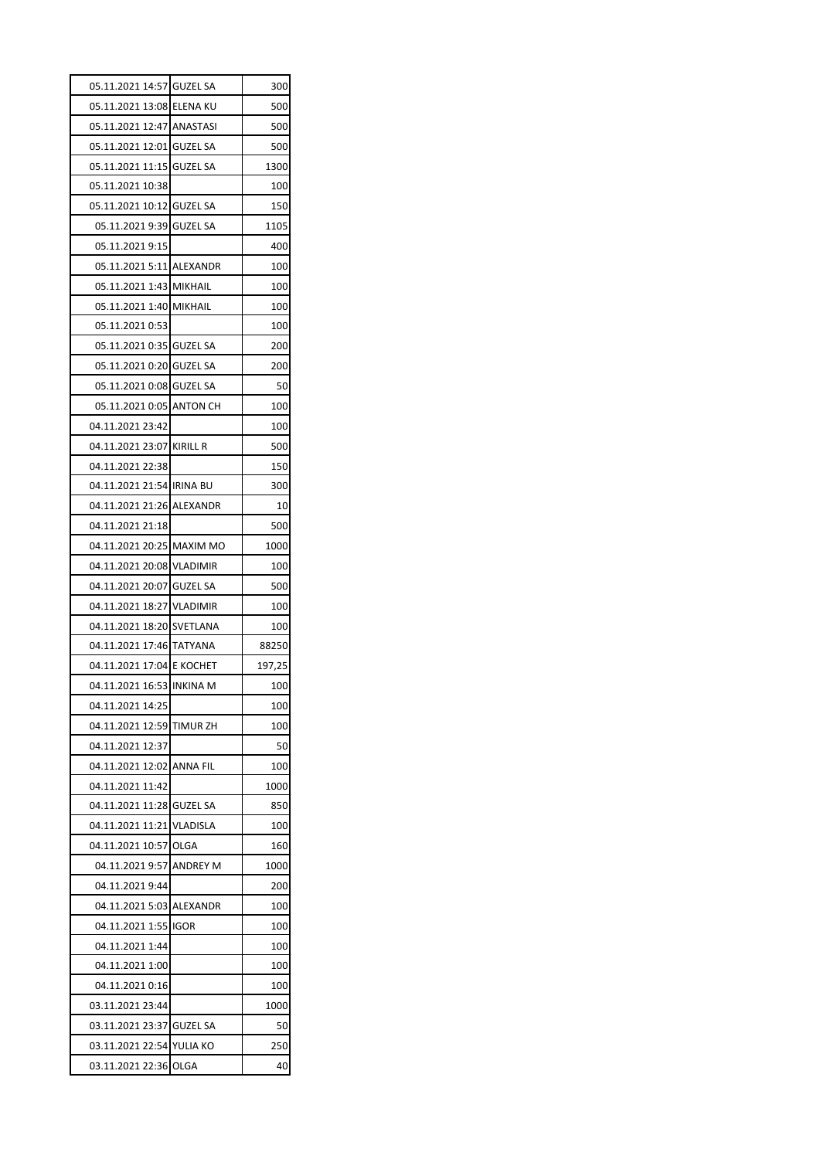| 05.11.2021 14:57 GUZEL SA                     |                 | 300       |
|-----------------------------------------------|-----------------|-----------|
| 05.11.2021 13:08 ELENA KU                     |                 | 500       |
| 05.11.2021 12:47 ANASTASI                     |                 | 500       |
| 05.11.2021 12:01 GUZEL SA                     |                 | 500       |
| 05.11.2021 11:15                              | <b>GUZEL SA</b> | 1300      |
| 05.11.2021 10:38                              |                 | 100       |
| 05.11.2021 10:12 GUZEL SA                     |                 | 150       |
| 05.11.2021 9:39 GUZEL SA                      |                 | 1105      |
| 05.11.2021 9:15                               |                 | 400       |
| 05.11.2021 5:11 ALEXANDR                      |                 | 100       |
| 05.11.2021 1:43 MIKHAIL                       |                 | 100       |
| 05.11.2021 1:40 MIKHAIL                       |                 | 100       |
| 05.11.2021 0:53                               |                 | 100       |
| 05.11.2021 0:35 GUZEL SA                      |                 | 200       |
| 05.11.2021 0:20 GUZEL SA                      |                 | 200       |
| 05.11.2021 0:08 GUZEL SA                      |                 | 50        |
| 05.11.2021 0:05 ANTON CH                      |                 | 100       |
| 04.11.2021 23:42                              |                 | 100       |
| 04.11.2021 23:07 KIRILL R                     |                 | 500       |
| 04.11.2021 22:38                              |                 | 150       |
| 04.11.2021 21:54 IRINA BU                     |                 | 300       |
| 04.11.2021 21:26 ALEXANDR                     |                 | 10        |
| 04.11.2021 21:18                              |                 | 500       |
| 04.11.2021 20:25 MAXIM MO                     |                 | 1000      |
| 04.11.2021 20:08 VLADIMIR                     |                 | 100       |
| 04.11.2021 20:07 GUZEL SA                     |                 | 500       |
| 04.11.2021 18:27 VLADIMIR                     |                 | 100       |
| 04.11.2021 18:20 SVETLANA                     |                 | 100       |
| 04.11.2021 17:46 TATYANA                      |                 | 88250     |
| 04.11.2021 17:04 E KOCHET                     |                 | 197,25    |
| 04.11.2021 16:53 INKINA M                     |                 | 100       |
| 04.11.2021 14:25                              |                 | 100       |
| 04.11.2021 12:59 TIMUR ZH                     |                 | 100       |
| 04.11.2021 12:37                              |                 | 50        |
| 04.11.2021 12:02 ANNA FIL                     |                 | 100       |
| 04.11.2021 11:42                              |                 | 1000      |
| 04.11.2021 11:28 GUZEL SA                     |                 | 850       |
| 04.11.2021 11:21 VLADISLA                     |                 | 100       |
| 04.11.2021 10:57 OLGA                         |                 | 160       |
| 04.11.2021 9:57                               | <b>ANDREY M</b> | 1000      |
| 04.11.2021 9:44                               |                 | 200       |
| 04.11.2021 5:03 ALEXANDR                      |                 | 100       |
| 04.11.2021 1:55                               | <b>IGOR</b>     | 100       |
| 04.11.2021 1:44                               |                 | 100       |
| 04.11.2021 1:00                               |                 | 100       |
| 04.11.2021 0:16                               |                 | 100       |
|                                               |                 |           |
|                                               |                 |           |
| 03.11.2021 23:44                              |                 | 1000      |
| 03.11.2021 23:37<br>03.11.2021 22:54 YULIA KO | <b>GUZEL SA</b> | 50<br>250 |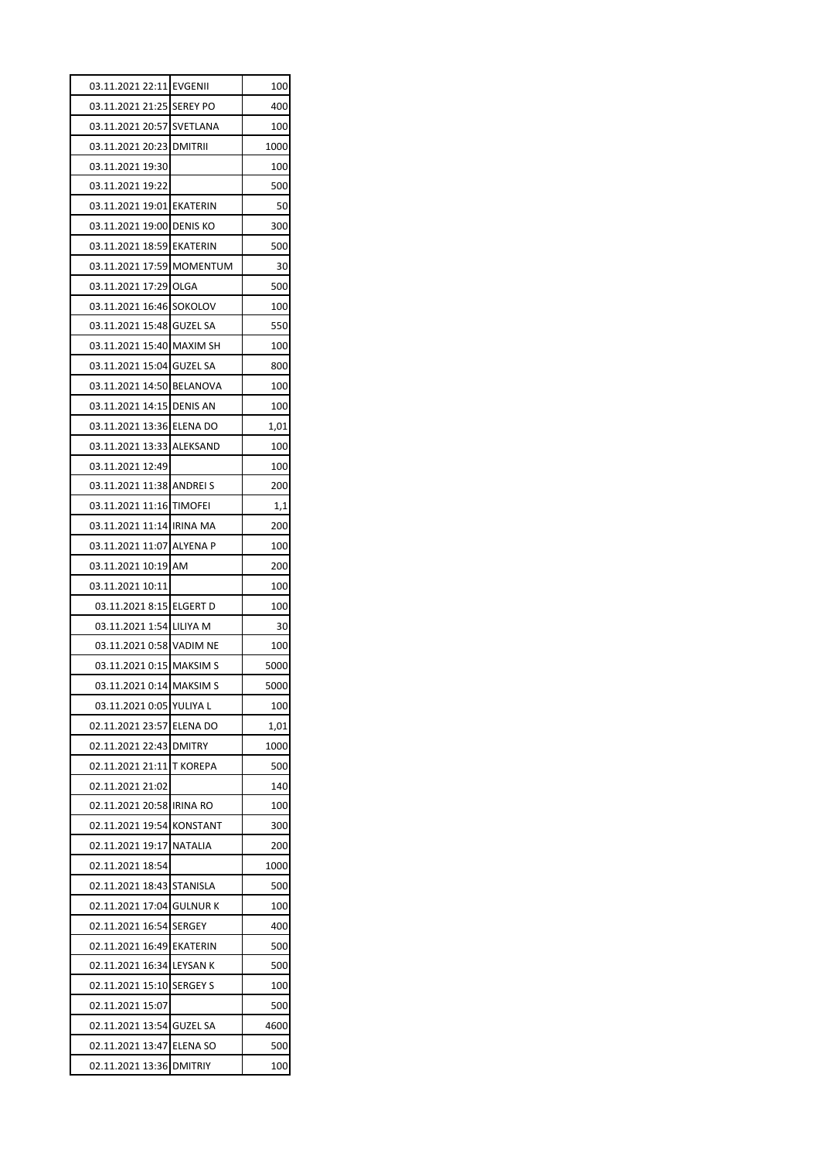| 03.11.2021 22:11 EVGENII  |                 | 100  |
|---------------------------|-----------------|------|
| 03.11.2021 21:25 SEREY PO |                 | 400  |
| 03.11.2021 20:57 SVETLANA |                 | 100  |
| 03.11.2021 20:23 DMITRII  |                 | 1000 |
| 03.11.2021 19:30          |                 | 100  |
| 03.11.2021 19:22          |                 | 500  |
| 03.11.2021 19:01 EKATERIN |                 | 50   |
| 03.11.2021 19:00 DENIS KO |                 | 300  |
| 03.11.2021 18:59 EKATERIN |                 | 500  |
| 03.11.2021 17:59 MOMENTUM |                 | 30   |
| 03.11.2021 17:29 OLGA     |                 | 500  |
| 03.11.2021 16:46 SOKOLOV  |                 | 100  |
| 03.11.2021 15:48 GUZEL SA |                 | 550  |
| 03.11.2021 15:40 MAXIM SH |                 | 100  |
| 03.11.2021 15:04 GUZEL SA |                 | 800  |
| 03.11.2021 14:50 BELANOVA |                 | 100  |
| 03.11.2021 14:15 DENIS AN |                 | 100  |
| 03.11.2021 13:36 ELENA DO |                 | 1,01 |
| 03.11.2021 13:33 ALEKSAND |                 | 100  |
| 03.11.2021 12:49          |                 | 100  |
| 03.11.2021 11:38 ANDREI S |                 | 200  |
| 03.11.2021 11:16 TIMOFEI  |                 | 1,1  |
| 03.11.2021 11:14 IRINA MA |                 | 200  |
| 03.11.2021 11:07 ALYENA P |                 | 100  |
| 03.11.2021 10:19 AM       |                 | 200  |
| 03.11.2021 10:11          |                 | 100  |
| 03.11.2021 8:15 ELGERT D  |                 | 100  |
| 03.11.2021 1:54 LILIYA M  |                 | 30   |
| 03.11.2021 0:58 VADIM NE  |                 | 100  |
| 03.11.2021 0:15 MAKSIM S  |                 | 5000 |
| 03.11.2021 0:14 MAKSIM S  |                 | 5000 |
| 03.11.2021 0:05 YULIYA L  |                 | 100  |
| 02.11.2021 23:57          | <b>ELENA DO</b> | 1,01 |
| 02.11.2021 22:43 DMITRY   |                 | 1000 |
| 02.11.2021 21:11          | <b>T KOREPA</b> | 500  |
| 02.11.2021 21:02          |                 | 140  |
| 02.11.2021 20:58 IRINA RO |                 | 100  |
| 02.11.2021 19:54 KONSTANT |                 | 300  |
| 02.11.2021 19:17          | <b>NATALIA</b>  | 200  |
| 02.11.2021 18:54          |                 | 1000 |
| 02.11.2021 18:43 STANISLA |                 | 500  |
| 02.11.2021 17:04 GULNUR K |                 | 100  |
| 02.11.2021 16:54 SERGEY   |                 | 400  |
| 02.11.2021 16:49 EKATERIN |                 | 500  |
| 02.11.2021 16:34 LEYSAN K |                 | 500  |
| 02.11.2021 15:10          | <b>SERGEY S</b> | 100  |
| 02.11.2021 15:07          |                 | 500  |
| 02.11.2021 13:54 GUZEL SA |                 | 4600 |
| 02.11.2021 13:47 ELENA SO |                 | 500  |
|                           |                 |      |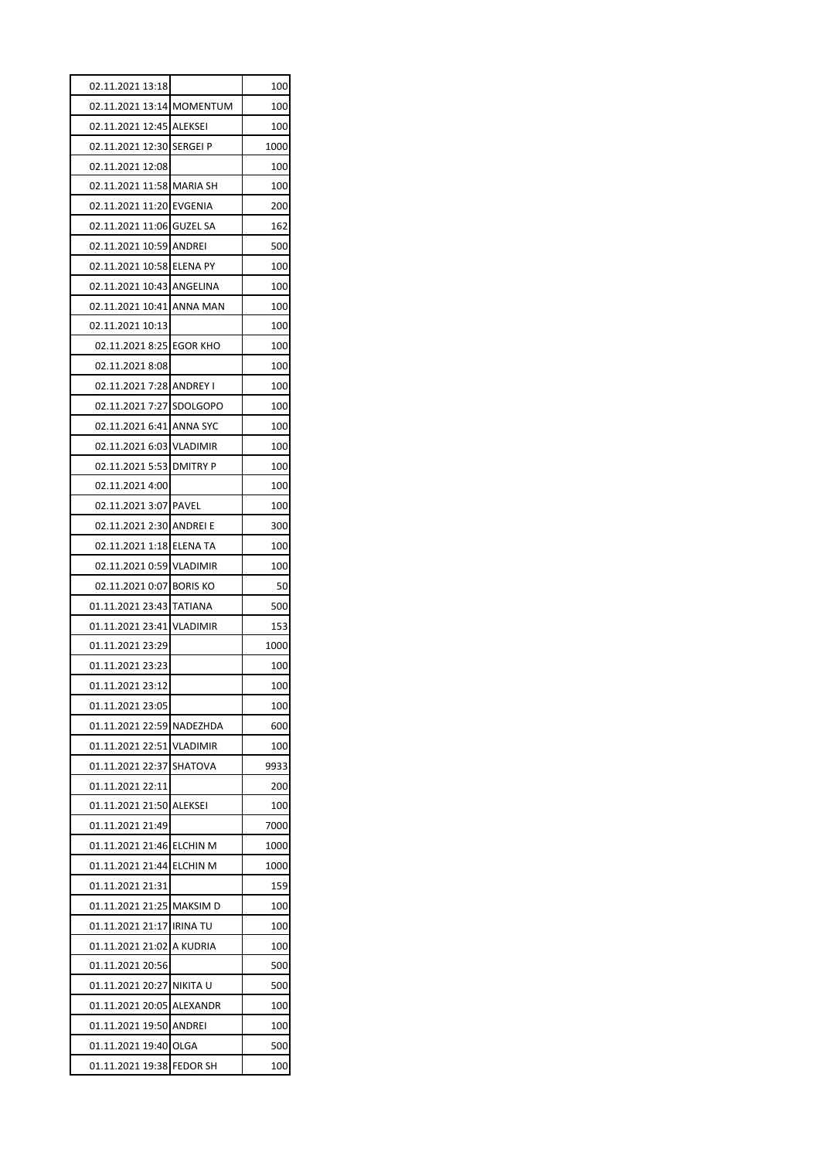| 02.11.2021 13:18          |                 | 100  |
|---------------------------|-----------------|------|
| 02.11.2021 13:14 MOMENTUM |                 | 100  |
| 02.11.2021 12:45 ALEKSEI  |                 | 100  |
| 02.11.2021 12:30 SERGEI P |                 | 1000 |
| 02.11.2021 12:08          |                 | 100  |
| 02.11.2021 11:58 MARIA SH |                 | 100  |
| 02.11.2021 11:20 EVGENIA  |                 | 200  |
| 02.11.2021 11:06 GUZEL SA |                 | 162  |
| 02.11.2021 10:59 ANDREI   |                 | 500  |
| 02.11.2021 10:58 ELENA PY |                 | 100  |
| 02.11.2021 10:43 ANGELINA |                 | 100  |
| 02.11.2021 10:41 ANNA MAN |                 | 100  |
| 02.11.2021 10:13          |                 | 100  |
| 02.11.2021 8:25           | <b>EGOR KHO</b> | 100  |
| 02.11.2021 8:08           |                 | 100  |
| 02.11.2021 7:28 ANDREY I  |                 | 100  |
| 02.11.2021 7:27 SDOLGOPO  |                 | 100  |
| 02.11.2021 6:41 ANNA SYC  |                 | 100  |
| 02.11.2021 6:03 VLADIMIR  |                 | 100  |
| 02.11.2021 5:53 DMITRY P  |                 | 100  |
| 02.11.2021 4:00           |                 | 100  |
| 02.11.2021 3:07 PAVEL     |                 | 100  |
| 02.11.2021 2:30 ANDREI E  |                 | 300  |
| 02.11.2021 1:18 ELENA TA  |                 | 100  |
| 02.11.2021 0:59 VLADIMIR  |                 | 100  |
| 02.11.2021 0:07 BORIS KO  |                 | 50   |
| 01.11.2021 23:43 TATIANA  |                 | 500  |
| 01.11.2021 23:41          | <b>VLADIMIR</b> | 153  |
| 01.11.2021 23:29          |                 | 1000 |
| 01.11.2021 23:23          |                 | 100  |
| 01.11.2021 23:12          |                 | 100  |
| 01.11.2021 23:05          |                 | 100  |
| 01.11.2021 22:59          | NADEZHDA        | 600  |
| 01.11.2021 22:51          | <b>VLADIMIR</b> | 100  |
| 01.11.2021 22:37          | SHATOVA         | 9933 |
| 01.11.2021 22:11          |                 | 200  |
| 01.11.2021 21:50 ALEKSEI  |                 | 100  |
| 01.11.2021 21:49          |                 | 7000 |
| 01.11.2021 21:46 ELCHIN M |                 | 1000 |
| 01.11.2021 21:44          | <b>ELCHIN M</b> | 1000 |
| 01.11.2021 21:31          |                 | 159  |
| 01.11.2021 21:25          | <b>MAKSIMD</b>  | 100  |
| 01.11.2021 21:17          | <b>IRINA TU</b> | 100  |
| 01.11.2021 21:02          | A KUDRIA        | 100  |
| 01.11.2021 20:56          |                 | 500  |
| 01.11.2021 20:27          | NIKITA U        | 500  |
| 01.11.2021 20:05          | ALEXANDR        | 100  |
| 01.11.2021 19:50          | <b>ANDREI</b>   | 100  |
| 01.11.2021 19:40 OLGA     |                 | 500  |
| 01.11.2021 19:38          | <b>FEDOR SH</b> | 100  |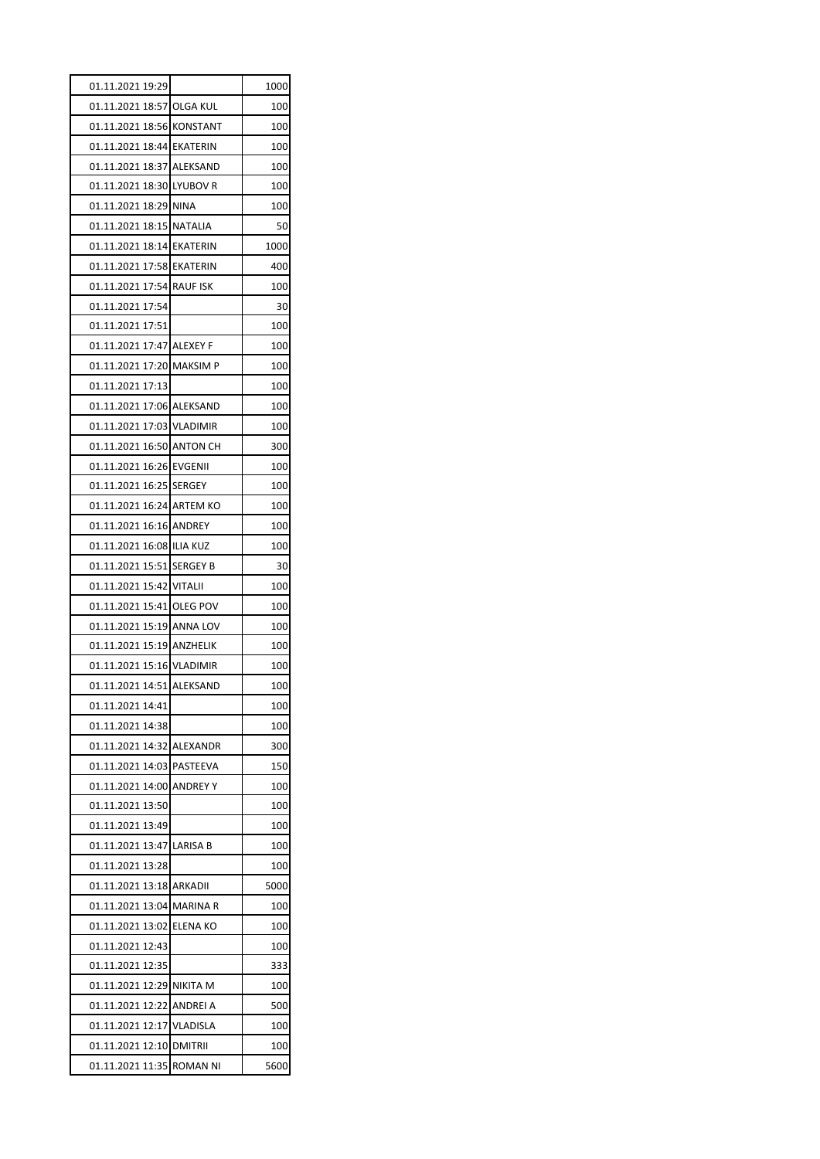| 01.11.2021 19:29          |                           | 1000 |
|---------------------------|---------------------------|------|
| 01.11.2021 18:57 OLGA KUL |                           | 100  |
| 01.11.2021 18:56 KONSTANT |                           | 100  |
| 01.11.2021 18:44 EKATERIN |                           | 100  |
| 01.11.2021 18:37 ALEKSAND |                           | 100  |
| 01.11.2021 18:30 LYUBOV R |                           | 100  |
| 01.11.2021 18:29 NINA     |                           | 100  |
| 01.11.2021 18:15 NATALIA  |                           | 50   |
| 01.11.2021 18:14 EKATERIN |                           | 1000 |
| 01.11.2021 17:58 EKATERIN |                           | 400  |
| 01.11.2021 17:54 RAUF ISK |                           | 100  |
| 01.11.2021 17:54          |                           | 30   |
| 01.11.2021 17:51          |                           | 100  |
| 01.11.2021 17:47 ALEXEY F |                           | 100  |
| 01.11.2021 17:20 MAKSIM P |                           | 100  |
| 01.11.2021 17:13          |                           | 100  |
| 01.11.2021 17:06 ALEKSAND |                           | 100  |
| 01.11.2021 17:03 VLADIMIR |                           | 100  |
| 01.11.2021 16:50 ANTON CH |                           | 300  |
| 01.11.2021 16:26 EVGENII  |                           | 100  |
| 01.11.2021 16:25 SERGEY   |                           | 100  |
| 01.11.2021 16:24 ARTEM KO |                           | 100  |
| 01.11.2021 16:16 ANDREY   |                           | 100  |
| 01.11.2021 16:08 ILIA KUZ |                           | 100  |
| 01.11.2021 15:51 SERGEY B |                           | 30   |
| 01.11.2021 15:42 VITALII  |                           | 100  |
| 01.11.2021 15:41 OLEG POV |                           | 100  |
| 01.11.2021 15:19 ANNA LOV |                           | 100  |
| 01.11.2021 15:19 ANZHELIK |                           | 100  |
| 01.11.2021 15:16 VLADIMIR |                           | 100  |
| 01.11.2021 14:51 ALEKSAND |                           | 100  |
| 01.11.2021 14:41          |                           | 100  |
| 01.11.2021 14:38          |                           | 100  |
| 01.11.2021 14:32 ALEXANDR |                           | 300  |
| 01.11.2021 14:03 PASTEEVA |                           | 150  |
| 01.11.2021 14:00 ANDREY Y |                           | 100  |
| 01.11.2021 13:50          |                           | 100  |
| 01.11.2021 13:49          |                           | 100  |
| 01.11.2021 13:47 LARISA B |                           | 100  |
| 01.11.2021 13:28          |                           | 100  |
| 01.11.2021 13:18 ARKADII  |                           | 5000 |
| 01.11.2021 13:04 MARINA R |                           | 100  |
| 01.11.2021 13:02 ELENA KO |                           | 100  |
| 01.11.2021 12:43          |                           | 100  |
| 01.11.2021 12:35          |                           | 333  |
| 01.11.2021 12:29 NIKITA M |                           | 100  |
| 01.11.2021 12:22 ANDREI A |                           | 500  |
| 01.11.2021 12:17 VLADISLA |                           | 100  |
| 01.11.2021 12:10 DMITRII  |                           | 100  |
|                           | 01.11.2021 11:35 ROMAN NI |      |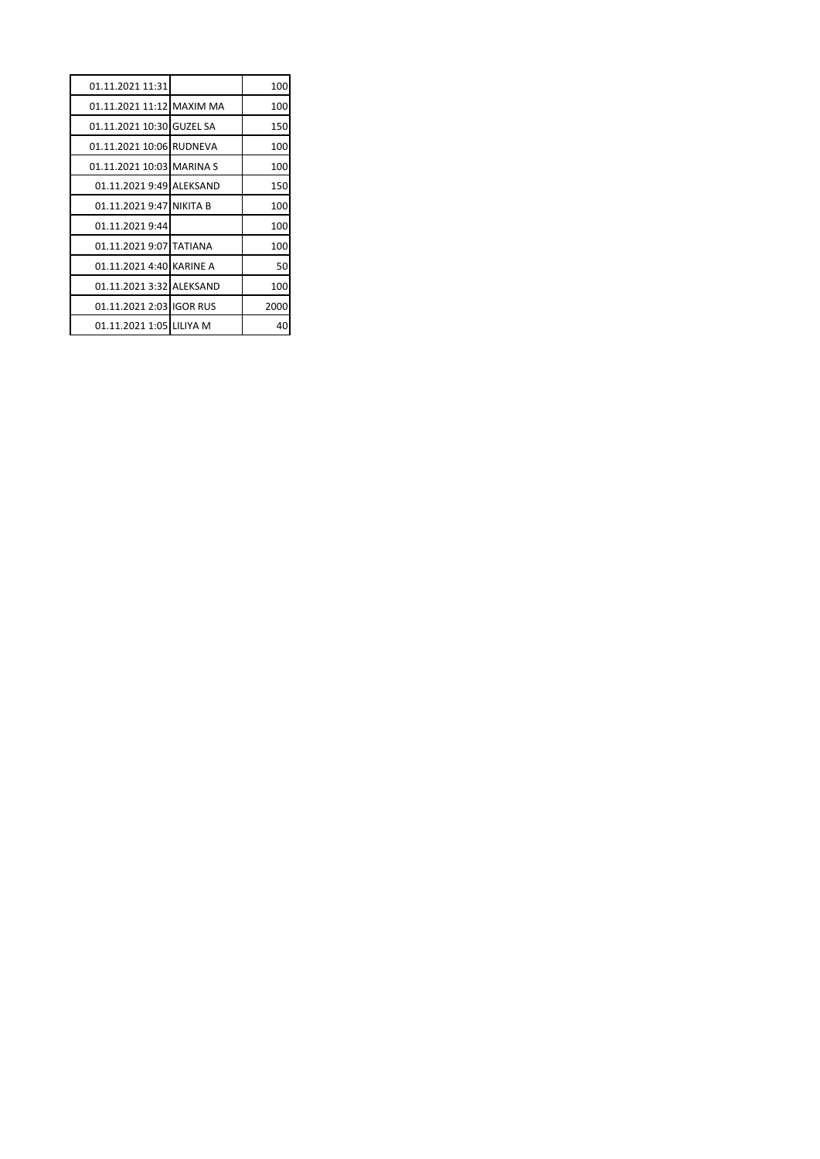| 01.11.2021 11:31          | 100  |
|---------------------------|------|
| 01.11.2021 11:12 MAXIM MA | 100  |
| 01.11.2021 10:30 GUZEL SA | 150  |
| 01.11.2021 10:06 RUDNEVA  | 100  |
| 01.11.2021 10:03 MARINA S | 100  |
| 01.11.2021 9:49 ALEKSAND  | 150  |
| 01.11.2021 9:47 NIKITA B  | 100  |
| 01.11.2021 9:44           | 100  |
| 01.11.2021 9:07 TATIANA   | 100  |
| 01.11.2021 4:40 KARINE A  | 50   |
| 01.11.2021 3:32 ALEKSAND  | 100  |
| 01.11.2021 2:03 IGOR RUS  | 2000 |
| 01.11.2021 1:05 LILIYA M  | 40   |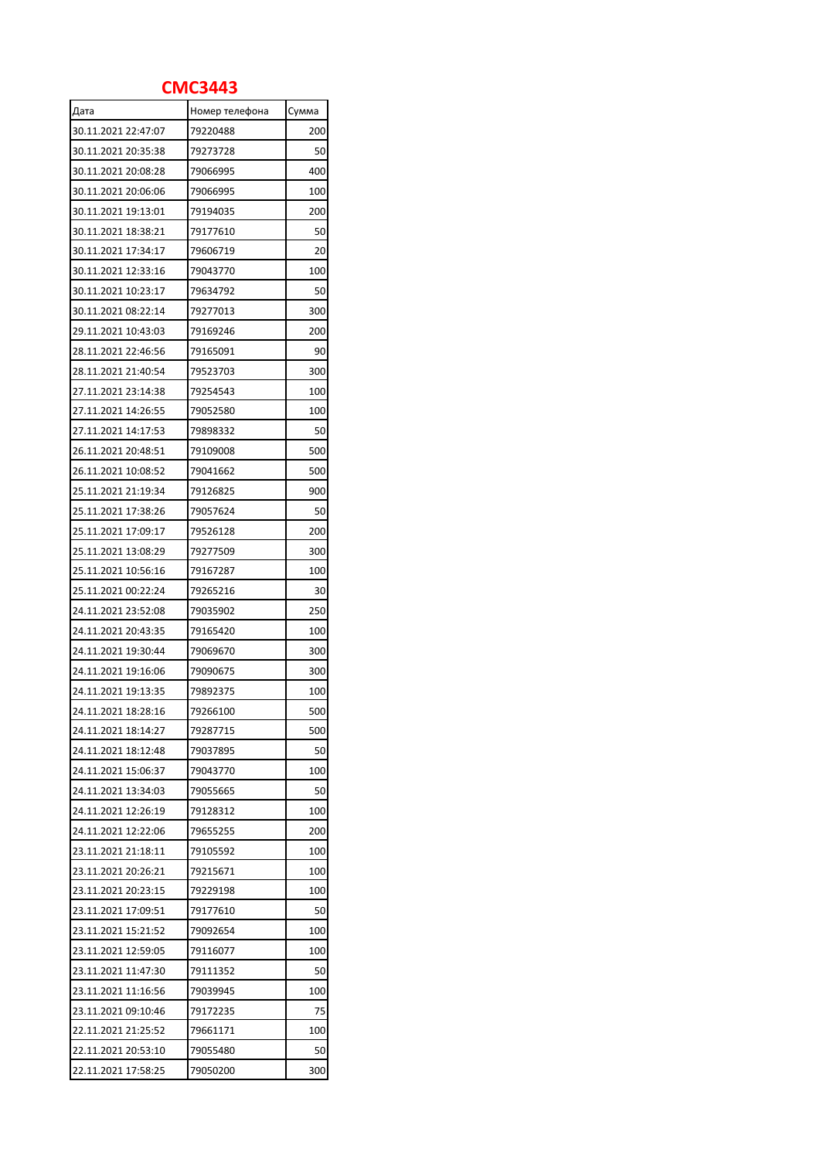## **СМС3443**

| Дата                | Номер телефона | Сумма |
|---------------------|----------------|-------|
| 30.11.2021 22:47:07 | 79220488       | 200   |
| 30.11.2021 20:35:38 | 79273728       | 50    |
| 30.11.2021 20:08:28 | 79066995       | 400   |
| 30.11.2021 20:06:06 | 79066995       | 100   |
| 30.11.2021 19:13:01 | 79194035       | 200   |
| 30.11.2021 18:38:21 | 79177610       | 50    |
| 30.11.2021 17:34:17 | 79606719       | 20    |
| 30.11.2021 12:33:16 | 79043770       | 100   |
| 30.11.2021 10:23:17 | 79634792       | 50    |
| 30.11.2021 08:22:14 | 79277013       | 300   |
| 29.11.2021 10:43:03 | 79169246       | 200   |
| 28.11.2021 22:46:56 | 79165091       | 90    |
| 28.11.2021 21:40:54 | 79523703       | 300   |
| 27.11.2021 23:14:38 | 79254543       | 100   |
| 27.11.2021 14:26:55 | 79052580       | 100   |
| 27.11.2021 14:17:53 | 79898332       | 50    |
| 26.11.2021 20:48:51 | 79109008       | 500   |
| 26.11.2021 10:08:52 | 79041662       | 500   |
| 25.11.2021 21:19:34 | 79126825       | 900   |
| 25.11.2021 17:38:26 | 79057624       |       |
|                     | 79526128       | 50    |
| 25.11.2021 17:09:17 |                | 200   |
| 25.11.2021 13:08:29 | 79277509       | 300   |
| 25.11.2021 10:56:16 | 79167287       | 100   |
| 25.11.2021 00:22:24 | 79265216       | 30    |
| 24.11.2021 23:52:08 | 79035902       | 250   |
| 24.11.2021 20:43:35 | 79165420       | 100   |
| 24.11.2021 19:30:44 | 79069670       | 300   |
| 24.11.2021 19:16:06 | 79090675       | 300   |
| 24.11.2021 19:13:35 | 79892375       | 100   |
| 24.11.2021 18:28:16 | 79266100       | 500   |
| 24.11.2021 18:14:27 | 79287715       | 500   |
| 24.11.2021 18:12:48 | 79037895       | 50    |
| 24.11.2021 15:06:37 | 79043770       | 100   |
| 24.11.2021 13:34:03 | 79055665       | 50    |
| 24.11.2021 12:26:19 | 79128312       | 100   |
| 24.11.2021 12:22:06 | 79655255       | 200   |
| 23.11.2021 21:18:11 | 79105592       | 100   |
| 23.11.2021 20:26:21 | 79215671       | 100   |
| 23.11.2021 20:23:15 | 79229198       | 100   |
| 23.11.2021 17:09:51 | 79177610       | 50    |
| 23.11.2021 15:21:52 | 79092654       | 100   |
| 23.11.2021 12:59:05 | 79116077       | 100   |
| 23.11.2021 11:47:30 | 79111352       | 50    |
| 23.11.2021 11:16:56 | 79039945       | 100   |
| 23.11.2021 09:10:46 | 79172235       | 75    |
| 22.11.2021 21:25:52 | 79661171       | 100   |
| 22.11.2021 20:53:10 | 79055480       | 50    |
| 22.11.2021 17:58:25 | 79050200       | 300   |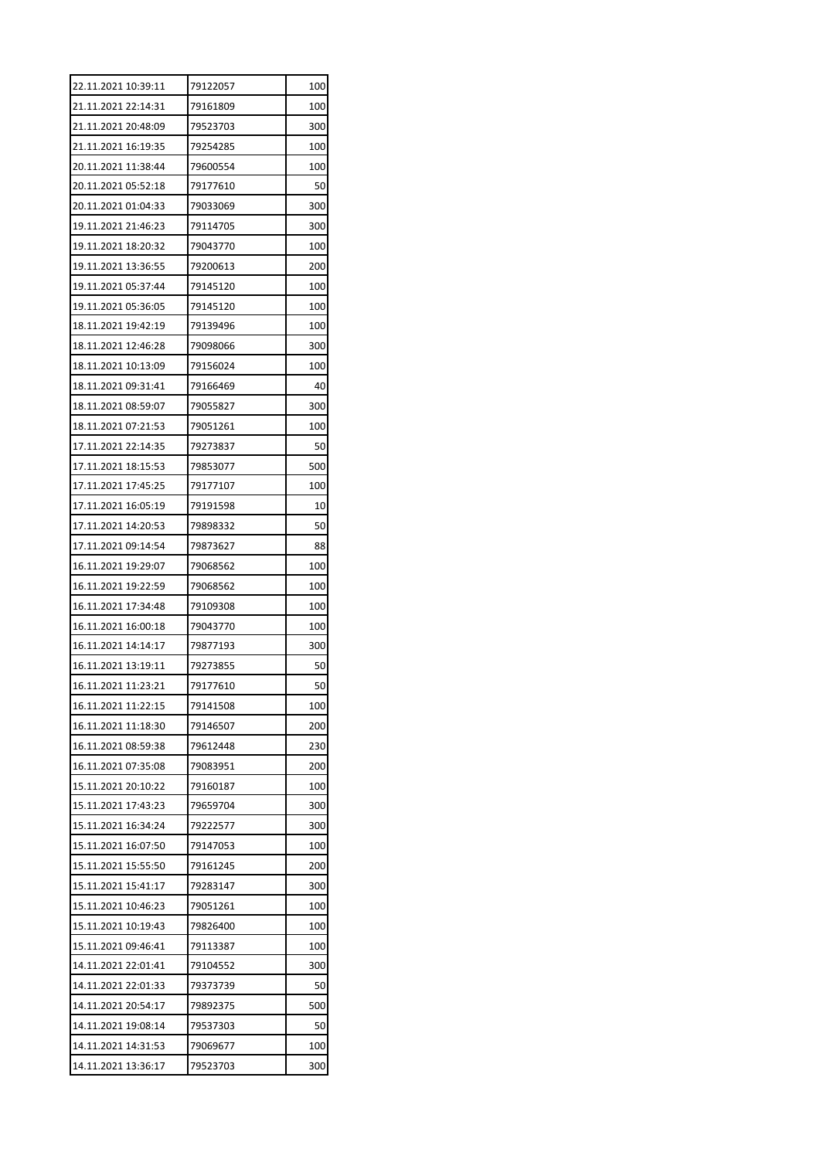| 22.11.2021 10:39:11 | 79122057 | 100 |
|---------------------|----------|-----|
| 21.11.2021 22:14:31 | 79161809 | 100 |
| 21.11.2021 20:48:09 | 79523703 | 300 |
| 21.11.2021 16:19:35 | 79254285 | 100 |
| 20.11.2021 11:38:44 | 79600554 | 100 |
| 20.11.2021 05:52:18 | 79177610 | 50  |
| 20.11.2021 01:04:33 | 79033069 | 300 |
| 19.11.2021 21:46:23 | 79114705 | 300 |
| 19.11.2021 18:20:32 | 79043770 | 100 |
| 19.11.2021 13:36:55 | 79200613 | 200 |
| 19.11.2021 05:37:44 | 79145120 | 100 |
| 19.11.2021 05:36:05 | 79145120 | 100 |
| 18.11.2021 19:42:19 | 79139496 | 100 |
| 18.11.2021 12:46:28 | 79098066 | 300 |
| 18.11.2021 10:13:09 | 79156024 | 100 |
| 18.11.2021 09:31:41 | 79166469 | 40  |
| 18.11.2021 08:59:07 | 79055827 | 300 |
| 18.11.2021 07:21:53 | 79051261 | 100 |
| 17.11.2021 22:14:35 | 79273837 | 50  |
| 17.11.2021 18:15:53 | 79853077 | 500 |
| 17.11.2021 17:45:25 | 79177107 | 100 |
| 17.11.2021 16:05:19 | 79191598 | 10  |
| 17.11.2021 14:20:53 | 79898332 | 50  |
| 17.11.2021 09:14:54 | 79873627 | 88  |
| 16.11.2021 19:29:07 | 79068562 | 100 |
| 16.11.2021 19:22:59 | 79068562 | 100 |
| 16.11.2021 17:34:48 | 79109308 | 100 |
| 16.11.2021 16:00:18 | 79043770 | 100 |
| 16.11.2021 14:14:17 | 79877193 | 300 |
| 16.11.2021 13:19:11 | 79273855 | 50  |
| 16.11.2021 11:23:21 | 79177610 | 50  |
| 16.11.2021 11:22:15 | 79141508 | 100 |
| 16.11.2021 11:18:30 | 79146507 | 200 |
| 16.11.2021 08:59:38 | 79612448 | 230 |
| 16.11.2021 07:35:08 | 79083951 | 200 |
| 15.11.2021 20:10:22 | 79160187 | 100 |
| 15.11.2021 17:43:23 | 79659704 | 300 |
| 15.11.2021 16:34:24 | 79222577 | 300 |
| 15.11.2021 16:07:50 | 79147053 | 100 |
| 15.11.2021 15:55:50 | 79161245 | 200 |
| 15.11.2021 15:41:17 | 79283147 | 300 |
| 15.11.2021 10:46:23 | 79051261 | 100 |
| 15.11.2021 10:19:43 | 79826400 | 100 |
| 15.11.2021 09:46:41 | 79113387 | 100 |
| 14.11.2021 22:01:41 | 79104552 | 300 |
| 14.11.2021 22:01:33 | 79373739 | 50  |
| 14.11.2021 20:54:17 | 79892375 | 500 |
| 14.11.2021 19:08:14 | 79537303 | 50  |
| 14.11.2021 14:31:53 | 79069677 | 100 |
|                     |          |     |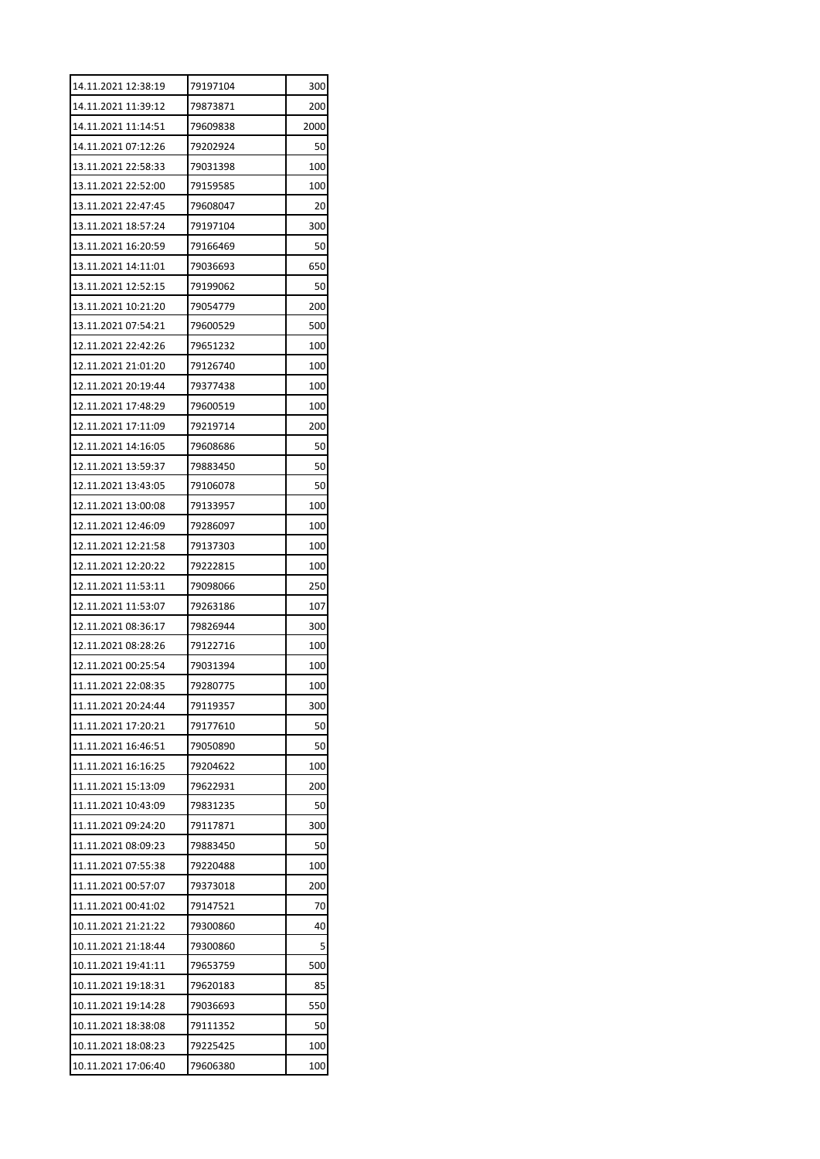| 14.11.2021 12:38:19 | 79197104 | 300  |
|---------------------|----------|------|
| 14.11.2021 11:39:12 | 79873871 | 200  |
| 14.11.2021 11:14:51 | 79609838 | 2000 |
| 14.11.2021 07:12:26 | 79202924 | 50   |
| 13.11.2021 22:58:33 | 79031398 | 100  |
| 13.11.2021 22:52:00 | 79159585 | 100  |
| 13.11.2021 22:47:45 | 79608047 | 20   |
| 13.11.2021 18:57:24 | 79197104 | 300  |
| 13.11.2021 16:20:59 | 79166469 | 50   |
| 13.11.2021 14:11:01 | 79036693 | 650  |
| 13.11.2021 12:52:15 | 79199062 | 50   |
| 13.11.2021 10:21:20 | 79054779 | 200  |
| 13.11.2021 07:54:21 | 79600529 | 500  |
| 12.11.2021 22:42:26 | 79651232 | 100  |
| 12.11.2021 21:01:20 | 79126740 | 100  |
| 12.11.2021 20:19:44 | 79377438 | 100  |
| 12.11.2021 17:48:29 | 79600519 | 100  |
| 12.11.2021 17:11:09 | 79219714 | 200  |
| 12.11.2021 14:16:05 | 79608686 | 50   |
| 12.11.2021 13:59:37 | 79883450 | 50   |
| 12.11.2021 13:43:05 | 79106078 | 50   |
| 12.11.2021 13:00:08 | 79133957 | 100  |
| 12.11.2021 12:46:09 | 79286097 | 100  |
| 12.11.2021 12:21:58 | 79137303 | 100  |
| 12.11.2021 12:20:22 | 79222815 | 100  |
| 12.11.2021 11:53:11 | 79098066 | 250  |
| 12.11.2021 11:53:07 | 79263186 | 107  |
| 12.11.2021 08:36:17 | 79826944 | 300  |
| 12.11.2021 08:28:26 | 79122716 | 100  |
| 12.11.2021 00:25:54 | 79031394 | 100  |
| 11.11.2021 22:08:35 | 79280775 | 100  |
| 11.11.2021 20:24:44 | 79119357 | 300  |
| 11.11.2021 17:20:21 | 79177610 | 50   |
| 11.11.2021 16:46:51 | 79050890 | 50   |
| 11.11.2021 16:16:25 | 79204622 | 100  |
| 11.11.2021 15:13:09 | 79622931 | 200  |
| 11.11.2021 10:43:09 | 79831235 | 50   |
| 11.11.2021 09:24:20 | 79117871 | 300  |
| 11.11.2021 08:09:23 | 79883450 | 50   |
| 11.11.2021 07:55:38 | 79220488 | 100  |
| 11.11.2021 00:57:07 | 79373018 | 200  |
| 11.11.2021 00:41:02 | 79147521 | 70   |
| 10.11.2021 21:21:22 | 79300860 | 40   |
| 10.11.2021 21:18:44 | 79300860 | 5    |
| 10.11.2021 19:41:11 | 79653759 | 500  |
| 10.11.2021 19:18:31 | 79620183 | 85   |
| 10.11.2021 19:14:28 | 79036693 | 550  |
| 10.11.2021 18:38:08 | 79111352 | 50   |
| 10.11.2021 18:08:23 | 79225425 | 100  |
| 10.11.2021 17:06:40 | 79606380 | 100  |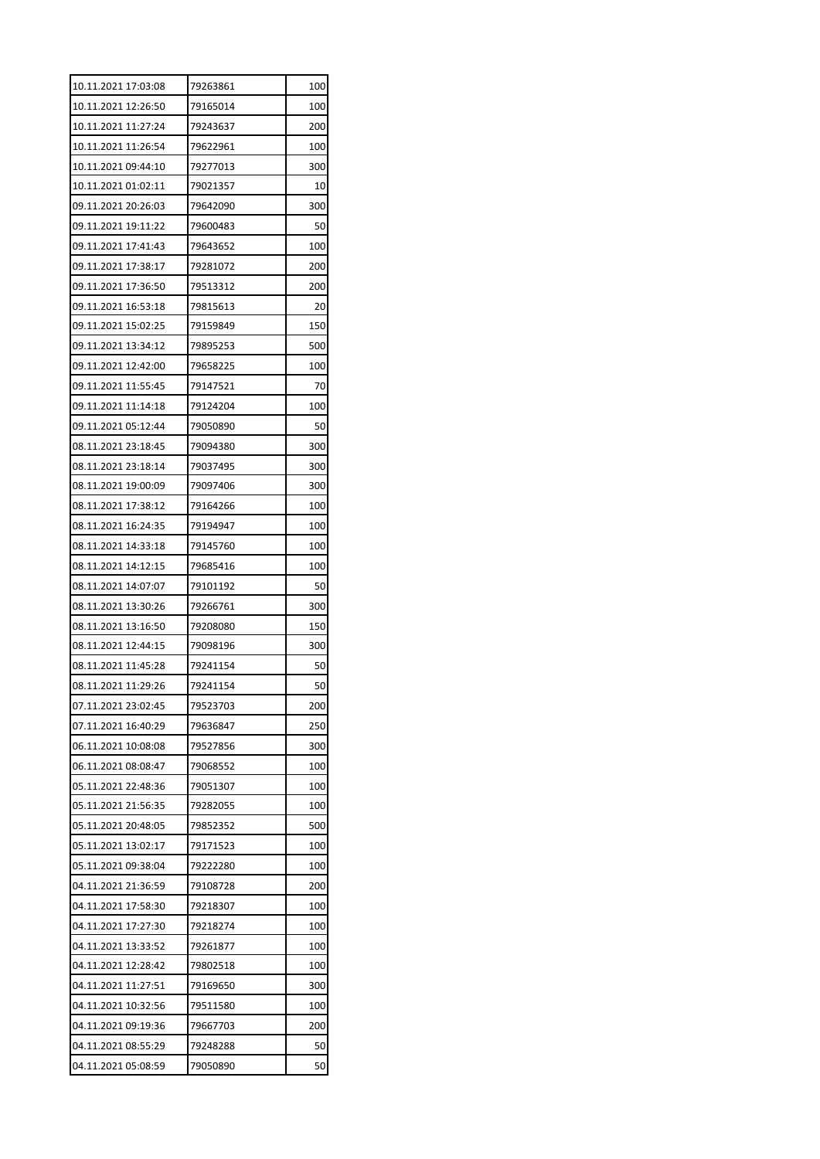| 10.11.2021 17:03:08 | 79263861 | 100 |
|---------------------|----------|-----|
| 10.11.2021 12:26:50 | 79165014 | 100 |
| 10.11.2021 11:27:24 | 79243637 | 200 |
| 10.11.2021 11:26:54 | 79622961 | 100 |
| 10.11.2021 09:44:10 | 79277013 | 300 |
| 10.11.2021 01:02:11 | 79021357 | 10  |
| 09.11.2021 20:26:03 | 79642090 | 300 |
| 09.11.2021 19:11:22 | 79600483 | 50  |
| 09.11.2021 17:41:43 | 79643652 | 100 |
| 09.11.2021 17:38:17 | 79281072 | 200 |
| 09.11.2021 17:36:50 | 79513312 | 200 |
| 09.11.2021 16:53:18 | 79815613 | 20  |
| 09.11.2021 15:02:25 | 79159849 | 150 |
| 09.11.2021 13:34:12 | 79895253 | 500 |
| 09.11.2021 12:42:00 | 79658225 | 100 |
| 09.11.2021 11:55:45 | 79147521 | 70  |
| 09.11.2021 11:14:18 | 79124204 | 100 |
| 09.11.2021 05:12:44 | 79050890 | 50  |
| 08.11.2021 23:18:45 | 79094380 | 300 |
| 08.11.2021 23:18:14 | 79037495 | 300 |
| 08.11.2021 19:00:09 | 79097406 | 300 |
| 08.11.2021 17:38:12 | 79164266 | 100 |
| 08.11.2021 16:24:35 | 79194947 | 100 |
| 08.11.2021 14:33:18 | 79145760 | 100 |
| 08.11.2021 14:12:15 | 79685416 | 100 |
| 08.11.2021 14:07:07 | 79101192 | 50  |
| 08.11.2021 13:30:26 | 79266761 | 300 |
| 08.11.2021 13:16:50 | 79208080 | 150 |
| 08.11.2021 12:44:15 | 79098196 | 300 |
| 08.11.2021 11:45:28 | 79241154 | 50  |
| 08.11.2021 11:29:26 | 79241154 | 50  |
| 07.11.2021 23:02:45 | 79523703 | 200 |
| 07.11.2021 16:40:29 | 79636847 | 250 |
| 06.11.2021 10:08:08 | 79527856 | 300 |
| 06.11.2021 08:08:47 | 79068552 | 100 |
| 05.11.2021 22:48:36 | 79051307 | 100 |
| 05.11.2021 21:56:35 | 79282055 | 100 |
| 05.11.2021 20:48:05 | 79852352 | 500 |
| 05.11.2021 13:02:17 | 79171523 | 100 |
| 05.11.2021 09:38:04 | 79222280 | 100 |
| 04.11.2021 21:36:59 | 79108728 | 200 |
| 04.11.2021 17:58:30 | 79218307 | 100 |
| 04.11.2021 17:27:30 | 79218274 | 100 |
| 04.11.2021 13:33:52 | 79261877 | 100 |
| 04.11.2021 12:28:42 | 79802518 | 100 |
| 04.11.2021 11:27:51 | 79169650 | 300 |
| 04.11.2021 10:32:56 | 79511580 | 100 |
| 04.11.2021 09:19:36 | 79667703 | 200 |
| 04.11.2021 08:55:29 | 79248288 | 50  |
| 04.11.2021 05:08:59 | 79050890 | 50  |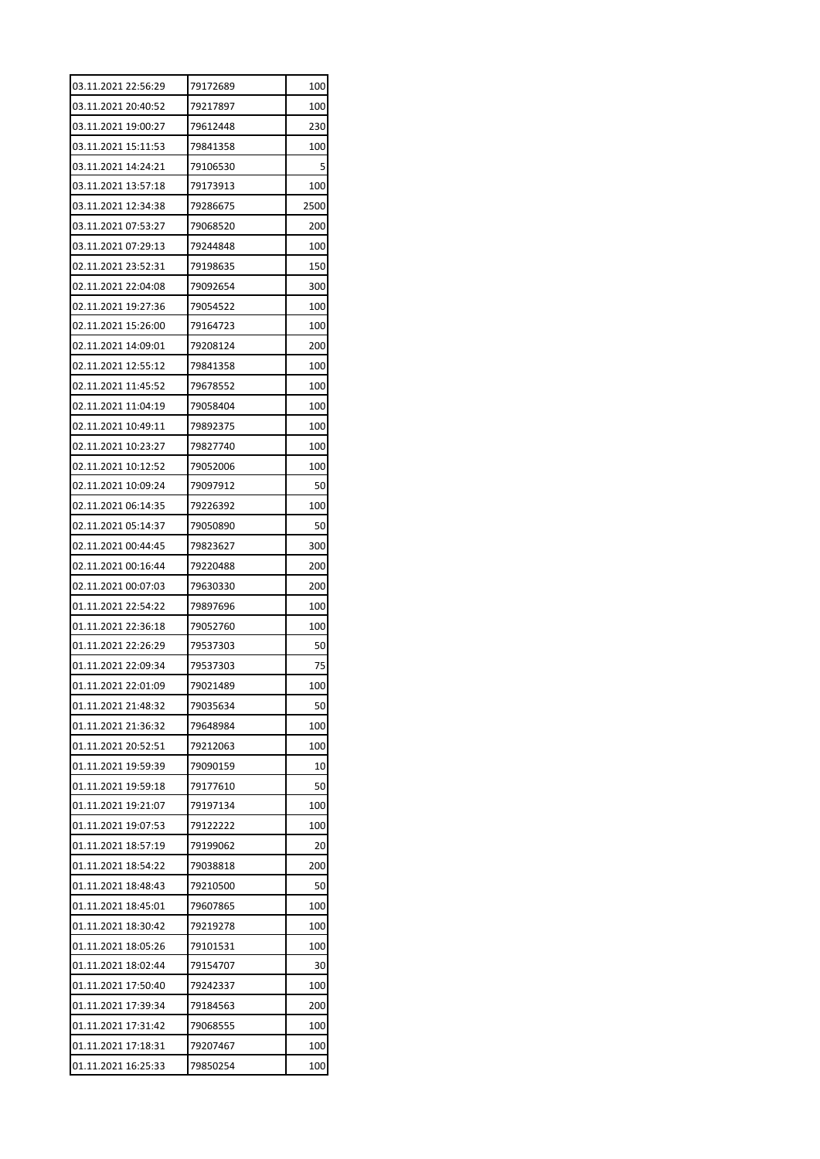| 03.11.2021 22:56:29 | 79172689 | 100  |
|---------------------|----------|------|
| 03.11.2021 20:40:52 | 79217897 | 100  |
| 03.11.2021 19:00:27 | 79612448 | 230  |
| 03.11.2021 15:11:53 | 79841358 | 100  |
| 03.11.2021 14:24:21 | 79106530 | 5    |
| 03.11.2021 13:57:18 | 79173913 | 100  |
| 03.11.2021 12:34:38 | 79286675 | 2500 |
| 03.11.2021 07:53:27 | 79068520 | 200  |
| 03.11.2021 07:29:13 | 79244848 | 100  |
| 02.11.2021 23:52:31 | 79198635 | 150  |
| 02.11.2021 22:04:08 | 79092654 | 300  |
| 02.11.2021 19:27:36 | 79054522 | 100  |
| 02.11.2021 15:26:00 | 79164723 | 100  |
| 02.11.2021 14:09:01 | 79208124 | 200  |
| 02.11.2021 12:55:12 | 79841358 | 100  |
| 02.11.2021 11:45:52 | 79678552 | 100  |
| 02.11.2021 11:04:19 | 79058404 | 100  |
| 02.11.2021 10:49:11 | 79892375 | 100  |
| 02.11.2021 10:23:27 | 79827740 | 100  |
| 02.11.2021 10:12:52 | 79052006 | 100  |
| 02.11.2021 10:09:24 | 79097912 | 50   |
| 02.11.2021 06:14:35 | 79226392 | 100  |
| 02.11.2021 05:14:37 | 79050890 | 50   |
| 02.11.2021 00:44:45 | 79823627 | 300  |
| 02.11.2021 00:16:44 | 79220488 | 200  |
| 02.11.2021 00:07:03 | 79630330 | 200  |
| 01.11.2021 22:54:22 | 79897696 | 100  |
| 01.11.2021 22:36:18 | 79052760 | 100  |
| 01.11.2021 22:26:29 | 79537303 | 50   |
| 01.11.2021 22:09:34 | 79537303 | 75   |
| 01.11.2021 22:01:09 | 79021489 | 100  |
| 01.11.2021 21:48:32 | 79035634 | 50   |
| 01.11.2021 21:36:32 | 79648984 | 100  |
| 01.11.2021 20:52:51 | 79212063 | 100  |
| 01.11.2021 19:59:39 | 79090159 | 10   |
| 01.11.2021 19:59:18 | 79177610 | 50   |
| 01.11.2021 19:21:07 | 79197134 | 100  |
| 01.11.2021 19:07:53 | 79122222 | 100  |
| 01.11.2021 18:57:19 | 79199062 | 20   |
| 01.11.2021 18:54:22 | 79038818 | 200  |
| 01.11.2021 18:48:43 | 79210500 | 50   |
| 01.11.2021 18:45:01 | 79607865 | 100  |
| 01.11.2021 18:30:42 | 79219278 | 100  |
| 01.11.2021 18:05:26 | 79101531 | 100  |
| 01.11.2021 18:02:44 | 79154707 | 30   |
| 01.11.2021 17:50:40 | 79242337 | 100  |
| 01.11.2021 17:39:34 | 79184563 | 200  |
| 01.11.2021 17:31:42 | 79068555 | 100  |
| 01.11.2021 17:18:31 | 79207467 | 100  |
|                     |          |      |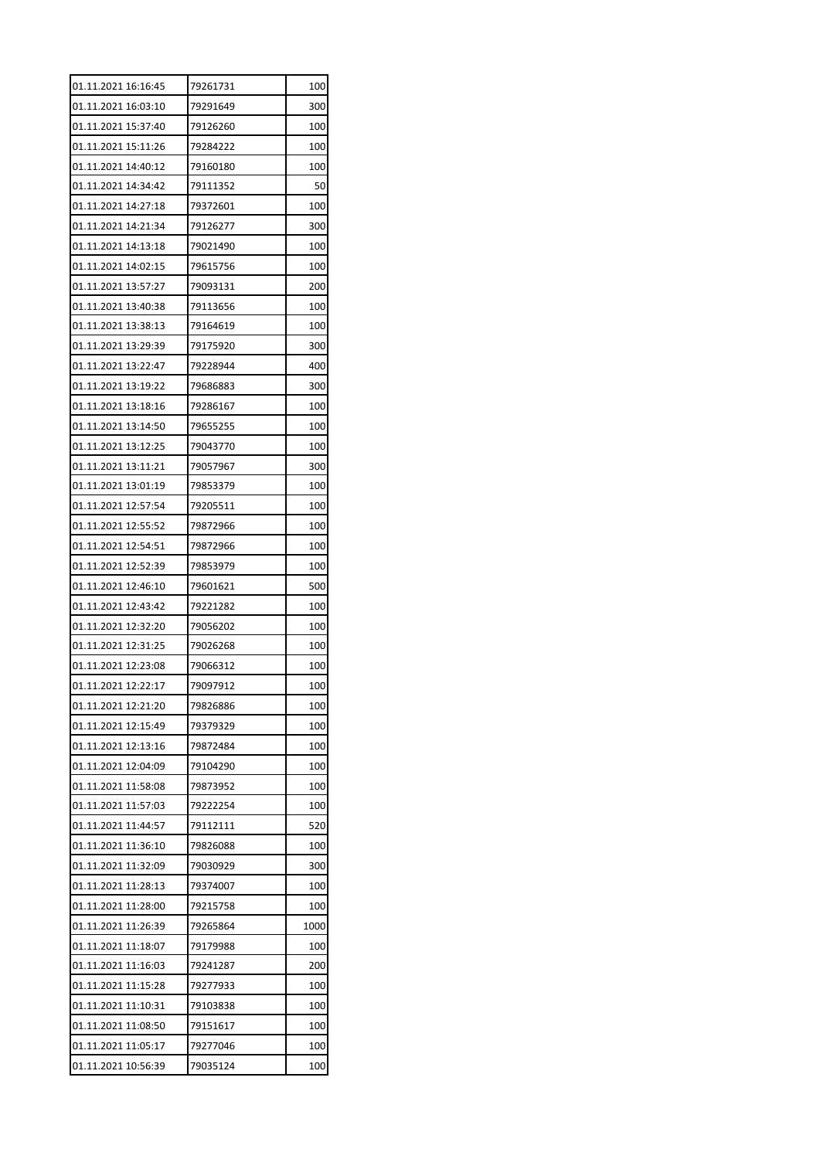| 01.11.2021 16:16:45 | 79261731 | 100  |
|---------------------|----------|------|
| 01.11.2021 16:03:10 | 79291649 | 300  |
| 01.11.2021 15:37:40 | 79126260 | 100  |
| 01.11.2021 15:11:26 | 79284222 | 100  |
| 01.11.2021 14:40:12 | 79160180 | 100  |
| 01.11.2021 14:34:42 | 79111352 | 50   |
| 01.11.2021 14:27:18 | 79372601 | 100  |
| 01.11.2021 14:21:34 | 79126277 | 300  |
| 01.11.2021 14:13:18 | 79021490 | 100  |
| 01.11.2021 14:02:15 | 79615756 | 100  |
| 01.11.2021 13:57:27 | 79093131 | 200  |
| 01.11.2021 13:40:38 | 79113656 | 100  |
| 01.11.2021 13:38:13 | 79164619 | 100  |
| 01.11.2021 13:29:39 | 79175920 | 300  |
| 01.11.2021 13:22:47 | 79228944 | 400  |
| 01.11.2021 13:19:22 | 79686883 | 300  |
| 01.11.2021 13:18:16 | 79286167 | 100  |
| 01.11.2021 13:14:50 | 79655255 | 100  |
| 01.11.2021 13:12:25 | 79043770 | 100  |
| 01.11.2021 13:11:21 | 79057967 | 300  |
| 01.11.2021 13:01:19 | 79853379 | 100  |
| 01.11.2021 12:57:54 | 79205511 | 100  |
| 01.11.2021 12:55:52 | 79872966 | 100  |
| 01.11.2021 12:54:51 | 79872966 | 100  |
| 01.11.2021 12:52:39 | 79853979 | 100  |
| 01.11.2021 12:46:10 | 79601621 | 500  |
| 01.11.2021 12:43:42 | 79221282 | 100  |
| 01.11.2021 12:32:20 | 79056202 | 100  |
| 01.11.2021 12:31:25 | 79026268 | 100  |
| 01.11.2021 12:23:08 | 79066312 | 100  |
| 01.11.2021 12:22:17 | 79097912 | 100  |
| 01.11.2021 12:21:20 | 79826886 | 100  |
| 01.11.2021 12:15:49 | 79379329 | 100  |
| 01.11.2021 12:13:16 | 79872484 | 100  |
| 01.11.2021 12:04:09 | 79104290 | 100  |
| 01.11.2021 11:58:08 | 79873952 | 100  |
| 01.11.2021 11:57:03 | 79222254 | 100  |
| 01.11.2021 11:44:57 | 79112111 | 520  |
| 01.11.2021 11:36:10 | 79826088 | 100  |
| 01.11.2021 11:32:09 | 79030929 | 300  |
| 01.11.2021 11:28:13 | 79374007 | 100  |
| 01.11.2021 11:28:00 | 79215758 | 100  |
| 01.11.2021 11:26:39 | 79265864 | 1000 |
| 01.11.2021 11:18:07 | 79179988 | 100  |
| 01.11.2021 11:16:03 | 79241287 | 200  |
| 01.11.2021 11:15:28 | 79277933 | 100  |
| 01.11.2021 11:10:31 | 79103838 | 100  |
| 01.11.2021 11:08:50 | 79151617 | 100  |
| 01.11.2021 11:05:17 | 79277046 | 100  |
| 01.11.2021 10:56:39 | 79035124 | 100  |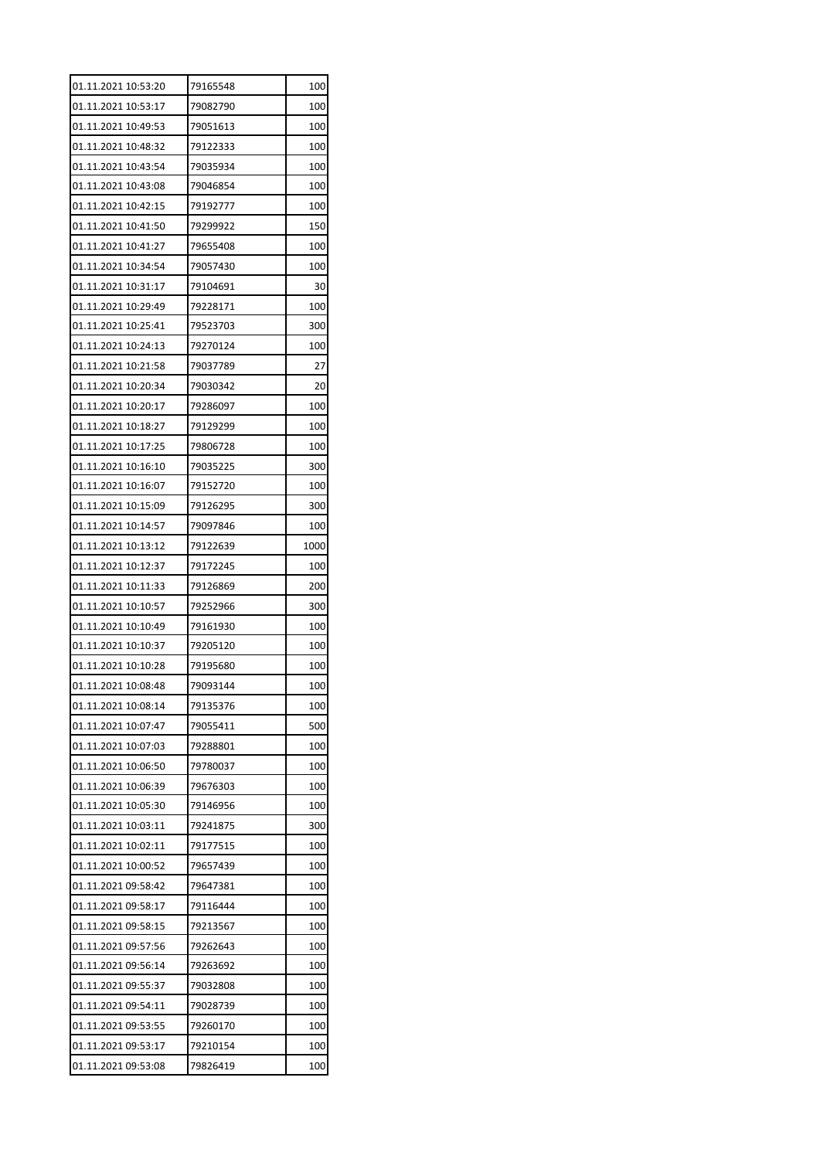| 01.11.2021 10:53:20<br>79165548 | 100  |
|---------------------------------|------|
| 01.11.2021 10:53:17<br>79082790 | 100  |
| 01.11.2021 10:49:53<br>79051613 | 100  |
| 01.11.2021 10:48:32<br>79122333 | 100  |
| 01.11.2021 10:43:54<br>79035934 | 100  |
| 01.11.2021 10:43:08<br>79046854 | 100  |
| 01.11.2021 10:42:15<br>79192777 | 100  |
| 01.11.2021 10:41:50<br>79299922 | 150  |
| 01.11.2021 10:41:27<br>79655408 | 100  |
| 01.11.2021 10:34:54<br>79057430 | 100  |
| 01.11.2021 10:31:17<br>79104691 | 30   |
| 01.11.2021 10:29:49<br>79228171 | 100  |
| 01.11.2021 10:25:41<br>79523703 | 300  |
| 01.11.2021 10:24:13<br>79270124 | 100  |
| 01.11.2021 10:21:58<br>79037789 | 27   |
| 01.11.2021 10:20:34<br>79030342 | 20   |
| 01.11.2021 10:20:17<br>79286097 | 100  |
| 01.11.2021 10:18:27<br>79129299 | 100  |
| 01.11.2021 10:17:25<br>79806728 | 100  |
| 01.11.2021 10:16:10<br>79035225 | 300  |
| 01.11.2021 10:16:07<br>79152720 | 100  |
| 01.11.2021 10:15:09<br>79126295 | 300  |
| 01.11.2021 10:14:57<br>79097846 | 100  |
| 01.11.2021 10:13:12<br>79122639 | 1000 |
| 01.11.2021 10:12:37<br>79172245 | 100  |
| 01.11.2021 10:11:33<br>79126869 | 200  |
| 01.11.2021 10:10:57<br>79252966 | 300  |
| 01.11.2021 10:10:49<br>79161930 | 100  |
| 01.11.2021 10:10:37<br>79205120 | 100  |
| 01.11.2021 10:10:28<br>79195680 | 100  |
| 01.11.2021 10:08:48<br>79093144 | 100  |
| 01.11.2021 10:08:14<br>79135376 | 100  |
| 01.11.2021 10:07:47<br>79055411 | 500  |
| 01.11.2021 10:07:03<br>79288801 | 100  |
| 01.11.2021 10:06:50<br>79780037 | 100  |
| 01.11.2021 10:06:39<br>79676303 | 100  |
| 01.11.2021 10:05:30<br>79146956 | 100  |
| 01.11.2021 10:03:11<br>79241875 | 300  |
| 01.11.2021 10:02:11<br>79177515 | 100  |
| 01.11.2021 10:00:52<br>79657439 | 100  |
| 01.11.2021 09:58:42<br>79647381 | 100  |
| 01.11.2021 09:58:17<br>79116444 | 100  |
| 01.11.2021 09:58:15<br>79213567 | 100  |
| 01.11.2021 09:57:56<br>79262643 | 100  |
| 01.11.2021 09:56:14<br>79263692 | 100  |
| 01.11.2021 09:55:37<br>79032808 | 100  |
|                                 |      |
| 01.11.2021 09:54:11<br>79028739 | 100  |
| 01.11.2021 09:53:55<br>79260170 | 100  |
| 01.11.2021 09:53:17<br>79210154 | 100  |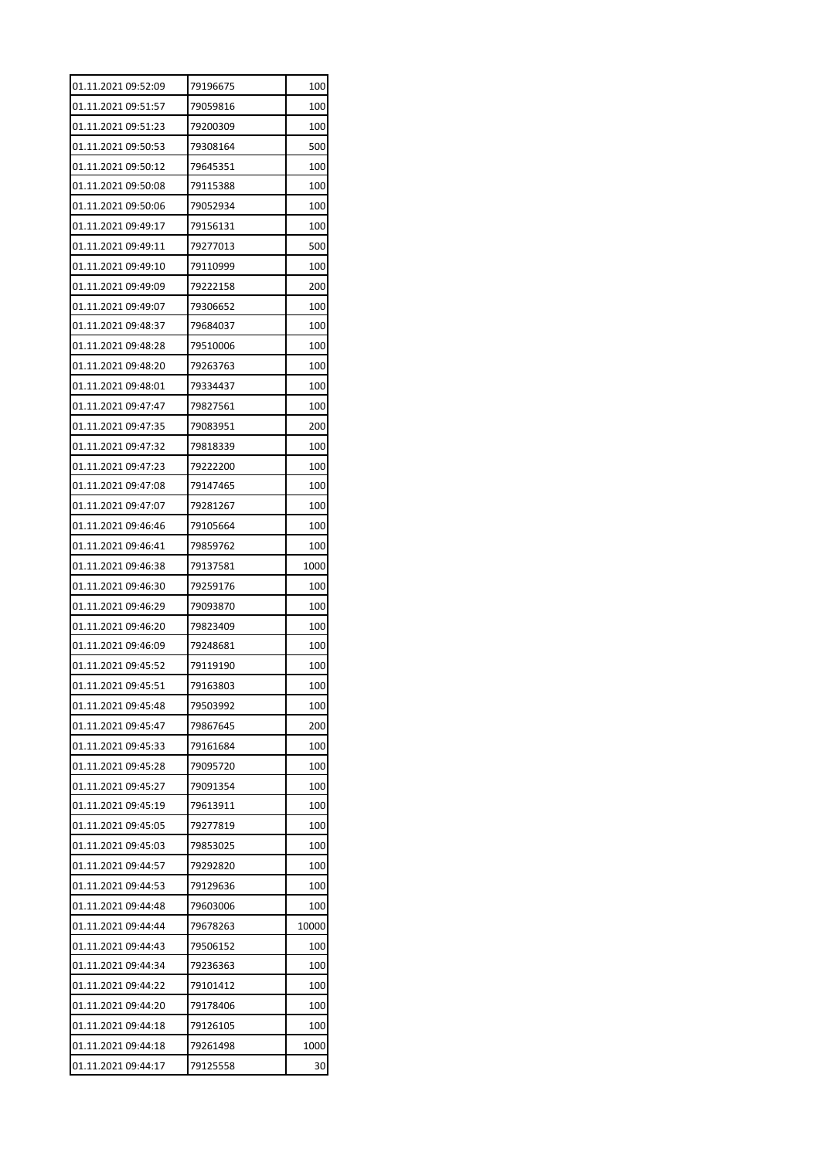| 01.11.2021 09:52:09 | 79196675 | 100   |
|---------------------|----------|-------|
| 01.11.2021 09:51:57 | 79059816 | 100   |
| 01.11.2021 09:51:23 | 79200309 | 100   |
| 01.11.2021 09:50:53 | 79308164 | 500   |
| 01.11.2021 09:50:12 | 79645351 | 100   |
| 01.11.2021 09:50:08 | 79115388 | 100   |
| 01.11.2021 09:50:06 | 79052934 | 100   |
| 01.11.2021 09:49:17 | 79156131 | 100   |
| 01.11.2021 09:49:11 | 79277013 | 500   |
| 01.11.2021 09:49:10 | 79110999 | 100   |
| 01.11.2021 09:49:09 | 79222158 | 200   |
| 01.11.2021 09:49:07 | 79306652 | 100   |
| 01.11.2021 09:48:37 | 79684037 | 100   |
| 01.11.2021 09:48:28 | 79510006 | 100   |
| 01.11.2021 09:48:20 | 79263763 | 100   |
| 01.11.2021 09:48:01 | 79334437 | 100   |
| 01.11.2021 09:47:47 | 79827561 | 100   |
| 01.11.2021 09:47:35 | 79083951 | 200   |
| 01.11.2021 09:47:32 | 79818339 | 100   |
| 01.11.2021 09:47:23 | 79222200 | 100   |
| 01.11.2021 09:47:08 | 79147465 | 100   |
| 01.11.2021 09:47:07 | 79281267 | 100   |
| 01.11.2021 09:46:46 | 79105664 | 100   |
| 01.11.2021 09:46:41 | 79859762 | 100   |
| 01.11.2021 09:46:38 | 79137581 | 1000  |
| 01.11.2021 09:46:30 | 79259176 | 100   |
| 01.11.2021 09:46:29 | 79093870 | 100   |
| 01.11.2021 09:46:20 | 79823409 | 100   |
| 01.11.2021 09:46:09 | 79248681 | 100   |
| 01.11.2021 09:45:52 | 79119190 | 100   |
| 01.11.2021 09:45:51 | 79163803 | 100   |
| 01.11.2021 09:45:48 | 79503992 | 100   |
| 01.11.2021 09:45:47 | 79867645 | 200   |
| 01.11.2021 09:45:33 | 79161684 | 100   |
| 01.11.2021 09:45:28 | 79095720 | 100   |
| 01.11.2021 09:45:27 | 79091354 | 100   |
| 01.11.2021 09:45:19 | 79613911 | 100   |
| 01.11.2021 09:45:05 | 79277819 | 100   |
| 01.11.2021 09:45:03 | 79853025 | 100   |
| 01.11.2021 09:44:57 | 79292820 | 100   |
| 01.11.2021 09:44:53 | 79129636 | 100   |
| 01.11.2021 09:44:48 | 79603006 | 100   |
| 01.11.2021 09:44:44 | 79678263 | 10000 |
| 01.11.2021 09:44:43 | 79506152 | 100   |
| 01.11.2021 09:44:34 | 79236363 | 100   |
| 01.11.2021 09:44:22 | 79101412 | 100   |
| 01.11.2021 09:44:20 | 79178406 | 100   |
| 01.11.2021 09:44:18 | 79126105 | 100   |
| 01.11.2021 09:44:18 | 79261498 | 1000  |
| 01.11.2021 09:44:17 | 79125558 | 30    |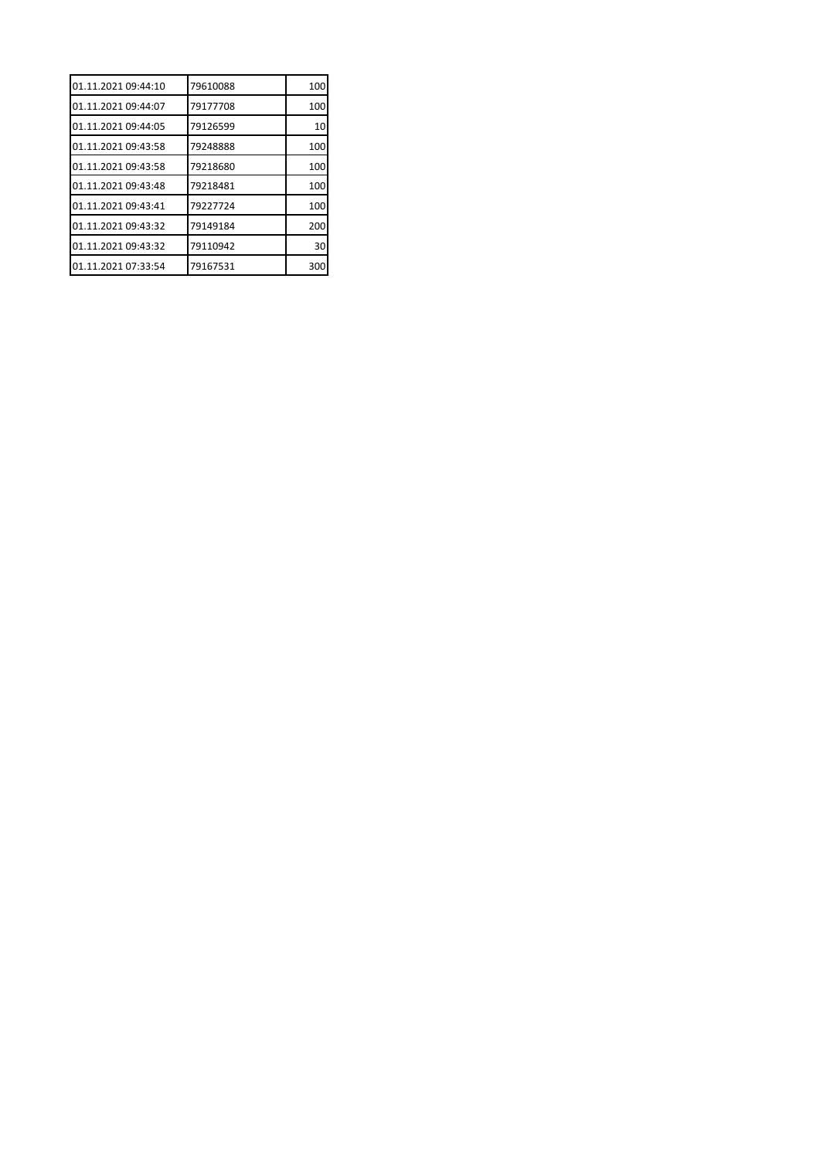| 01.11.2021 09:44:10 | 79610088 | 100 |
|---------------------|----------|-----|
| 01.11.2021 09:44:07 | 79177708 | 100 |
| 01.11.2021 09:44:05 | 79126599 | 10  |
| 01.11.2021 09:43:58 | 79248888 | 100 |
| 01.11.2021 09:43:58 | 79218680 | 100 |
| 01.11.2021 09:43:48 | 79218481 | 100 |
| 01.11.2021 09:43:41 | 79227724 | 100 |
| 01.11.2021 09:43:32 | 79149184 | 200 |
| 01.11.2021 09:43:32 | 79110942 | 30  |
| 01.11.2021 07:33:54 | 79167531 | 300 |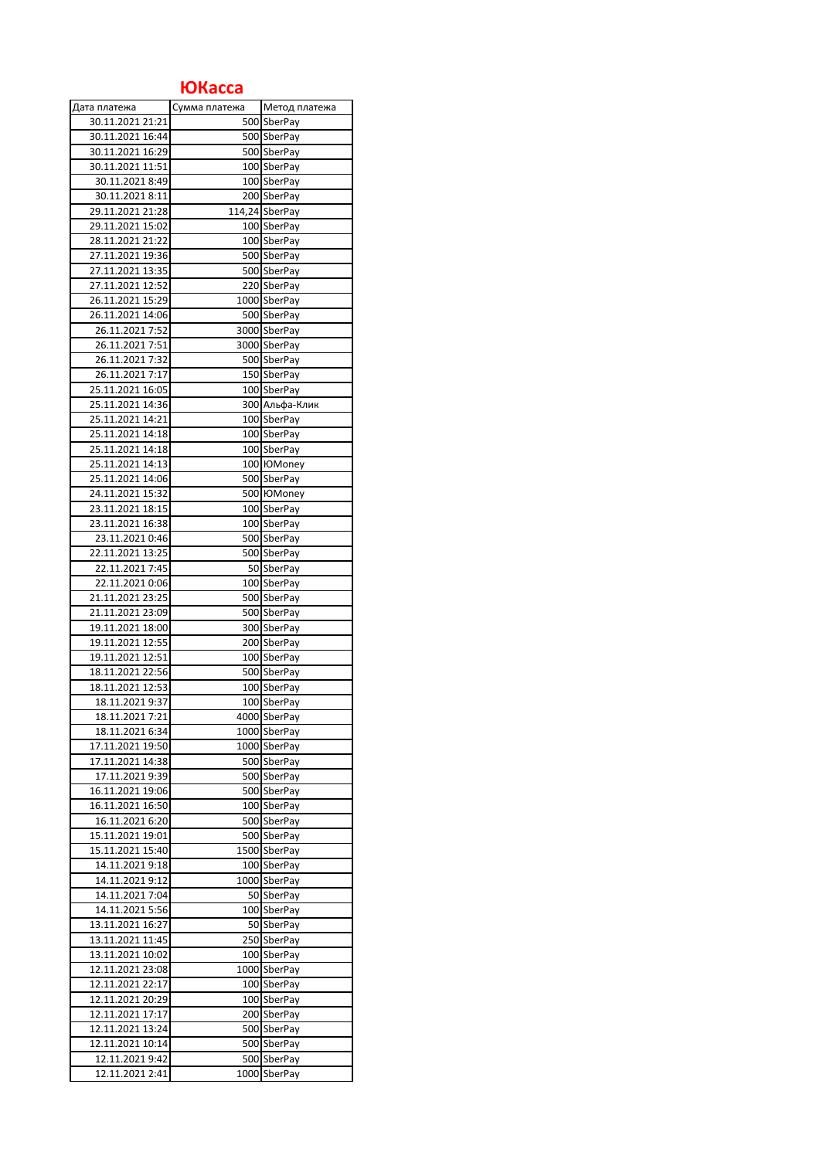## **ЮКасса**

| Дата платежа     | Сумма платежа | Метод платежа      |
|------------------|---------------|--------------------|
| 30.11.2021 21:21 |               | 500 SberPay        |
| 30.11.2021 16:44 |               | 500 SberPay        |
| 30.11.2021 16:29 |               | 500 SberPay        |
| 30.11.2021 11:51 |               | 100 SberPay        |
| 30.11.2021 8:49  |               | 100 SberPay        |
| 30.11.2021 8:11  |               | 200 SberPay        |
| 29.11.2021 21:28 |               | 114,24 SberPay     |
| 29.11.2021 15:02 |               | 100 SberPay        |
| 28.11.2021 21:22 |               | 100 SberPay        |
| 27.11.2021 19:36 |               | 500 SberPay        |
| 27.11.2021 13:35 |               | 500 SberPay        |
| 27.11.2021 12:52 |               | 220 SberPay        |
| 26.11.2021 15:29 |               | 1000 SberPay       |
| 26.11.2021 14:06 |               | 500 SberPay        |
| 26.11.2021 7:52  |               | 3000 SberPay       |
| 26.11.2021 7:51  |               | 3000 SberPay       |
| 26.11.2021 7:32  |               | 500 SberPay        |
| 26.11.2021 7:17  |               | 150 SberPay        |
| 25.11.2021 16:05 |               | 100 SberPay        |
| 25.11.2021 14:36 |               | 300 Альфа-Клик     |
| 25.11.2021 14:21 |               | 100 SberPay        |
|                  |               |                    |
| 25.11.2021 14:18 |               | 100 SberPay        |
| 25.11.2021 14:18 |               | 100 SberPay        |
| 25.11.2021 14:13 |               | 100 HOMoney        |
| 25.11.2021 14:06 |               | 500 SberPay        |
| 24.11.2021 15:32 |               | 500 <b>Ю</b> Мопеу |
| 23.11.2021 18:15 |               | 100 SberPay        |
| 23.11.2021 16:38 |               | 100 SberPay        |
| 23.11.2021 0:46  |               | 500 SberPay        |
| 22.11.2021 13:25 |               | 500 SberPay        |
| 22.11.2021 7:45  |               | 50 SberPay         |
| 22.11.2021 0:06  |               | 100 SberPay        |
| 21.11.2021 23:25 |               | 500 SberPay        |
| 21.11.2021 23:09 |               | 500 SberPay        |
| 19.11.2021 18:00 |               | 300 SberPay        |
| 19.11.2021 12:55 |               | 200 SberPay        |
| 19.11.2021 12:51 |               | 100 SberPay        |
| 18.11.2021 22:56 |               | 500 SberPay        |
| 18.11.2021 12:53 |               | 100 SberPay        |
| 18.11.2021 9:37  |               | 100 SberPay        |
| 18.11.2021 7:21  |               | 4000 SberPay       |
| 18.11.2021 6:34  |               | 1000 SberPay       |
| 17.11.2021 19:50 |               | 1000 SberPay       |
| 17.11.2021 14:38 |               | 500 SberPay        |
| 17.11.2021 9:39  |               | 500 SberPay        |
| 16.11.2021 19:06 |               | 500 SberPay        |
| 16.11.2021 16:50 |               | 100 SberPay        |
| 16.11.2021 6:20  |               | 500 SberPay        |
| 15.11.2021 19:01 |               | 500 SberPay        |
| 15.11.2021 15:40 |               | 1500 SberPay       |
| 14.11.2021 9:18  |               | 100 SberPay        |
| 14.11.2021 9:12  |               | 1000 SberPay       |
| 14.11.2021 7:04  |               | 50 SberPay         |
| 14.11.2021 5:56  |               | 100 SberPay        |
| 13.11.2021 16:27 |               | 50 SberPay         |
| 13.11.2021 11:45 |               | 250 SberPay        |
| 13.11.2021 10:02 |               | 100 SberPay        |
| 12.11.2021 23:08 |               | 1000 SberPay       |
| 12.11.2021 22:17 |               | 100 SberPay        |
| 12.11.2021 20:29 |               | 100 SberPay        |
| 12.11.2021 17:17 |               |                    |
| 12.11.2021 13:24 |               | 200 SberPay        |
|                  |               | 500 SberPay        |
| 12.11.2021 10:14 |               | 500 SberPay        |
| 12.11.2021 9:42  |               | 500 SberPay        |
| 12.11.2021 2:41  |               | 1000 SberPay       |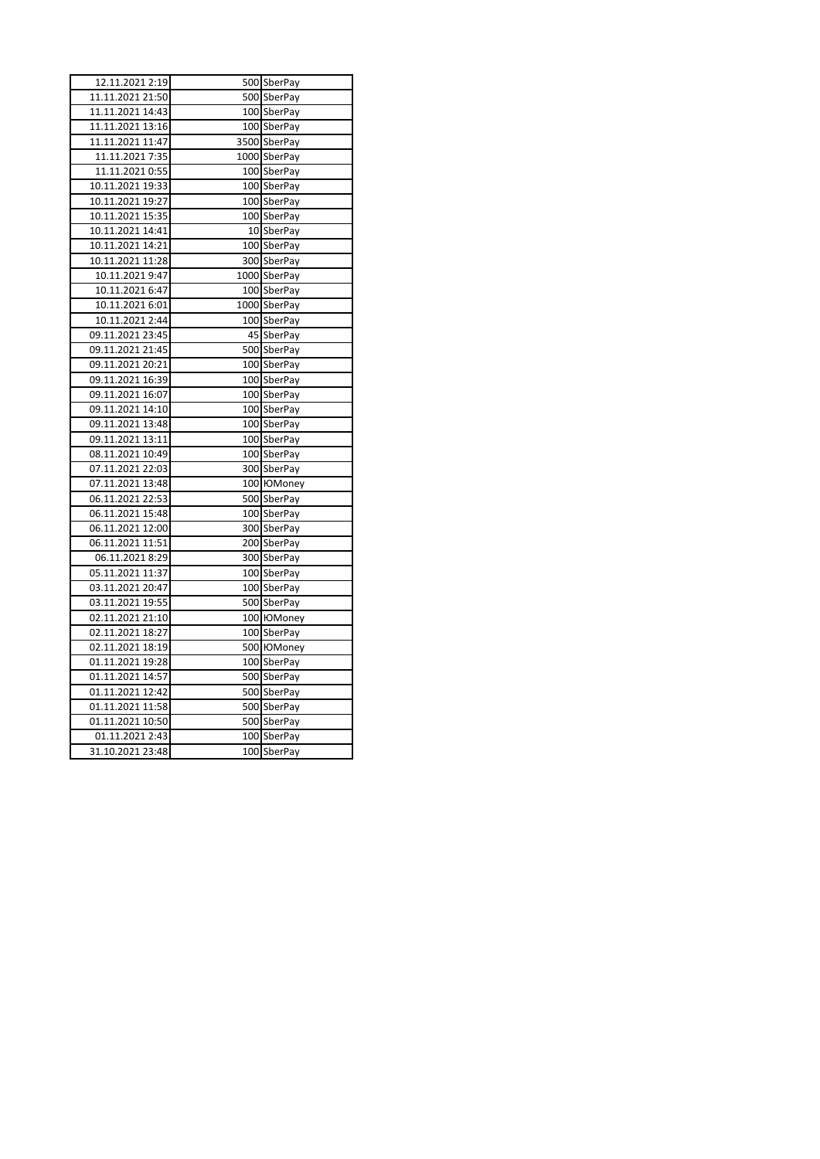| 12.11.2021 2:19  |  | 500 SberPay        |  |
|------------------|--|--------------------|--|
| 11.11.2021 21:50 |  | 500 SberPay        |  |
| 11.11.2021 14:43 |  | 100 SberPay        |  |
| 11.11.2021 13:16 |  | 100 SberPay        |  |
| 11.11.2021 11:47 |  | 3500 SberPay       |  |
| 11.11.2021 7:35  |  | 1000 SberPay       |  |
| 11.11.2021 0:55  |  | 100 SberPay        |  |
| 10.11.2021 19:33 |  | 100 SberPay        |  |
| 10.11.2021 19:27 |  | 100 SberPay        |  |
| 10.11.2021 15:35 |  | 100 SberPay        |  |
| 10.11.2021 14:41 |  | 10 SberPay         |  |
| 10.11.2021 14:21 |  | 100 SberPay        |  |
| 10.11.2021 11:28 |  | 300 SberPay        |  |
| 10.11.2021 9:47  |  | 1000 SberPay       |  |
| 10.11.2021 6:47  |  | 100 SberPay        |  |
| 10.11.2021 6:01  |  | 1000 SberPay       |  |
| 10.11.2021 2:44  |  | 100 SberPay        |  |
| 09.11.2021 23:45 |  | 45 SberPay         |  |
| 09.11.2021 21:45 |  | 500 SberPay        |  |
| 09.11.2021 20:21 |  | 100 SberPay        |  |
| 09.11.2021 16:39 |  | 100 SberPay        |  |
| 09.11.2021 16:07 |  | 100 SberPay        |  |
| 09.11.2021 14:10 |  | 100 SberPay        |  |
| 09.11.2021 13:48 |  | 100 SberPay        |  |
| 09.11.2021 13:11 |  | 100 SberPay        |  |
| 08.11.2021 10:49 |  | 100 SberPay        |  |
| 07.11.2021 22:03 |  | 300 SberPay        |  |
| 07.11.2021 13:48 |  | 100 <b>Ю</b> Мопеу |  |
| 06.11.2021 22:53 |  | 500 SberPay        |  |
| 06.11.2021 15:48 |  | 100 SberPay        |  |
| 06.11.2021 12:00 |  | 300 SberPay        |  |
| 06.11.2021 11:51 |  | 200 SberPay        |  |
| 06.11.2021 8:29  |  | 300 SberPay        |  |
| 05.11.2021 11:37 |  | 100 SberPay        |  |
| 03.11.2021 20:47 |  | 100 SberPay        |  |
| 03.11.2021 19:55 |  | 500 SberPay        |  |
| 02.11.2021 21:10 |  | 100 <b>Ю</b> Мопеу |  |
| 02.11.2021 18:27 |  | 100 SberPay        |  |
| 02.11.2021 18:19 |  | 500 <b>Ю</b> Мопеу |  |
| 01.11.2021 19:28 |  | 100 SberPay        |  |
| 01.11.2021 14:57 |  | 500 SberPay        |  |
| 01.11.2021 12:42 |  | 500 SberPay        |  |
| 01.11.2021 11:58 |  | 500 SberPay        |  |
| 01.11.2021 10:50 |  | 500 SberPay        |  |
| 01.11.2021 2:43  |  | 100 SberPay        |  |
| 31.10.2021 23:48 |  | 100 SberPay        |  |
|                  |  |                    |  |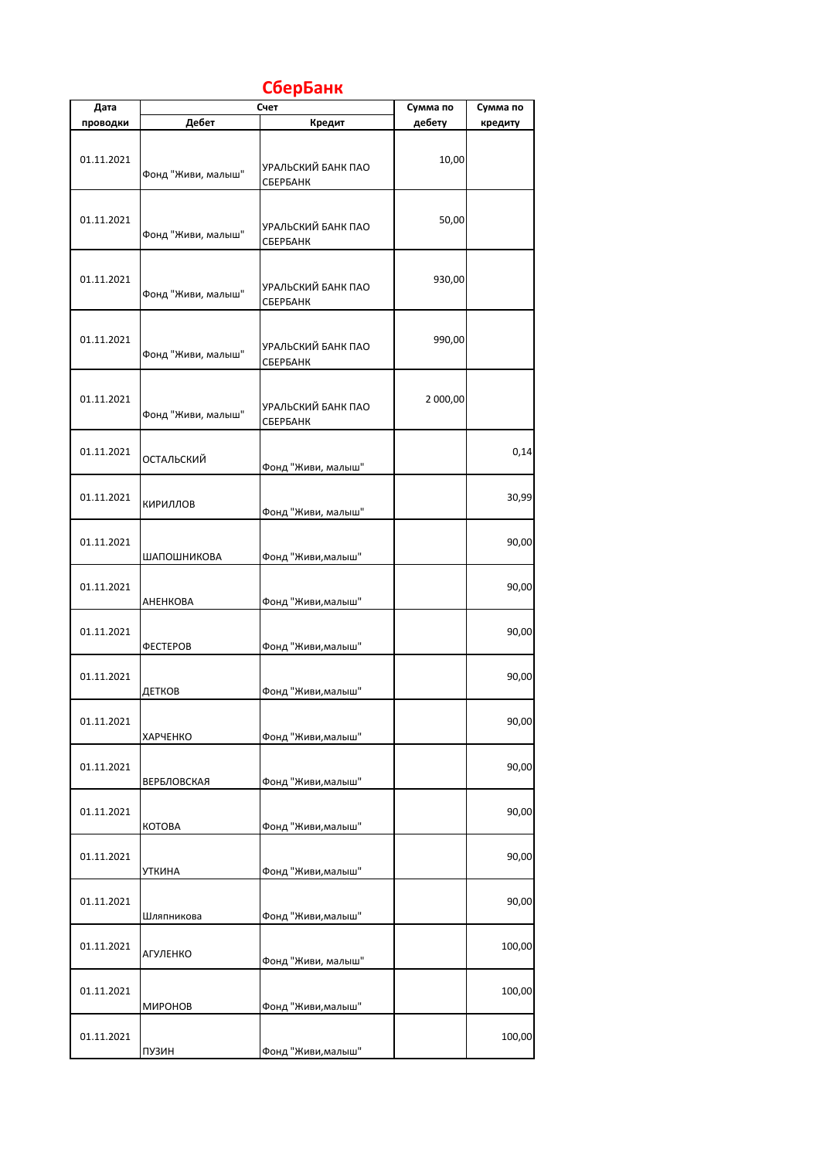## **СберБанк**

| Дата       |                    | Счет                           | Сумма по | Сумма по |
|------------|--------------------|--------------------------------|----------|----------|
| проводки   | Дебет              | Кредит                         | дебету   | кредиту  |
| 01.11.2021 | Фонд "Живи, малыш" | УРАЛЬСКИЙ БАНК ПАО<br>СБЕРБАНК | 10,00    |          |
| 01.11.2021 | Фонд "Живи, малыш" | УРАЛЬСКИЙ БАНК ПАО<br>СБЕРБАНК | 50,00    |          |
| 01.11.2021 | Фонд "Живи, малыш" | УРАЛЬСКИЙ БАНК ПАО<br>СБЕРБАНК | 930,00   |          |
| 01.11.2021 | Фонд "Живи, малыш" | УРАЛЬСКИЙ БАНК ПАО<br>СБЕРБАНК | 990,00   |          |
| 01.11.2021 | Фонд "Живи, малыш" | УРАЛЬСКИЙ БАНК ПАО<br>СБЕРБАНК | 2 000,00 |          |
| 01.11.2021 | ОСТАЛЬСКИЙ         | Фонд "Живи, малыш"             |          | 0,14     |
| 01.11.2021 | КИРИЛЛОВ           | Фонд "Живи, малыш"             |          | 30,99    |
| 01.11.2021 | ШАПОШНИКОВА        | Фонд "Живи, малыш"             |          | 90,00    |
| 01.11.2021 | АНЕНКОВА           | Фонд "Живи, малыш"             |          | 90,00    |
| 01.11.2021 | <b>ФЕСТЕРОВ</b>    | Фонд "Живи, малыш"             |          | 90,00    |
| 01.11.2021 | ДЕТКОВ             | Фонд "Живи, малыш"             |          | 90,00    |
| 01.11.2021 | <b>ХАРЧЕНКО</b>    | Фонд "Живи, малыш"             |          | 90,00    |
| 01.11.2021 | <b>ВЕРБЛОВСКАЯ</b> | Фонд "Живи, малыш"             |          | 90,00    |
| 01.11.2021 | KOTOBA             | Фонд "Живи, малыш"             |          | 90,00    |
| 01.11.2021 | УТКИНА             | Фонд "Живи, малыш"             |          | 90,00    |
| 01.11.2021 | Шляпникова         | Фонд "Живи, малыш"             |          | 90,00    |
| 01.11.2021 | АГУЛЕНКО           | Фонд "Живи, малыш"             |          | 100,00   |
| 01.11.2021 | МИРОНОВ            | Фонд "Живи, малыш"             |          | 100,00   |
| 01.11.2021 | ПУЗИН              | Фонд "Живи, малыш"             |          | 100,00   |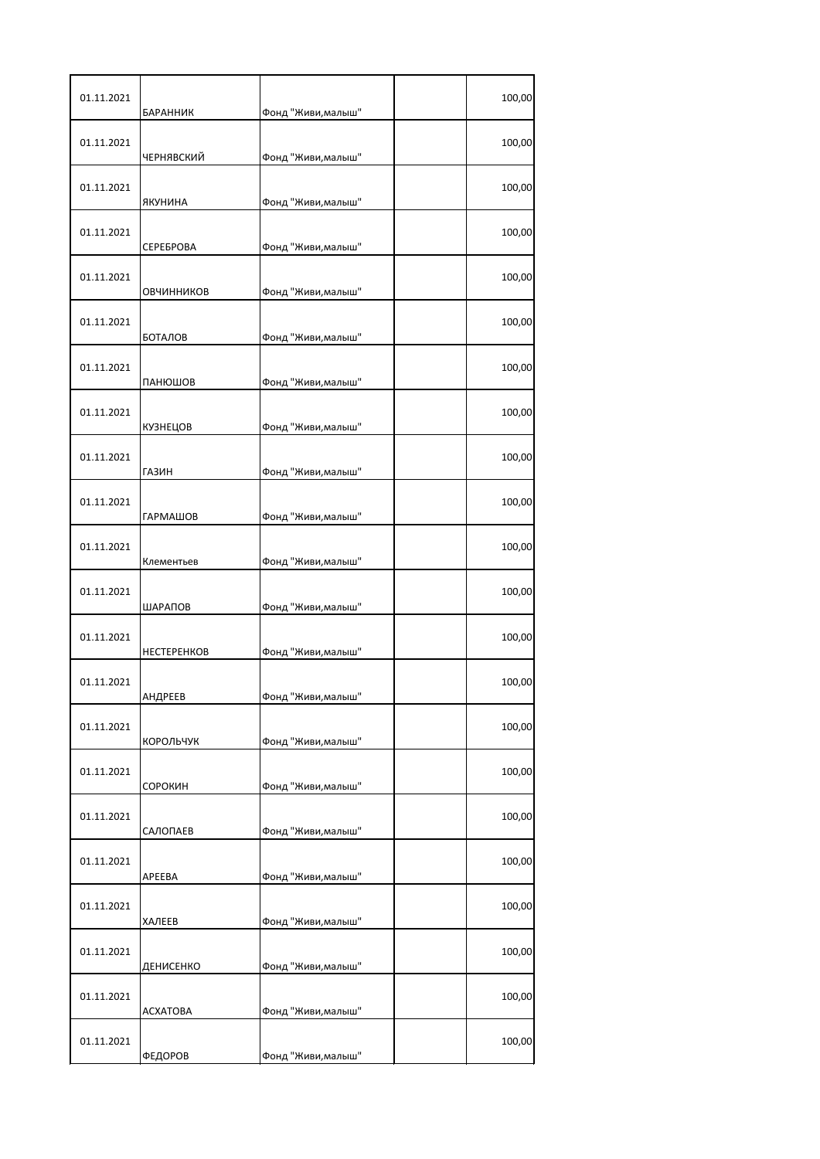| 01.11.2021 | <b>БАРАННИК</b>    | Фонд "Живи, малыш" | 100,00 |
|------------|--------------------|--------------------|--------|
| 01.11.2021 | ЧЕРНЯВСКИЙ         | Фонд "Живи, малыш" | 100,00 |
| 01.11.2021 | ЯКУНИНА            | Фонд "Живи, малыш" | 100,00 |
| 01.11.2021 | СЕРЕБРОВА          | Фонд "Живи, малыш" | 100,00 |
| 01.11.2021 | ОВЧИННИКОВ         | Фонд "Живи, малыш" | 100,00 |
| 01.11.2021 | БОТАЛОВ            | Фонд "Живи, малыш" | 100,00 |
| 01.11.2021 | ПАНЮШОВ            | Фонд "Живи, малыш" | 100,00 |
| 01.11.2021 | КУЗНЕЦОВ           | Фонд "Живи, малыш" | 100,00 |
| 01.11.2021 | <b>ГАЗИН</b>       | Фонд "Живи, малыш" | 100,00 |
| 01.11.2021 | <b>ГАРМАШОВ</b>    | Фонд "Живи, малыш" | 100,00 |
| 01.11.2021 | Клементьев         | Фонд "Живи, малыш" | 100,00 |
| 01.11.2021 | ШАРАПОВ            | Фонд "Живи, малыш" | 100,00 |
| 01.11.2021 | <b>НЕСТЕРЕНКОВ</b> | Фонд "Живи, малыш" | 100,00 |
| 01.11.2021 | АНДРЕЕВ            | Фонд "Живи,малыш'  | 100,00 |
| 01.11.2021 | КОРОЛЬЧУК          | Фонд "Живи, малыш" | 100,00 |
| 01.11.2021 | СОРОКИН            | Фонд "Живи, малыш" | 100,00 |
| 01.11.2021 | САЛОПАЕВ           | Фонд "Живи, малыш" | 100,00 |
| 01.11.2021 | APEEBA             | Фонд "Живи, малыш" | 100,00 |
| 01.11.2021 | ХАЛЕЕВ             | Фонд "Живи, малыш" | 100,00 |
| 01.11.2021 | ДЕНИСЕНКО          | Фонд "Живи, малыш" | 100,00 |
| 01.11.2021 | <b>ACXATOBA</b>    | Фонд "Живи, малыш" | 100,00 |
| 01.11.2021 | ФЕДОРОВ            | Фонд "Живи, малыш" | 100,00 |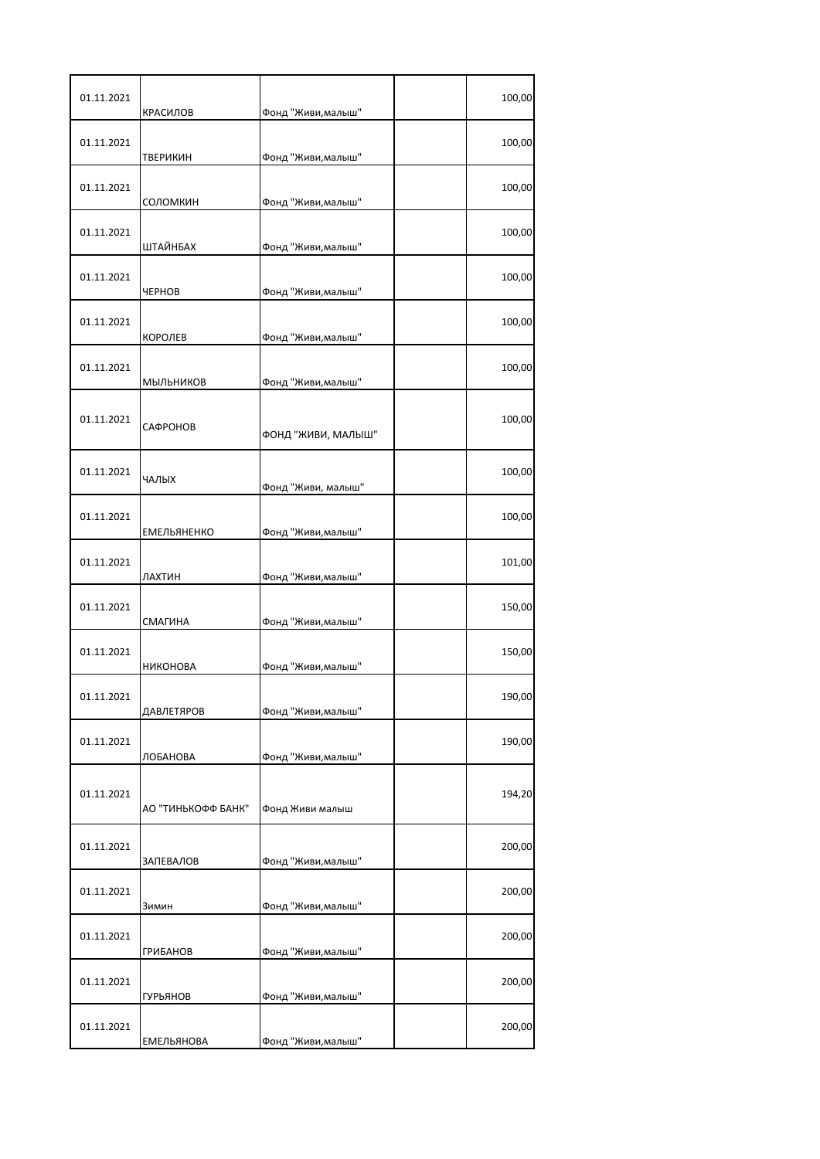| 01.11.2021 | КРАСИЛОВ               | Фонд "Живи, малыш" | 100,00 |
|------------|------------------------|--------------------|--------|
| 01.11.2021 | <b>ТВЕРИКИН</b>        | Фонд "Живи, малыш" | 100,00 |
| 01.11.2021 | СОЛОМКИН               | Фонд "Живи, малыш" | 100,00 |
| 01.11.2021 | ШТАЙНБАХ               | Фонд "Живи, малыш" | 100,00 |
| 01.11.2021 | <b>HEPHOB</b>          | Фонд "Живи, малыш" | 100,00 |
| 01.11.2021 | КОРОЛЕВ                | Фонд "Живи, малыш" | 100,00 |
| 01.11.2021 | МЫЛЬНИКОВ              | Фонд "Живи, малыш" | 100,00 |
| 01.11.2021 | САФРОНОВ               | ФОНД "ЖИВИ, МАЛЫШ" | 100,00 |
| 01.11.2021 | ЧАЛЫХ                  | Фонд "Живи, малыш" | 100,00 |
| 01.11.2021 | <b>ЕМЕЛЬЯНЕНКО</b>     | Фонд "Живи, малыш" | 100,00 |
| 01.11.2021 | ЛАХТИН                 | Фонд "Живи, малыш" | 101,00 |
| 01.11.2021 | СМАГИНА                | Фонд "Живи, малыш" | 150,00 |
| 01.11.2021 | <b>НИКОНОВА</b>        | Фонд "Живи, малыш" | 150,00 |
| 01.11.2021 | ДАВЛЕТЯРОВ             | Фонд "Живи, малыш" | 190,00 |
| 01.11.2021 | ЛОБАНОВА               | Фонд "Живи, малыш" | 190,00 |
| 01.11.2021 | АО "ТИНЬКОФФ БАНК"     | Фонд Живи малыш    | 194,20 |
| 01.11.2021 | ЗАПЕВАЛОВ              | Фонд "Живи, малыш" | 200,00 |
| 01.11.2021 | Зимин                  | Фонд "Живи, малыш" | 200,00 |
| 01.11.2021 | <b>ГРИБАНОВ</b>        | Фонд "Живи, малыш" | 200,00 |
| 01.11.2021 |                        | Фонд "Живи, малыш" | 200,00 |
| 01.11.2021 | ГУРЬЯНОВ<br>ЕМЕЛЬЯНОВА | Фонд "Живи, малыш" | 200,00 |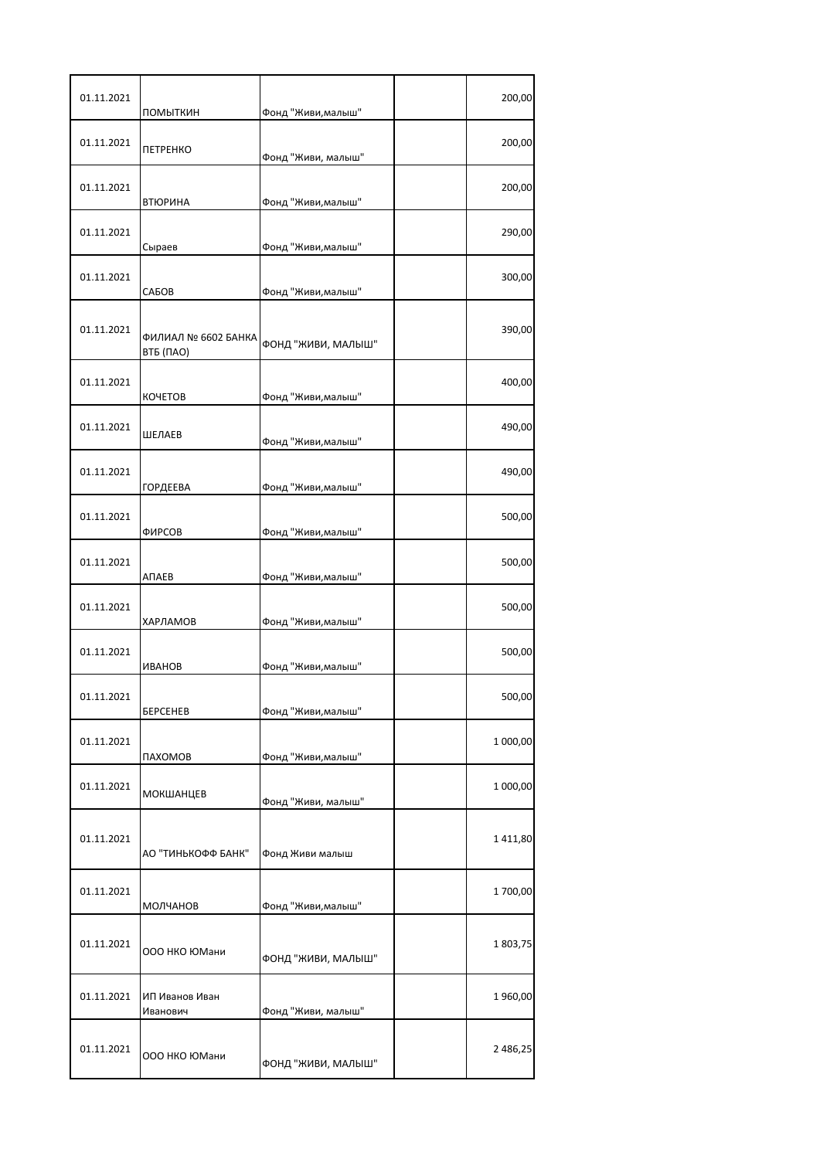| 01.11.2021 | ПОМЫТКИН                         | Фонд "Живи, малыш"                    | 200,00   |
|------------|----------------------------------|---------------------------------------|----------|
| 01.11.2021 | <b>ПЕТРЕНКО</b>                  | Фонд "Живи, малыш"                    | 200,00   |
| 01.11.2021 | <b>ВТЮРИНА</b>                   | Фонд "Живи, малыш"                    | 200,00   |
| 01.11.2021 | Сыраев                           | Фонд "Живи, малыш"                    | 290,00   |
| 01.11.2021 | САБОВ                            | Фонд "Живи, малыш"                    | 300,00   |
| 01.11.2021 | ФИЛИАЛ № 6602 БАНКА<br>ВТБ (ПАО) | ФОНД "ЖИВИ, МАЛЫШ"                    | 390,00   |
| 01.11.2021 | <b>KOYETOB</b>                   | Фонд "Живи, малыш"                    | 400,00   |
| 01.11.2021 | ШЕЛАЕВ                           | Фонд "Живи, малыш"                    | 490,00   |
| 01.11.2021 | <b>ГОРДЕЕВА</b>                  | Фонд "Живи, малыш"                    | 490,00   |
| 01.11.2021 | ФИРСОВ                           | Фонд "Живи, малыш"                    | 500,00   |
| 01.11.2021 | АПАЕВ                            | Фонд "Живи, малыш"                    | 500,00   |
| 01.11.2021 | ХАРЛАМОВ                         | Фонд "Живи, малыш"                    | 500,00   |
| 01.11.2021 |                                  |                                       | 500,00   |
| 01.11.2021 | <b>ИВАНОВ</b>                    | Фонд "Живи, малыш"                    | 500,00   |
| 01.11.2021 | <b><i>GEPCEHEB</i></b>           | Фонд "Живи, малыш"                    | 1 000,00 |
| 01.11.2021 | ПАХОМОВ<br><b>МОКШАНЦЕВ</b>      | Фонд "Живи, малыш"                    | 1 000,00 |
| 01.11.2021 | АО "ТИНЬКОФФ БАНК"               | Фонд "Живи, малыш"<br>Фонд Живи малыш | 1411,80  |
| 01.11.2021 |                                  | Фонд "Живи, малыш"                    | 1700,00  |
| 01.11.2021 | МОЛЧАНОВ<br>000 НКО ЮМани        | ФОНД "ЖИВИ, МАЛЫШ"                    | 1803,75  |
| 01.11.2021 | ИП Иванов Иван<br>Иванович       | Фонд "Живи, малыш"                    | 1960,00  |
| 01.11.2021 | 000 НКО ЮМани                    | ФОНД "ЖИВИ, МАЛЫШ"                    | 2 486,25 |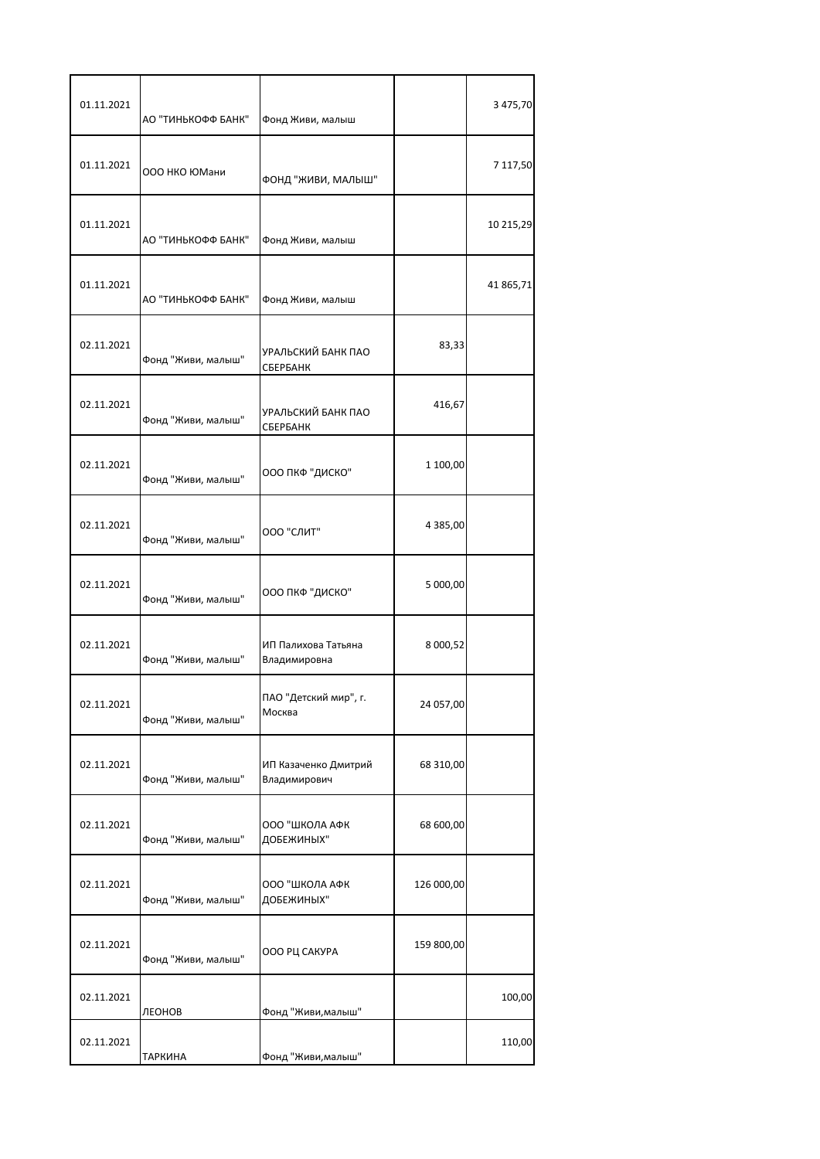| 01.11.2021 | АО "ТИНЬКОФФ БАНК" | Фонд Живи, малыш                     |               | 3 475,70  |
|------------|--------------------|--------------------------------------|---------------|-----------|
| 01.11.2021 | ООО НКО ЮМани      | ФОНД "ЖИВИ, МАЛЫШ"                   |               | 7 117,50  |
| 01.11.2021 | АО "ТИНЬКОФФ БАНК" | Фонд Живи, малыш                     |               | 10 215,29 |
| 01.11.2021 | АО "ТИНЬКОФФ БАНК" | Фонд Живи, малыш                     |               | 41 865,71 |
| 02.11.2021 | Фонд "Живи, малыш" | УРАЛЬСКИЙ БАНК ПАО<br>СБЕРБАНК       | 83,33         |           |
| 02.11.2021 | Фонд "Живи, малыш" | УРАЛЬСКИЙ БАНК ПАО<br>СБЕРБАНК       | 416,67        |           |
| 02.11.2021 | Фонд "Живи, малыш" | ООО ПКФ "ДИСКО"                      | 1 100,00      |           |
| 02.11.2021 | Фонд "Живи, малыш" | ООО "СЛИТ"                           | 4 3 8 5 , 0 0 |           |
| 02.11.2021 | Фонд "Живи, малыш" | ООО ПКФ "ДИСКО"                      | 5 000,00      |           |
| 02.11.2021 | Фонд "Живи, малыш" | ИП Палихова Татьяна<br>Владимировна  | 8 000,52      |           |
| 02.11.2021 | Фонд "Живи, малыш" | ПАО "Детский мир", г.<br>Москва      | 24 057,00     |           |
| 02.11.2021 | Фонд "Живи, малыш" | ИП Казаченко Дмитрий<br>Владимирович | 68 310,00     |           |
| 02.11.2021 | Фонд "Живи, малыш" | ООО "ШКОЛА АФК<br>ДОБЕЖИНЫХ"         | 68 600,00     |           |
| 02.11.2021 | Фонд "Живи, малыш" | ООО "ШКОЛА АФК<br>ДОБЕЖИНЫХ"         | 126 000,00    |           |
| 02.11.2021 | Фонд "Живи, малыш" | ООО РЦ САКУРА                        | 159 800,00    |           |
| 02.11.2021 | ЛЕОНОВ             | Фонд "Живи, малыш"                   |               | 100,00    |
| 02.11.2021 | ТАРКИНА            | Фонд "Живи, малыш"                   |               | 110,00    |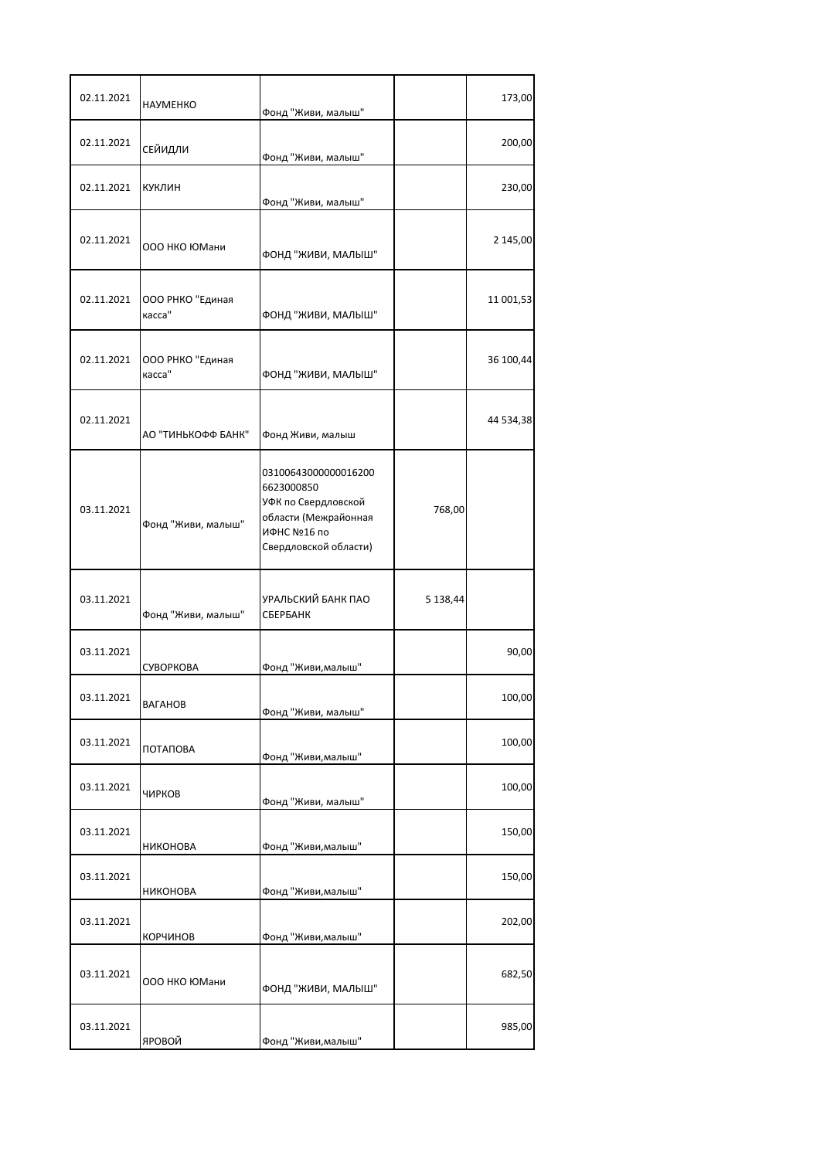| 02.11.2021 | <b>HAYMEHKO</b>            | Фонд "Живи, малыш"                                                                                                        |          | 173,00    |
|------------|----------------------------|---------------------------------------------------------------------------------------------------------------------------|----------|-----------|
| 02.11.2021 | СЕЙИДЛИ                    | Фонд "Живи, малыш"                                                                                                        |          | 200,00    |
| 02.11.2021 | КУКЛИН                     | Фонд "Живи, малыш"                                                                                                        |          | 230,00    |
| 02.11.2021 | ООО НКО ЮМани              | ФОНД "ЖИВИ, МАЛЫШ"                                                                                                        |          | 2 145,00  |
| 02.11.2021 | ООО РНКО "Единая<br>касса" | ФОНД "ЖИВИ, МАЛЫШ"                                                                                                        |          | 11 001,53 |
| 02.11.2021 | ООО РНКО "Единая<br>касса" | ФОНД "ЖИВИ, МАЛЫШ"                                                                                                        |          | 36 100,44 |
| 02.11.2021 | АО "ТИНЬКОФФ БАНК"         | Фонд Живи, малыш                                                                                                          |          | 44 534,38 |
| 03.11.2021 | Фонд "Живи, малыш"         | 03100643000000016200<br>6623000850<br>УФК по Свердловской<br>области (Межрайонная<br>ИФНС №16 по<br>Свердловской области) | 768,00   |           |
| 03.11.2021 | Фонд "Живи, малыш"         | УРАЛЬСКИЙ БАНК ПАО<br>СБЕРБАНК                                                                                            | 5 138,44 |           |
| 03.11.2021 | СУВОРКОВА                  | Фонд "Живи, малыш"                                                                                                        |          | 90,00     |
| 03.11.2021 | ВАГАНОВ                    | Фонд "Живи, малыш"                                                                                                        |          | 100,00    |
| 03.11.2021 | ПОТАПОВА                   | Фонд "Живи, малыш"                                                                                                        |          | 100,00    |
| 03.11.2021 | ЧИРКОВ                     | Фонд "Живи, малыш"                                                                                                        |          | 100,00    |
| 03.11.2021 | НИКОНОВА                   | Фонд "Живи, малыш"                                                                                                        |          | 150,00    |
| 03.11.2021 | НИКОНОВА                   | Фонд "Живи, малыш"                                                                                                        |          | 150,00    |
| 03.11.2021 | КОРЧИНОВ                   | Фонд "Живи, малыш"                                                                                                        |          | 202,00    |
| 03.11.2021 | 000 НКО ЮМани              | ФОНД "ЖИВИ, МАЛЫШ"                                                                                                        |          | 682,50    |
| 03.11.2021 | ЯРОВОЙ                     | Фонд "Живи, малыш"                                                                                                        |          | 985,00    |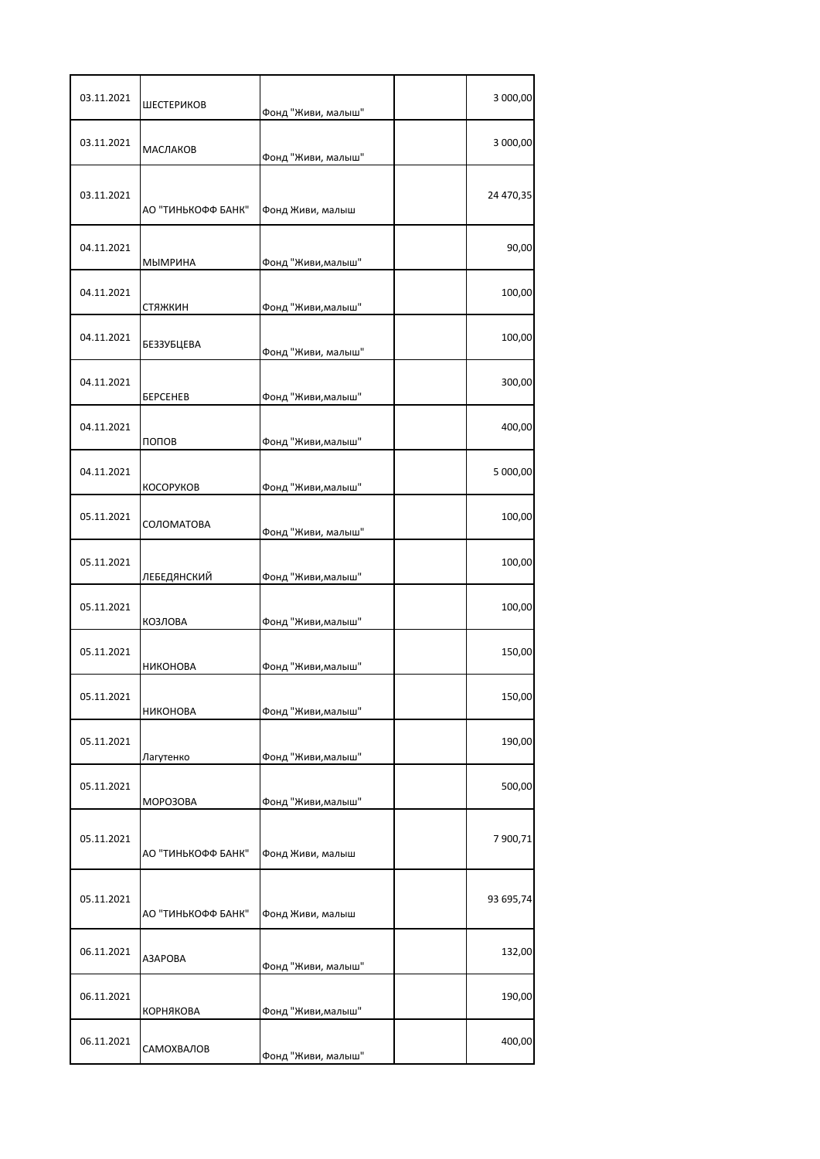| 03.11.2021 | ШЕСТЕРИКОВ             | Фонд "Живи, малыш" | 3 000,00  |
|------------|------------------------|--------------------|-----------|
| 03.11.2021 | <b>МАСЛАКОВ</b>        | Фонд "Живи, малыш" | 3 000,00  |
| 03.11.2021 | АО "ТИНЬКОФФ БАНК"     | Фонд Живи, малыш   | 24 470,35 |
| 04.11.2021 | МЫМРИНА                | Фонд "Живи, малыш" | 90,00     |
| 04.11.2021 | стяжкин                | Фонд "Живи, малыш" | 100,00    |
| 04.11.2021 | БЕЗЗУБЦЕВА             | Фонд "Живи, малыш" | 100,00    |
| 04.11.2021 | <b><i>BEPCEHEB</i></b> | Фонд "Живи, малыш" | 300,00    |
| 04.11.2021 | попов                  | Фонд "Живи, малыш" | 400,00    |
| 04.11.2021 | КОСОРУКОВ              | Фонд "Живи, малыш" | 5 000,00  |
| 05.11.2021 | СОЛОМАТОВА             | Фонд "Живи, малыш" | 100,00    |
| 05.11.2021 | ЛЕБЕДЯНСКИЙ            | Фонд "Живи, малыш" | 100,00    |
| 05.11.2021 | КОЗЛОВА                | Фонд "Живи, малыш" | 100,00    |
| 05.11.2021 | НИКОНОВА               | Фонд "Живи, малыш" | 150,00    |
| 05.11.2021 | НИКОНОВА               | Фонд "Живи, малыш" | 150,00    |
| 05.11.2021 | Лагутенко              | Фонд "Живи, малыш" | 190,00    |
| 05.11.2021 | MOPO3OBA               | Фонд "Живи, малыш" | 500,00    |
| 05.11.2021 | АО "ТИНЬКОФФ БАНК"     | Фонд Живи, малыш   | 7 900,71  |
| 05.11.2021 | АО "ТИНЬКОФФ БАНК"     | Фонд Живи, малыш   | 93 695,74 |
| 06.11.2021 | A3APOBA                | Фонд "Живи, малыш" | 132,00    |
| 06.11.2021 | КОРНЯКОВА              | Фонд "Живи, малыш" | 190,00    |
| 06.11.2021 | САМОХВАЛОВ             | Фонд "Живи, малыш" | 400,00    |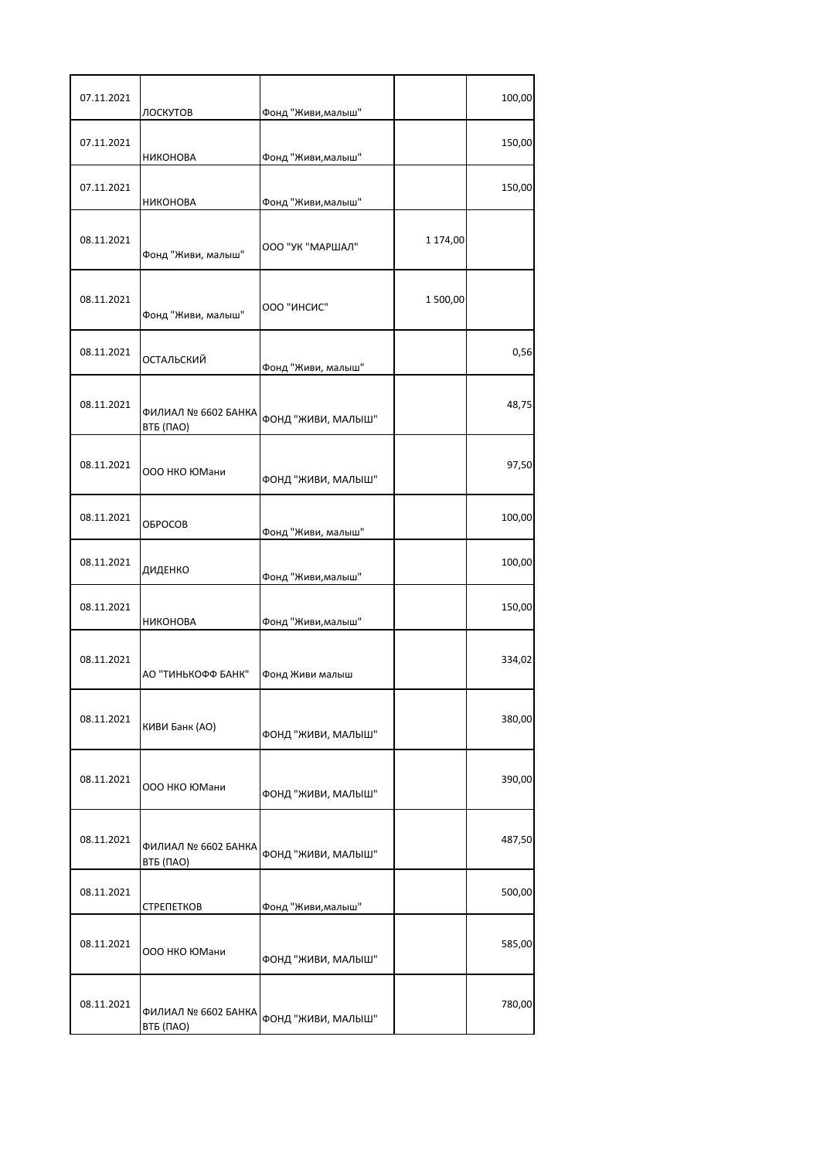| 07.11.2021 | ЛОСКУТОВ                         | Фонд "Живи, малыш" |          | 100,00 |
|------------|----------------------------------|--------------------|----------|--------|
| 07.11.2021 | <b>НИКОНОВА</b>                  | Фонд "Живи, малыш" |          | 150,00 |
| 07.11.2021 | НИКОНОВА                         | Фонд "Живи, малыш" |          | 150,00 |
| 08.11.2021 | Фонд "Живи, малыш"               | ООО "УК "МАРШАЛ"   | 1 174,00 |        |
| 08.11.2021 | Фонд "Живи, малыш"               | ООО "ИНСИС"        | 1500,00  |        |
| 08.11.2021 | ОСТАЛЬСКИЙ                       | Фонд "Живи, малыш" |          | 0,56   |
| 08.11.2021 | ФИЛИАЛ № 6602 БАНКА<br>ВТБ (ПАО) | ФОНД "ЖИВИ, МАЛЫШ" |          | 48,75  |
| 08.11.2021 | 000 НКО ЮМани                    | ФОНД "ЖИВИ, МАЛЫШ" |          | 97,50  |
| 08.11.2021 | <b>OFPOCOB</b>                   | Фонд "Живи, малыш" |          | 100,00 |
| 08.11.2021 | ДИДЕНКО                          | Фонд "Живи, малыш" |          | 100,00 |
| 08.11.2021 | НИКОНОВА                         | Фонд "Живи, малыш" |          | 150,00 |
| 08.11.2021 | АО "ТИНЬКОФФ БАНК"               | Фонд Живи малыш    |          | 334,02 |
| 08.11.2021 | КИВИ Банк (АО)                   | ФОНД "ЖИВИ, МАЛЫШ" |          | 380,00 |
| 08.11.2021 | ООО НКО ЮМани                    | ФОНД "ЖИВИ, МАЛЫШ" |          | 390,00 |
| 08.11.2021 | ФИЛИАЛ № 6602 БАНКА<br>ВТБ (ПАО) | ФОНД "ЖИВИ, МАЛЫШ" |          | 487,50 |
| 08.11.2021 | СТРЕПЕТКОВ                       | Фонд "Живи, малыш" |          | 500,00 |
| 08.11.2021 | 000 НКО ЮМани                    | ФОНД "ЖИВИ, МАЛЫШ" |          | 585,00 |
| 08.11.2021 | ФИЛИАЛ № 6602 БАНКА<br>ВТБ (ПАО) | ФОНД "ЖИВИ, МАЛЫШ" |          | 780,00 |

Г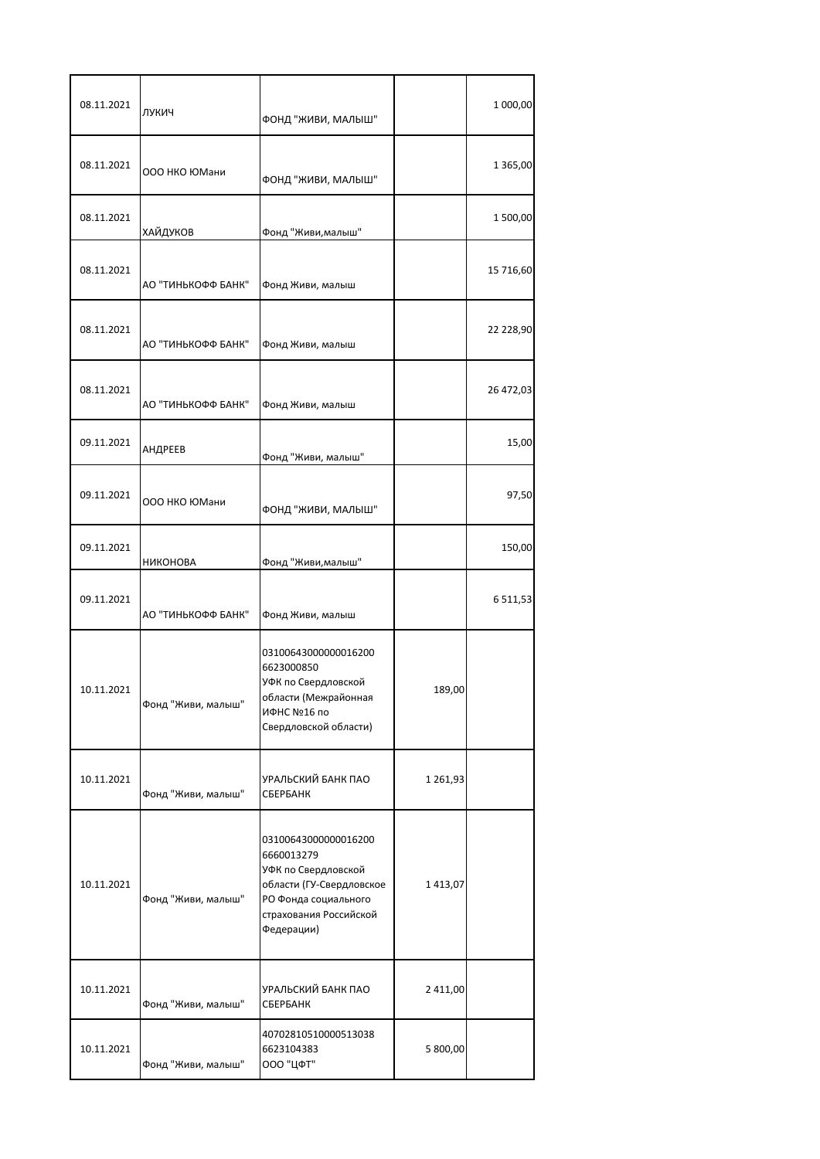| 08.11.2021 | ЛУКИЧ              | ФОНД "ЖИВИ, МАЛЫШ"                                                                                                                                    |          | 1 000,00     |
|------------|--------------------|-------------------------------------------------------------------------------------------------------------------------------------------------------|----------|--------------|
| 08.11.2021 | 000 НКО ЮМани      | ФОНД "ЖИВИ, МАЛЫШ"                                                                                                                                    |          | 1 365,00     |
| 08.11.2021 | <b>ХАЙДУКОВ</b>    | Фонд "Живи, малыш"                                                                                                                                    |          | 1500,00      |
| 08.11.2021 | АО "ТИНЬКОФФ БАНК" | Фонд Живи, малыш                                                                                                                                      |          | 15 716,60    |
| 08.11.2021 | АО "ТИНЬКОФФ БАНК" | Фонд Живи, малыш                                                                                                                                      |          | 22 228,90    |
| 08.11.2021 | АО "ТИНЬКОФФ БАНК" | Фонд Живи, малыш                                                                                                                                      |          | 26 472,03    |
| 09.11.2021 | АНДРЕЕВ            | Фонд "Живи, малыш"                                                                                                                                    |          | 15,00        |
| 09.11.2021 | ООО НКО ЮМани      | ФОНД "ЖИВИ, МАЛЫШ"                                                                                                                                    |          | 97,50        |
| 09.11.2021 | НИКОНОВА           | Фонд "Живи, малыш"                                                                                                                                    |          | 150,00       |
| 09.11.2021 | АО "ТИНЬКОФФ БАНК" | Фонд Живи, малыш                                                                                                                                      |          | 6 5 1 1, 5 3 |
| 10.11.2021 | Фонд "Живи, малыш" | 03100643000000016200<br>6623000850<br>УФК по Свердловской<br>области (Межрайонная<br>ИФНС №16 по<br>Свердловской области)                             | 189,00   |              |
| 10.11.2021 | Фонд "Живи, малыш" | УРАЛЬСКИЙ БАНК ПАО<br>СБЕРБАНК                                                                                                                        | 1261,93  |              |
| 10.11.2021 | Фонд "Живи, малыш" | 03100643000000016200<br>6660013279<br>УФК по Свердловской<br>области (ГУ-Свердловское<br>РО Фонда социального<br>страхования Российской<br>Федерации) | 1413,07  |              |
| 10.11.2021 | Фонд "Живи, малыш" | УРАЛЬСКИЙ БАНК ПАО<br>СБЕРБАНК                                                                                                                        | 2 411,00 |              |
| 10.11.2021 | Фонд "Живи, малыш" | 40702810510000513038<br>6623104383<br>000 "ЦФТ"                                                                                                       | 5 800,00 |              |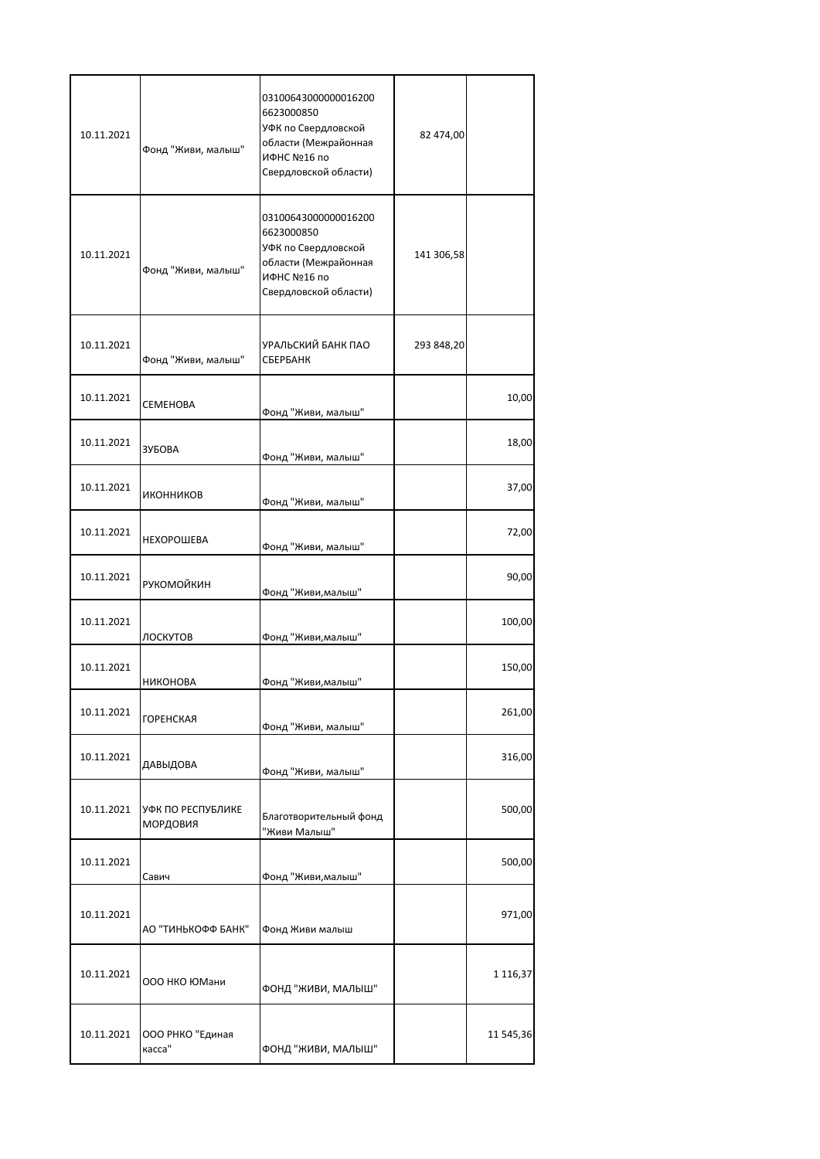| 10.11.2021 | Фонд "Живи, малыш"            | 03100643000000016200<br>6623000850<br>УФК по Свердловской<br>области (Межрайонная<br>ИФНС №16 по<br>Свердловской области) | 82 474,00  |              |
|------------|-------------------------------|---------------------------------------------------------------------------------------------------------------------------|------------|--------------|
| 10.11.2021 | Фонд "Живи, малыш"            | 03100643000000016200<br>6623000850<br>УФК по Свердловской<br>области (Межрайонная<br>ИФНС №16 по<br>Свердловской области) | 141 306,58 |              |
| 10.11.2021 | Фонд "Живи, малыш"            | УРАЛЬСКИЙ БАНК ПАО<br>СБЕРБАНК                                                                                            | 293 848,20 |              |
| 10.11.2021 | СЕМЕНОВА                      | Фонд "Живи, малыш"                                                                                                        |            | 10,00        |
| 10.11.2021 | ЗУБОВА                        | Фонд "Живи, малыш"                                                                                                        |            | 18,00        |
| 10.11.2021 | ИКОННИКОВ                     | Фонд "Живи, малыш"                                                                                                        |            | 37,00        |
| 10.11.2021 | <b>НЕХОРОШЕВА</b>             | Фонд "Живи, малыш"                                                                                                        |            | 72,00        |
| 10.11.2021 | <b>РУКОМОЙКИН</b>             | Фонд "Живи, малыш"                                                                                                        |            | 90,00        |
| 10.11.2021 | ЛОСКУТОВ                      | Фонд "Живи, малыш"                                                                                                        |            | 100,00       |
| 10.11.2021 | НИКОНОВА                      | Фонд "Живи, малыш"                                                                                                        |            | 150,00       |
| 10.11.2021 | <b>ГОРЕНСКАЯ</b>              | Фонд "Живи, малыш"                                                                                                        |            | 261,00       |
| 10.11.2021 | ДАВЫДОВА                      | Фонд "Живи, малыш"                                                                                                        |            | 316,00       |
| 10.11.2021 | УФК ПО РЕСПУБЛИКЕ<br>МОРДОВИЯ | Благотворительный фонд<br>"Живи Малыш"                                                                                    |            | 500,00       |
| 10.11.2021 | Савич                         | Фонд "Живи, малыш"                                                                                                        |            | 500,00       |
| 10.11.2021 | АО "ТИНЬКОФФ БАНК"            | Фонд Живи малыш                                                                                                           |            | 971,00       |
| 10.11.2021 | 000 НКО ЮМани                 | ФОНД "ЖИВИ, МАЛЫШ"                                                                                                        |            | 1 1 1 6, 3 7 |
| 10.11.2021 | ООО РНКО "Единая<br>касса"    | ФОНД "ЖИВИ, МАЛЫШ"                                                                                                        |            | 11 545,36    |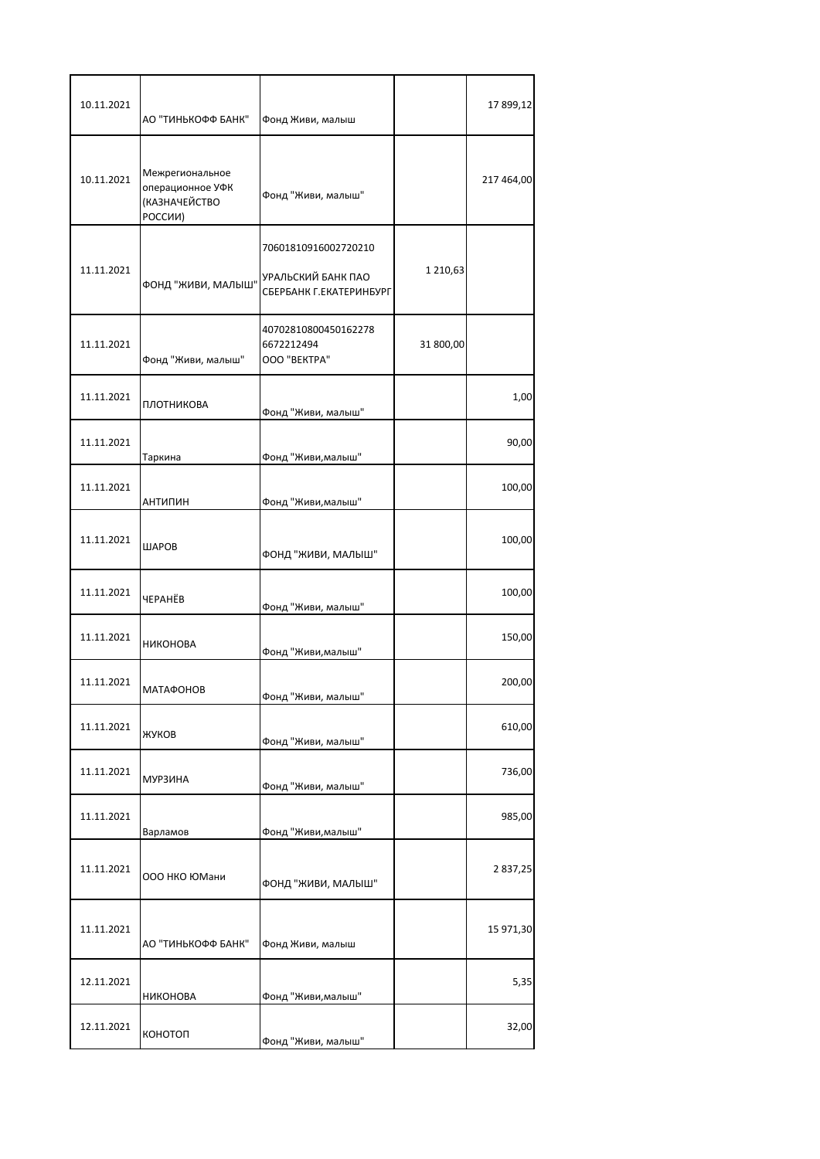| 10.11.2021 | АО "ТИНЬКОФФ БАНК"                                                     | Фонд Живи, малыш                                                      |           | 17 899,12  |
|------------|------------------------------------------------------------------------|-----------------------------------------------------------------------|-----------|------------|
| 10.11.2021 | Межрегиональное<br>операционное УФК<br><b>(КАЗНАЧЕЙСТВО</b><br>РОССИИ) | Фонд "Живи, малыш"                                                    |           | 217 464,00 |
| 11.11.2021 | ФОНД "ЖИВИ, МАЛЫШ"                                                     | 70601810916002720210<br>УРАЛЬСКИЙ БАНК ПАО<br>СБЕРБАНК Г.ЕКАТЕРИНБУРГ | 1 210,63  |            |
| 11.11.2021 | Фонд "Живи, малыш"                                                     | 40702810800450162278<br>6672212494<br>OOO "BEKTPA"                    | 31 800,00 |            |
| 11.11.2021 | ПЛОТНИКОВА                                                             | Фонд "Живи, малыш"                                                    |           | 1,00       |
| 11.11.2021 | Таркина                                                                | Фонд "Живи, малыш"                                                    |           | 90,00      |
| 11.11.2021 | <b>АНТИПИН</b>                                                         | Фонд "Живи, малыш"                                                    |           | 100,00     |
| 11.11.2021 | ШАРОВ                                                                  | ФОНД "ЖИВИ, МАЛЫШ"                                                    |           | 100,00     |
| 11.11.2021 | <b><i>HEPAHËB</i></b>                                                  | Фонд "Живи, малыш"                                                    |           | 100,00     |
| 11.11.2021 | <b>НИКОНОВА</b>                                                        | Фонд "Живи, малыш"                                                    |           | 150,00     |
| 11.11.2021 | <b>МАТАФОНОВ</b>                                                       | Фонд "Живи, малыш"                                                    |           | 200,00     |
| 11.11.2021 | ЖУКОВ                                                                  | Фонд "Живи, малыш"                                                    |           | 610,00     |
| 11.11.2021 | <b>МУРЗИНА</b>                                                         | Фонд "Живи, малыш"                                                    |           | 736,00     |
| 11.11.2021 | Варламов                                                               | Фонд "Живи, малыш"                                                    |           | 985,00     |
| 11.11.2021 | 000 НКО ЮМани                                                          | ФОНД "ЖИВИ, МАЛЫШ"                                                    |           | 2 837,25   |
| 11.11.2021 | АО "ТИНЬКОФФ БАНК"                                                     | Фонд Живи, малыш                                                      |           | 15 971,30  |
| 12.11.2021 | <b>НИКОНОВА</b>                                                        | Фонд "Живи, малыш"                                                    |           | 5,35       |
| 12.11.2021 | конотоп                                                                | Фонд "Живи, малыш"                                                    |           | 32,00      |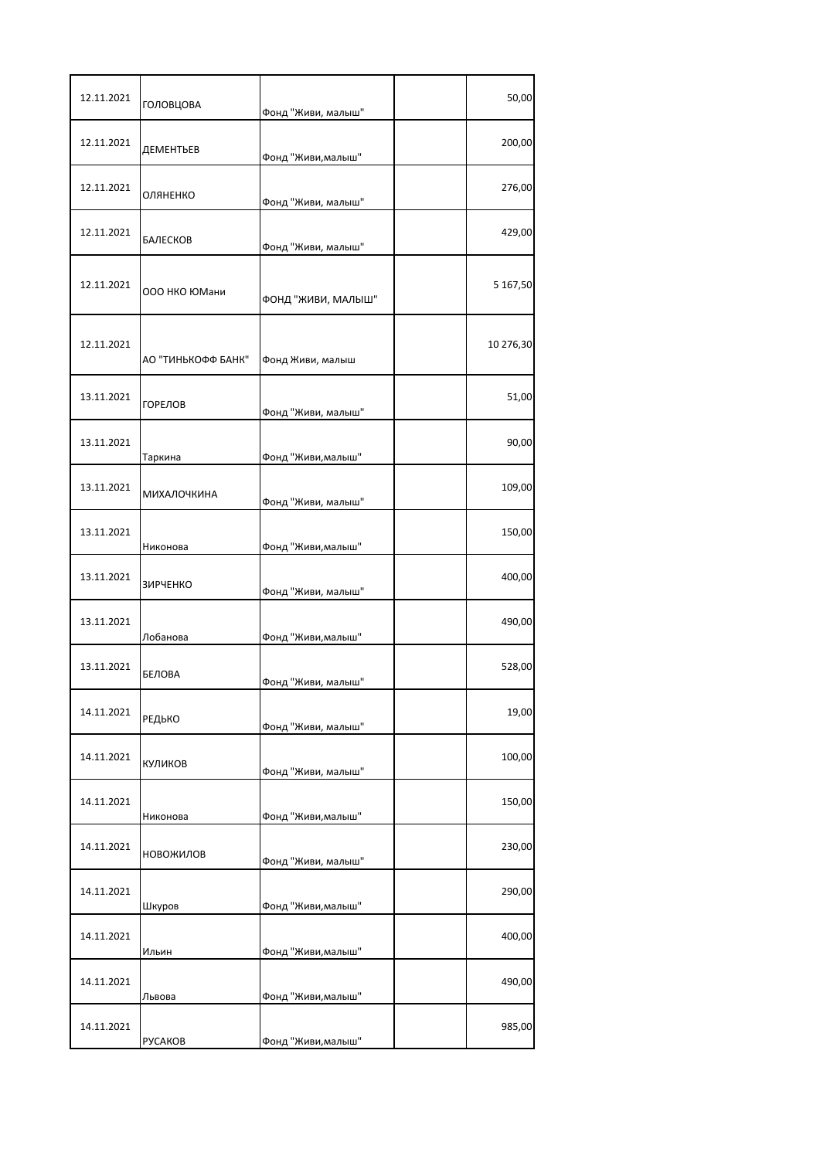| 12.11.2021 | ГОЛОВЦОВА          | Фонд "Живи, малыш" | 50,00     |
|------------|--------------------|--------------------|-----------|
| 12.11.2021 | ДЕМЕНТЬЕВ          | Фонд "Живи, малыш" | 200,00    |
| 12.11.2021 | ОЛЯНЕНКО           | Фонд "Живи, малыш" | 276,00    |
| 12.11.2021 | БАЛЕСКОВ           | Фонд "Живи, малыш" | 429,00    |
| 12.11.2021 | 000 НКО ЮМани      | ФОНД "ЖИВИ, МАЛЫШ" | 5 167,50  |
| 12.11.2021 | АО "ТИНЬКОФФ БАНК" | Фонд Живи, малыш   | 10 276,30 |
| 13.11.2021 | <b>ГОРЕЛОВ</b>     | Фонд "Живи, малыш" | 51,00     |
| 13.11.2021 | Таркина            | Фонд "Живи, малыш" | 90,00     |
| 13.11.2021 | <b>МИХАЛОЧКИНА</b> | Фонд "Живи, малыш" | 109,00    |
| 13.11.2021 | Никонова           | Фонд "Живи, малыш" | 150,00    |
| 13.11.2021 | <b>ЗИРЧЕНКО</b>    | Фонд "Живи, малыш" | 400,00    |
| 13.11.2021 | Лобанова           | Фонд "Живи, малыш" | 490,00    |
| 13.11.2021 | <b>БЕЛОВА</b>      | Фонд "Живи, малыш" | 528,00    |
| 14.11.2021 | РЕДЬКО             | Фонд "Живи, малыш" | 19,00     |
| 14.11.2021 | КУЛИКОВ            | Фонд "Живи, малыш" | 100,00    |
| 14.11.2021 | Никонова           | Фонд "Живи, малыш" | 150,00    |
| 14.11.2021 | НОВОЖИЛОВ          | Фонд "Живи, малыш" | 230,00    |
| 14.11.2021 | Шкуров             | Фонд "Живи, малыш" | 290,00    |
| 14.11.2021 | Ильин              | Фонд "Живи, малыш" | 400,00    |
| 14.11.2021 | Львова             | Фонд "Живи, малыш" | 490,00    |
| 14.11.2021 | <b>PYCAKOB</b>     | Фонд "Живи, малыш" | 985,00    |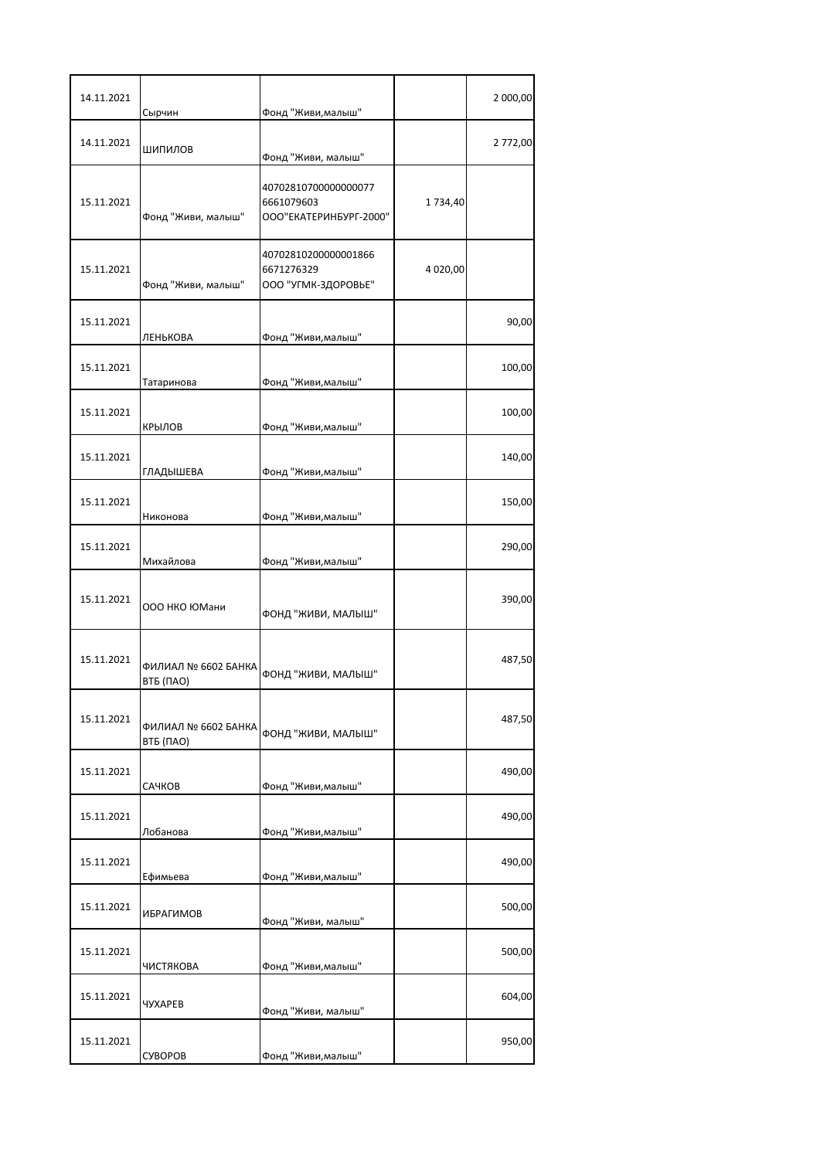| 14.11.2021 | Сырчин                           | Фонд "Живи, малыш"                                           |          | 2 000,00 |
|------------|----------------------------------|--------------------------------------------------------------|----------|----------|
| 14.11.2021 | ШИПИЛОВ                          | Фонд "Живи, малыш"                                           |          | 2 772,00 |
| 15.11.2021 | Фонд "Живи, малыш"               | 40702810700000000077<br>6661079603<br>ООО"ЕКАТЕРИНБУРГ-2000" | 1734,40  |          |
| 15.11.2021 | Фонд "Живи, малыш"               | 40702810200000001866<br>6671276329<br>ООО "УГМК-ЗДОРОВЬЕ"    | 4 020,00 |          |
| 15.11.2021 | ЛЕНЬКОВА                         | Фонд "Живи, малыш"                                           |          | 90,00    |
| 15.11.2021 | Татаринова                       | Фонд "Живи, малыш"                                           |          | 100,00   |
| 15.11.2021 | КРЫЛОВ                           | Фонд "Живи, малыш"                                           |          | 100,00   |
| 15.11.2021 | ГЛАДЫШЕВА                        | Фонд "Живи, малыш"                                           |          | 140,00   |
| 15.11.2021 | Никонова                         | Фонд "Живи, малыш"                                           |          | 150,00   |
| 15.11.2021 | Михайлова                        | Фонд "Живи, малыш"                                           |          | 290,00   |
| 15.11.2021 | 000 НКО ЮМани                    | ФОНД "ЖИВИ, МАЛЫШ"                                           |          | 390,00   |
| 15.11.2021 | ФИЛИАЛ № 6602 БАНКА<br>ВТБ (ПАО) | ФОНД "ЖИВИ, МАЛЫШ"                                           |          | 487,50   |
| 15.11.2021 | ФИЛИАЛ № 6602 БАНКА<br>ВТБ (ПАО) | ФОНД "ЖИВИ, МАЛЫШ"                                           |          | 487,50   |
| 15.11.2021 | САЧКОВ                           | Фонд "Живи, малыш"                                           |          | 490,00   |
| 15.11.2021 | Лобанова                         | Фонд "Живи, малыш"                                           |          | 490,00   |
| 15.11.2021 | Ефимьева                         | Фонд "Живи, малыш"                                           |          | 490,00   |
| 15.11.2021 | ИБРАГИМОВ                        | Фонд "Живи, малыш"                                           |          | 500,00   |
| 15.11.2021 | ЧИСТЯКОВА                        | Фонд "Живи, малыш"                                           |          | 500,00   |
| 15.11.2021 | ЧУХАРЕВ                          | Фонд "Живи, малыш"                                           |          | 604,00   |
| 15.11.2021 | СУВОРОВ                          | Фонд "Живи, малыш"                                           |          | 950,00   |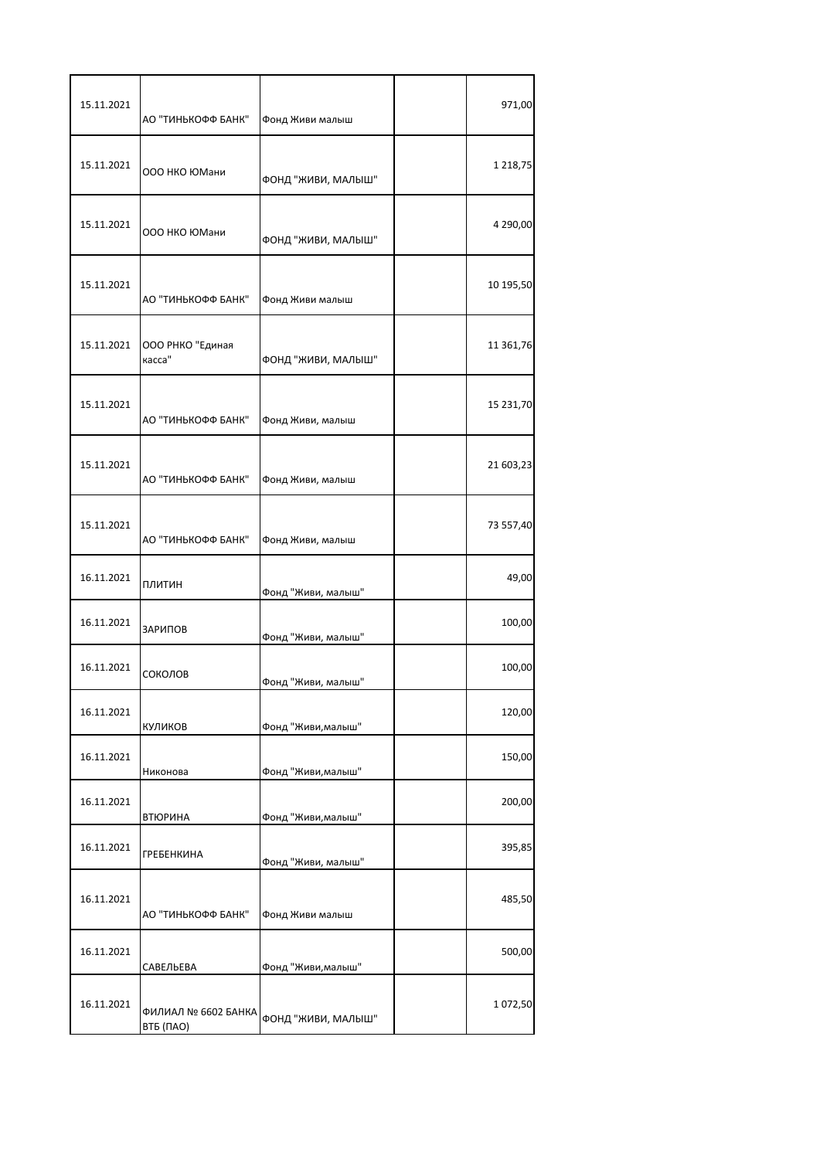| 15.11.2021 | АО "ТИНЬКОФФ БАНК"               | Фонд Живи малыш    | 971,00    |
|------------|----------------------------------|--------------------|-----------|
| 15.11.2021 | 000 НКО ЮМани                    | ФОНД "ЖИВИ, МАЛЫШ" | 1 218,75  |
| 15.11.2021 | 000 НКО ЮМани                    | ФОНД "ЖИВИ, МАЛЫШ" | 4 290,00  |
| 15.11.2021 | АО "ТИНЬКОФФ БАНК"               | Фонд Живи малыш    | 10 195,50 |
| 15.11.2021 | ООО РНКО "Единая<br>касса"       | ФОНД "ЖИВИ, МАЛЫШ" | 11 361,76 |
| 15.11.2021 | АО "ТИНЬКОФФ БАНК"               | Фонд Живи, малыш   | 15 231,70 |
| 15.11.2021 | АО "ТИНЬКОФФ БАНК"               | Фонд Живи, малыш   | 21 603,23 |
| 15.11.2021 | АО "ТИНЬКОФФ БАНК"               | Фонд Живи, малыш   | 73 557,40 |
| 16.11.2021 | ПЛИТИН                           | Фонд "Живи, малыш" | 49,00     |
| 16.11.2021 | ЗАРИПОВ                          | Фонд "Живи, малыш" | 100,00    |
| 16.11.2021 | СОКОЛОВ                          | Фонд "Живи, малыш" | 100,00    |
| 16.11.2021 | КУЛИКОВ                          | Фонд "Живи, малыш" | 120,00    |
| 16.11.2021 | Никонова                         | Фонд "Живи, малыш" | 150,00    |
| 16.11.2021 | <b>ВТЮРИНА</b>                   | Фонд "Живи, малыш" | 200,00    |
| 16.11.2021 | <b>ГРЕБЕНКИНА</b>                | Фонд "Живи, малыш" | 395,85    |
| 16.11.2021 | АО "ТИНЬКОФФ БАНК"               | Фонд Живи малыш    | 485,50    |
| 16.11.2021 | САВЕЛЬЕВА                        | Фонд "Живи, малыш" | 500,00    |
| 16.11.2021 | ФИЛИАЛ № 6602 БАНКА<br>ВТБ (ПАО) | ФОНД "ЖИВИ, МАЛЫШ" | 1072,50   |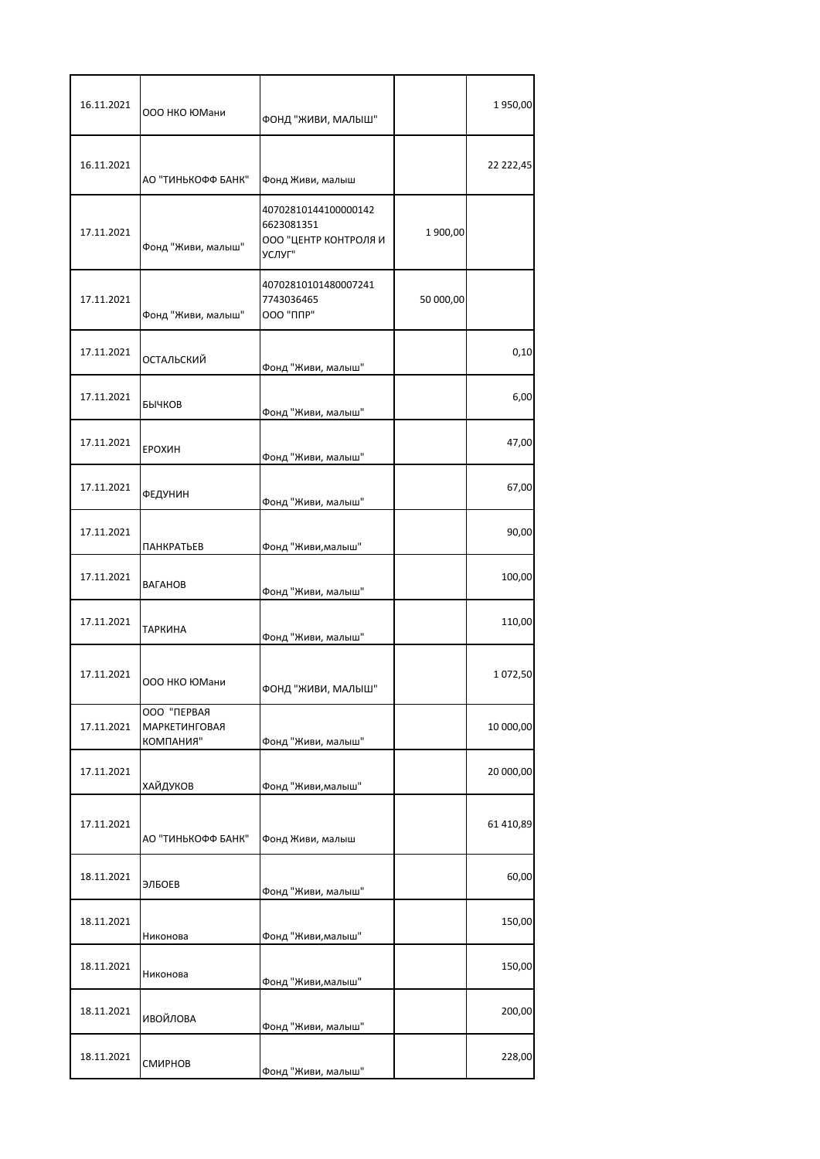| 16.11.2021 | 000 НКО ЮМани                                    | ФОНД "ЖИВИ, МАЛЫШ"                                                    |           | 1950,00   |
|------------|--------------------------------------------------|-----------------------------------------------------------------------|-----------|-----------|
| 16.11.2021 | АО "ТИНЬКОФФ БАНК"                               | Фонд Живи, малыш                                                      |           | 22 222,45 |
| 17.11.2021 | Фонд "Живи, малыш"                               | 40702810144100000142<br>6623081351<br>ООО "ЦЕНТР КОНТРОЛЯ И<br>УСЛУГ" | 1900,00   |           |
| 17.11.2021 | Фонд "Живи, малыш"                               | 40702810101480007241<br>7743036465<br>000 "ППР"                       | 50 000,00 |           |
| 17.11.2021 | ОСТАЛЬСКИЙ                                       | Фонд "Живи, малыш"                                                    |           | 0,10      |
| 17.11.2021 | БЫЧКОВ                                           | Фонд "Живи, малыш"                                                    |           | 6,00      |
| 17.11.2021 | ЕРОХИН                                           | Фонд "Живи, малыш"                                                    |           | 47,00     |
| 17.11.2021 | ФЕДУНИН                                          | Фонд "Живи, малыш"                                                    |           | 67,00     |
| 17.11.2021 | <b>ПАНКРАТЬЕВ</b>                                | Фонд "Живи, малыш"                                                    |           | 90,00     |
| 17.11.2021 | ВАГАНОВ                                          | Фонд "Живи, малыш"                                                    |           | 100,00    |
| 17.11.2021 | <b>ТАРКИНА</b>                                   | Фонд "Живи, малыш"                                                    |           | 110,00    |
| 17.11.2021 | ООО НКО ЮМани                                    | ФОНД "ЖИВИ, МАЛЫШ"                                                    |           | 1072,50   |
| 17.11.2021 | ООО "ПЕРВАЯ<br><b>МАРКЕТИНГОВАЯ</b><br>КОМПАНИЯ" | Фонд "Живи, малыш"                                                    |           | 10 000,00 |
| 17.11.2021 | <b>ХАЙДУКОВ</b>                                  | Фонд "Живи, малыш"                                                    |           | 20 000,00 |
| 17.11.2021 | АО "ТИНЬКОФФ БАНК"                               | Фонд Живи, малыш                                                      |           | 61 410,89 |
| 18.11.2021 | ЭЛБОЕВ                                           | Фонд "Живи, малыш"                                                    |           | 60,00     |
| 18.11.2021 | Никонова                                         | Фонд "Живи, малыш"                                                    |           | 150,00    |
| 18.11.2021 | Никонова                                         | Фонд "Живи, малыш"                                                    |           | 150,00    |
| 18.11.2021 | ИВОЙЛОВА                                         | Фонд "Живи, малыш"                                                    |           | 200,00    |
| 18.11.2021 | СМИРНОВ                                          | Фонд "Живи, малыш"                                                    |           | 228,00    |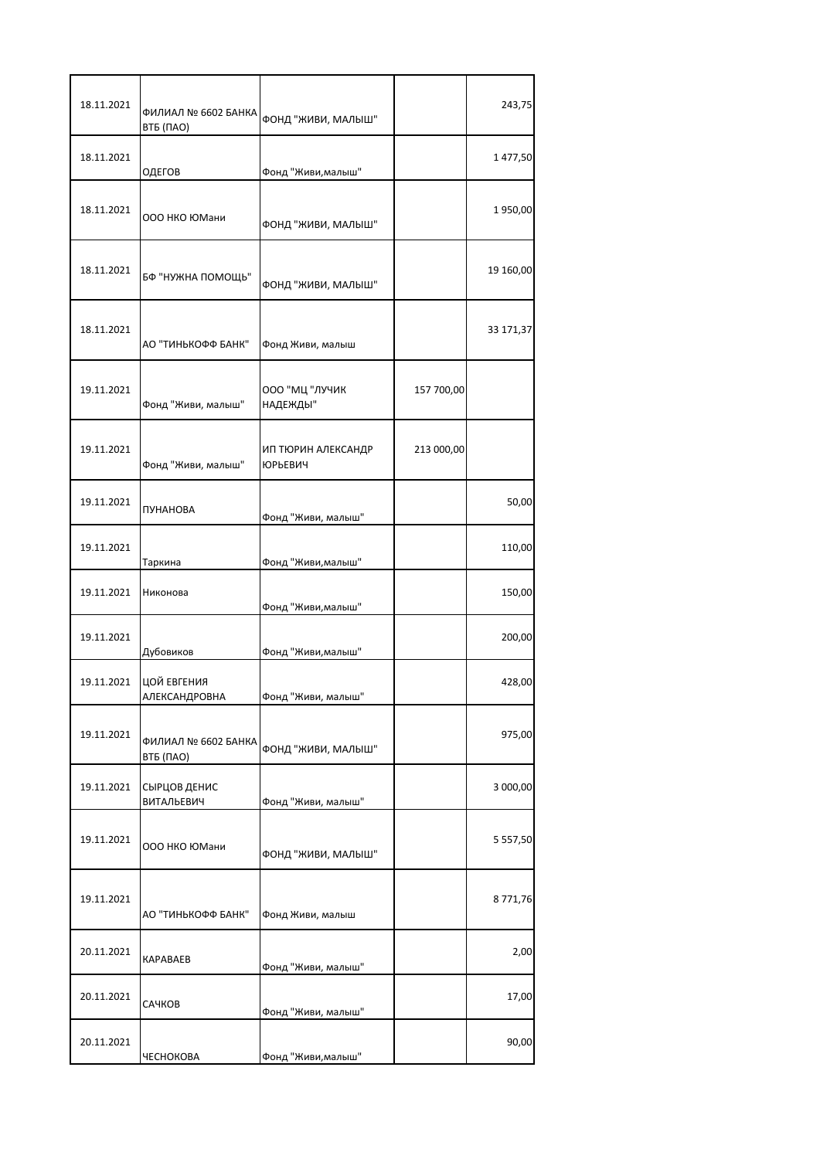| 18.11.2021 | ФИЛИАЛ № 6602 БАНКА<br>ВТБ (ПАО)    | ФОНД "ЖИВИ, МАЛЫШ"                   |            | 243,75        |
|------------|-------------------------------------|--------------------------------------|------------|---------------|
| 18.11.2021 | ОДЕГОВ                              | Фонд "Живи, малыш"                   |            | 1477,50       |
| 18.11.2021 | 000 НКО ЮМани                       | ФОНД "ЖИВИ, МАЛЫШ"                   |            | 1950,00       |
| 18.11.2021 | БФ "НУЖНА ПОМОЩЬ"                   | ФОНД "ЖИВИ, МАЛЫШ"                   |            | 19 160,00     |
| 18.11.2021 | АО "ТИНЬКОФФ БАНК"                  | Фонд Живи, малыш                     |            | 33 171,37     |
| 19.11.2021 | Фонд "Живи, малыш"                  | ООО "МЦ "ЛУЧИК<br>НАДЕЖДЫ"           | 157 700,00 |               |
| 19.11.2021 | Фонд "Живи, малыш"                  | ИП ТЮРИН АЛЕКСАНДР<br><b>ЮРЬЕВИЧ</b> | 213 000,00 |               |
| 19.11.2021 | ПУНАНОВА                            | Фонд "Живи, малыш"                   |            | 50,00         |
| 19.11.2021 | Таркина                             | Фонд "Живи, малыш"                   |            | 110,00        |
| 19.11.2021 | Никонова                            | Фонд "Живи, малыш"                   |            | 150,00        |
| 19.11.2021 | Дубовиков                           | Фонд "Живи, малыш"                   |            | 200,00        |
| 19.11.2021 | ЦОЙ ЕВГЕНИЯ<br><b>АЛЕКСАНЛРОВНА</b> | Фонл "Живи, малыш"                   |            | 428,00        |
| 19.11.2021 | ФИЛИАЛ № 6602 БАНКА<br>ВТБ (ПАО)    | ФОНД "ЖИВИ, МАЛЫШ"                   |            | 975,00        |
| 19.11.2021 | СЫРЦОВ ДЕНИС<br>ВИТАЛЬЕВИЧ          | Фонд "Живи, малыш"                   |            | 3 000,00      |
| 19.11.2021 | 000 НКО ЮМани                       | ФОНД "ЖИВИ, МАЛЫШ"                   |            | 5 5 5 7 , 5 0 |
| 19.11.2021 | АО "ТИНЬКОФФ БАНК"                  | Фонд Живи, малыш                     |            | 8771,76       |
| 20.11.2021 | <b>KAPABAEB</b>                     | Фонд "Живи, малыш"                   |            | 2,00          |
| 20.11.2021 | САЧКОВ                              | Фонд "Живи, малыш"                   |            | 17,00         |
| 20.11.2021 | ЧЕСНОКОВА                           | Фонд "Живи, малыш"                   |            | 90,00         |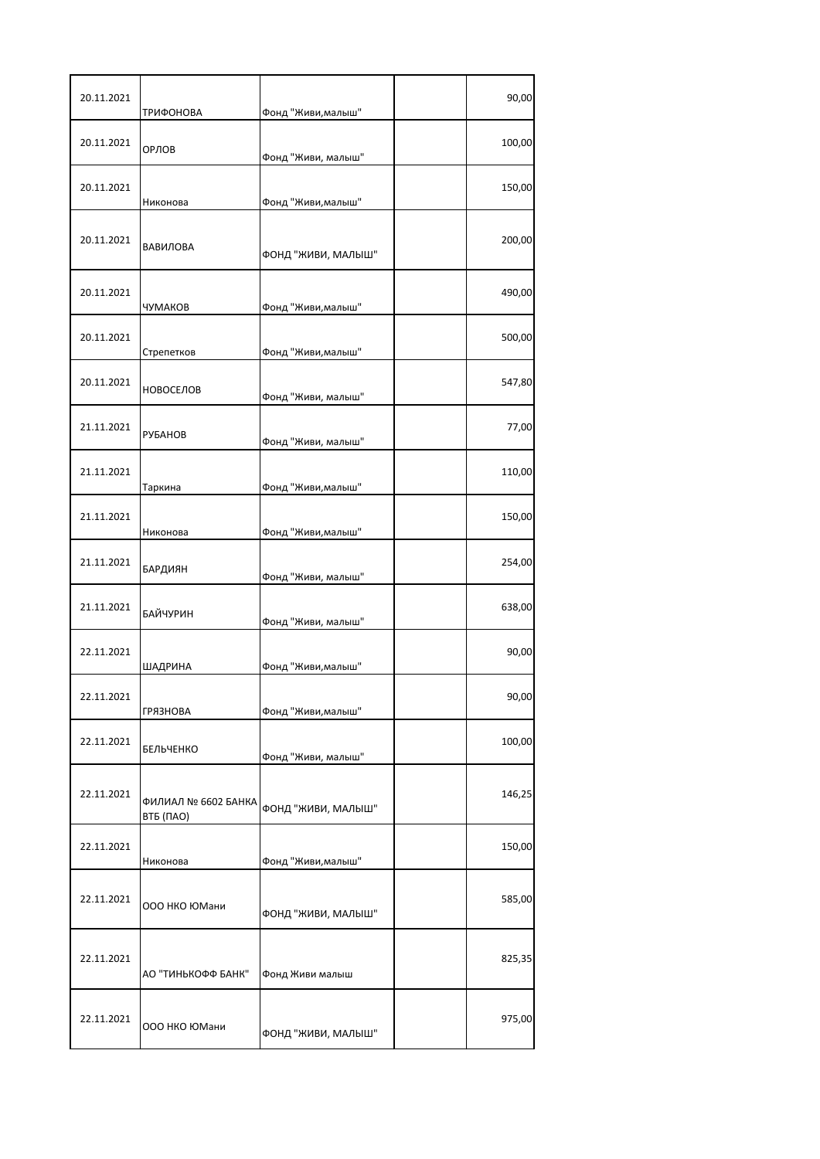| 20.11.2021 | ТРИФОНОВА                        | Фонд "Живи, малыш" | 90,00  |
|------------|----------------------------------|--------------------|--------|
| 20.11.2021 | ОРЛОВ                            | Фонд "Живи, малыш" | 100,00 |
| 20.11.2021 | Никонова                         | Фонд "Живи, малыш" | 150,00 |
| 20.11.2021 | ВАВИЛОВА                         | ФОНД "ЖИВИ, МАЛЫШ" | 200,00 |
| 20.11.2021 | ЧУМАКОВ                          | Фонд "Живи, малыш" | 490,00 |
| 20.11.2021 | Стрепетков                       | Фонд "Живи, малыш" | 500,00 |
| 20.11.2021 | <b>НОВОСЕЛОВ</b>                 | Фонд "Живи, малыш" | 547,80 |
| 21.11.2021 | <b>РУБАНОВ</b>                   | Фонд "Живи, малыш" | 77,00  |
| 21.11.2021 | Таркина                          | Фонд "Живи, малыш" | 110,00 |
| 21.11.2021 | Никонова                         | Фонд "Живи, малыш" | 150,00 |
| 21.11.2021 | БАРДИЯН                          | Фонд "Живи, малыш" | 254,00 |
| 21.11.2021 | <b>БАЙЧУРИН</b>                  | Фонд "Живи, малыш" | 638,00 |
| 22.11.2021 | ШАДРИНА                          | Фонд "Живи, малыш" | 90,00  |
| 22.11.2021 | <b>ГРЯЗНОВА</b>                  | Фонд "Живи, малыш" | 90,00  |
| 22.11.2021 | <b>БЕЛЬЧЕНКО</b>                 | Фонд "Живи, малыш" | 100,00 |
| 22.11.2021 | ФИЛИАЛ № 6602 БАНКА<br>ВТБ (ПАО) | ФОНД "ЖИВИ, МАЛЫШ" | 146,25 |
| 22.11.2021 | Никонова                         | Фонд "Живи, малыш" | 150,00 |
| 22.11.2021 | 000 НКО ЮМани                    | ФОНД "ЖИВИ, МАЛЫШ" | 585,00 |
| 22.11.2021 | АО "ТИНЬКОФФ БАНК"               | Фонд Живи малыш    | 825,35 |
| 22.11.2021 | 000 НКО ЮМани                    | ФОНД "ЖИВИ, МАЛЫШ" | 975,00 |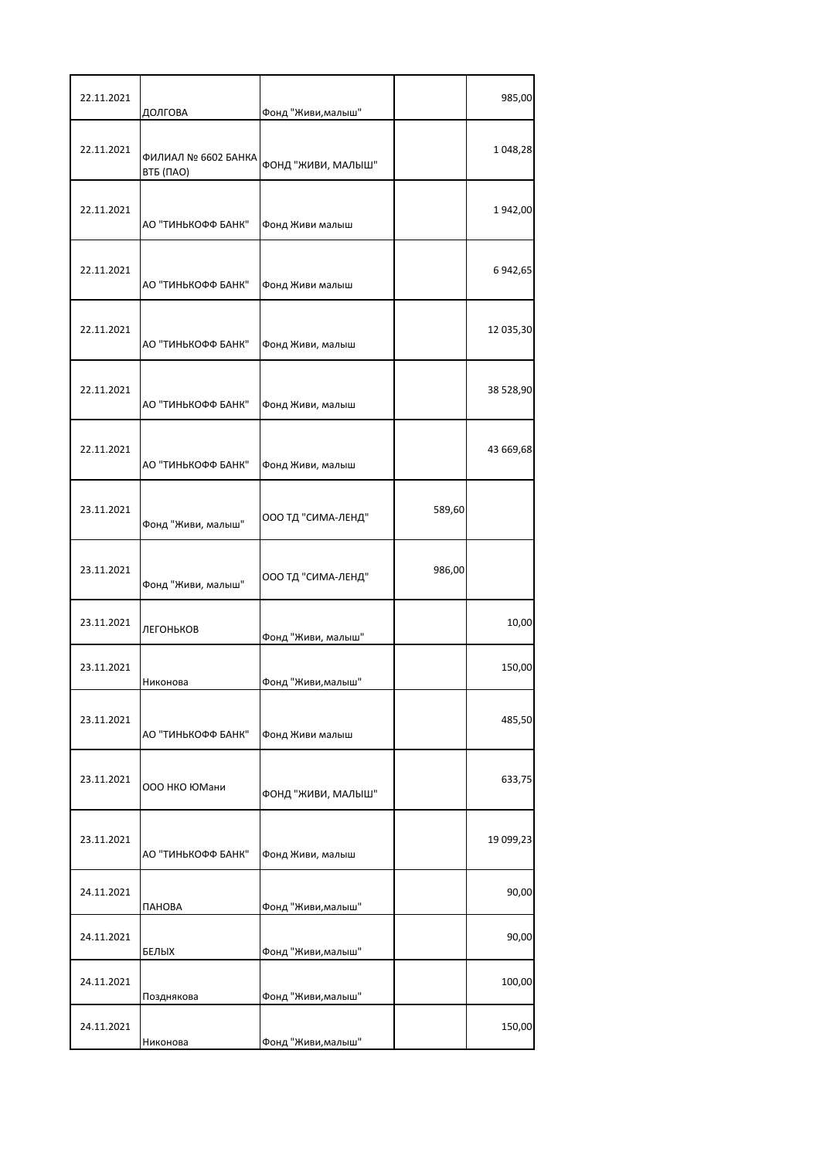| 22.11.2021 | ДОЛГОВА                          | Фонд "Живи, малыш" |        | 985,00    |
|------------|----------------------------------|--------------------|--------|-----------|
| 22.11.2021 | ФИЛИАЛ № 6602 БАНКА<br>ВТБ (ПАО) | ФОНД "ЖИВИ, МАЛЫШ" |        | 1 048,28  |
| 22.11.2021 | АО "ТИНЬКОФФ БАНК"               | Фонд Живи малыш    |        | 1942,00   |
| 22.11.2021 | АО "ТИНЬКОФФ БАНК"               | Фонд Живи малыш    |        | 6 942,65  |
| 22.11.2021 | АО "ТИНЬКОФФ БАНК"               | Фонд Живи, малыш   |        | 12 035,30 |
| 22.11.2021 | АО "ТИНЬКОФФ БАНК"               | Фонд Живи, малыш   |        | 38 528,90 |
| 22.11.2021 | АО "ТИНЬКОФФ БАНК"               | Фонд Живи, малыш   |        | 43 669,68 |
| 23.11.2021 | Фонд "Живи, малыш"               | ООО ТД "СИМА-ЛЕНД" | 589,60 |           |
| 23.11.2021 | Фонд "Живи, малыш"               | ООО ТД "СИМА-ЛЕНД" | 986,00 |           |
| 23.11.2021 | ЛЕГОНЬКОВ                        | Фонд "Живи, малыш" |        | 10,00     |
| 23.11.2021 | Никонова                         | Фонд "Живи, малыш" |        | 150,00    |
| 23.11.2021 | АО "ТИНЬКОФФ БАНК"               | Фонд Живи малыш    |        | 485,50    |
| 23.11.2021 | 000 НКО ЮМани                    | ФОНД "ЖИВИ, МАЛЫШ" |        | 633,75    |
| 23.11.2021 | АО "ТИНЬКОФФ БАНК"               | Фонд Живи, малыш   |        | 19 099,23 |
| 24.11.2021 | ПАНОВА                           | Фонд "Живи, малыш" |        | 90,00     |
| 24.11.2021 | БЕЛЫХ                            | Фонд "Живи, малыш" |        | 90,00     |
| 24.11.2021 | Позднякова                       | Фонд "Живи, малыш" |        | 100,00    |
| 24.11.2021 | Никонова                         | Фонд "Живи, малыш" |        | 150,00    |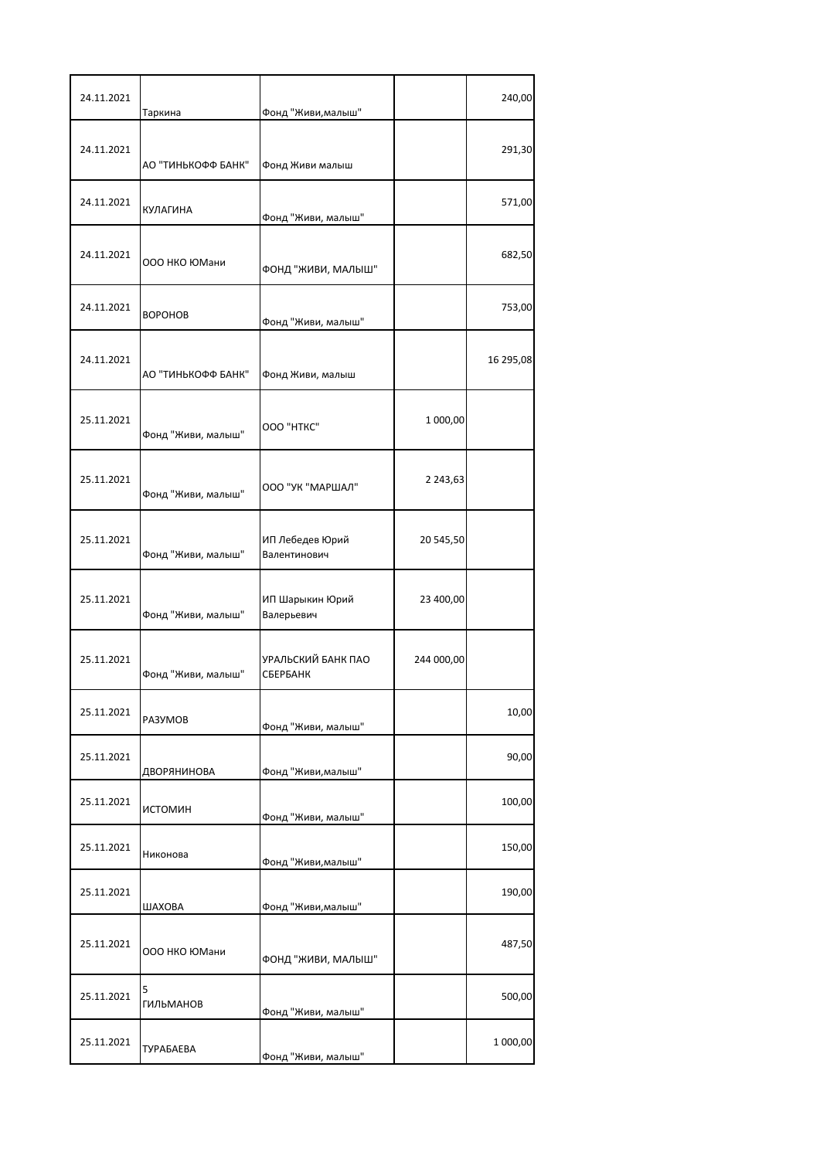| 24.11.2021 | Таркина               | Фонд "Живи, малыш"              |               | 240,00    |
|------------|-----------------------|---------------------------------|---------------|-----------|
| 24.11.2021 | АО "ТИНЬКОФФ БАНК"    | Фонд Живи малыш                 |               | 291,30    |
| 24.11.2021 | <b>КУЛАГИНА</b>       | Фонд "Живи, малыш"              |               | 571,00    |
| 24.11.2021 | 000 НКО ЮМани         | ФОНД "ЖИВИ, МАЛЫШ"              |               | 682,50    |
| 24.11.2021 | <b>BOPOHOB</b>        | Фонд "Живи, малыш"              |               | 753,00    |
| 24.11.2021 | АО "ТИНЬКОФФ БАНК"    | Фонд Живи, малыш                |               | 16 295,08 |
| 25.11.2021 | Фонд "Живи, малыш"    | OOO "HTKC"                      | 1 000,00      |           |
| 25.11.2021 | Фонд "Живи, малыш"    | ООО "УК "МАРШАЛ"                | 2 2 4 3 , 6 3 |           |
| 25.11.2021 | Фонд "Живи, малыш"    | ИП Лебедев Юрий<br>Валентинович | 20 545,50     |           |
| 25.11.2021 | Фонд "Живи, малыш"    | ИП Шарыкин Юрий<br>Валерьевич   | 23 400,00     |           |
| 25.11.2021 | Фонд "Живи, малыш"    | УРАЛЬСКИЙ БАНК ПАО<br>СБЕРБАНК  | 244 000,00    |           |
| 25.11.2021 | PA3YMOB               | Фонд "Живи, малыш"              |               | 10,00     |
| 25.11.2021 | ДВОРЯНИНОВА           | Фонд "Живи, малыш"              |               | 90,00     |
| 25.11.2021 | ИСТОМИН               | Фонд "Живи, малыш"              |               | 100,00    |
| 25.11.2021 | Никонова              | Фонд "Живи, малыш"              |               | 150,00    |
| 25.11.2021 | ШАХОВА                | Фонд "Живи, малыш"              |               | 190,00    |
| 25.11.2021 | 000 НКО ЮМани         | ФОНД "ЖИВИ, МАЛЫШ"              |               | 487,50    |
| 25.11.2021 | 5<br><b>ГИЛЬМАНОВ</b> | Фонд "Живи, малыш"              |               | 500,00    |
| 25.11.2021 | ТУРАБАЕВА             | Фонд "Живи, малыш"              |               | 1 000,00  |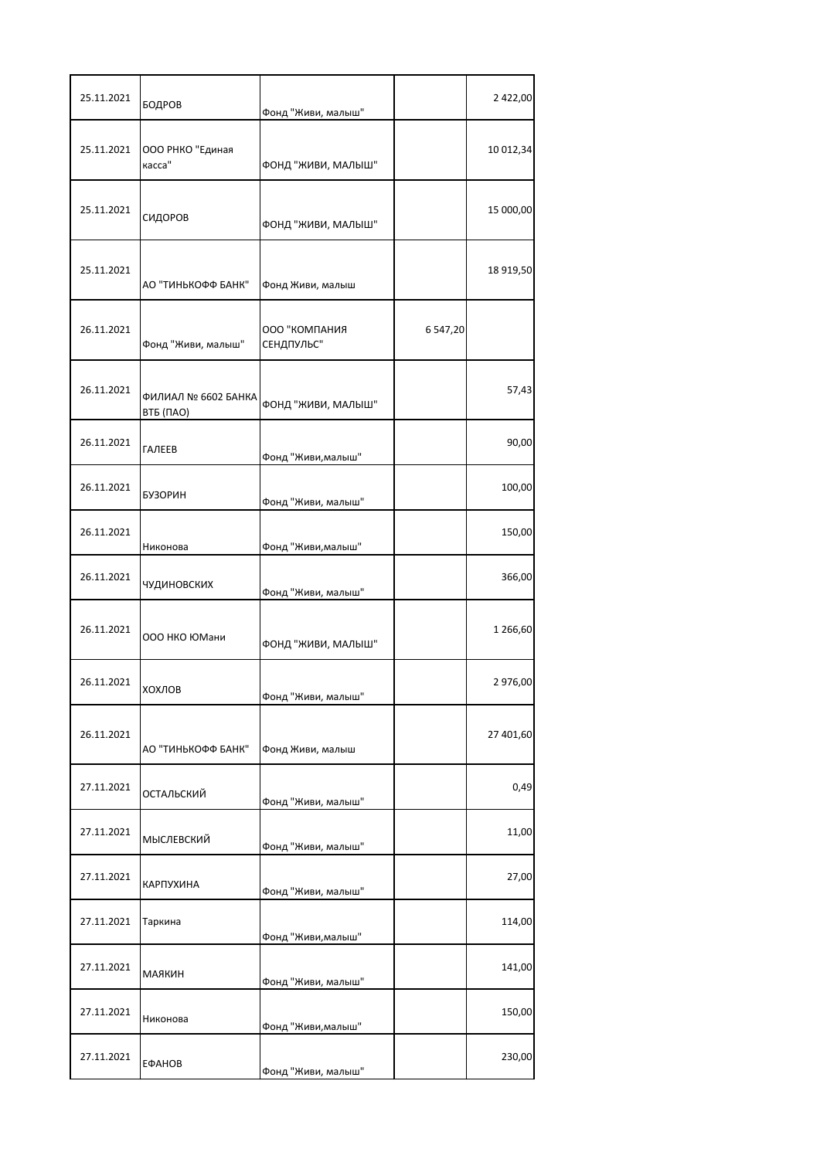| 25.11.2021 | БОДРОВ                           | Фонд "Живи, малыш"          |             | 2 422,00  |
|------------|----------------------------------|-----------------------------|-------------|-----------|
| 25.11.2021 | ООО РНКО "Единая<br>касса"       | ФОНД "ЖИВИ, МАЛЫШ"          |             | 10 012,34 |
| 25.11.2021 | СИДОРОВ                          | ФОНД "ЖИВИ, МАЛЫШ"          |             | 15 000,00 |
| 25.11.2021 | АО "ТИНЬКОФФ БАНК"               | Фонд Живи, малыш            |             | 18 919,50 |
| 26.11.2021 | Фонд "Живи, малыш"               | ООО "КОМПАНИЯ<br>СЕНДПУЛЬС" | 6 5 4 7, 20 |           |
| 26.11.2021 | ФИЛИАЛ № 6602 БАНКА<br>ВТБ (ПАО) | ФОНД "ЖИВИ, МАЛЫШ"          |             | 57,43     |
| 26.11.2021 | <b>ГАЛЕЕВ</b>                    | Фонд "Живи, малыш"          |             | 90,00     |
| 26.11.2021 | <b>БУЗОРИН</b>                   | Фонд "Живи, малыш"          |             | 100,00    |
| 26.11.2021 | Никонова                         | Фонд "Живи, малыш"          |             | 150,00    |
| 26.11.2021 | ЧУДИНОВСКИХ                      | Фонд "Живи, малыш"          |             | 366,00    |
| 26.11.2021 | ООО НКО ЮМани                    | ФОНД "ЖИВИ, МАЛЫШ"          |             | 1 266,60  |
| 26.11.2021 | ХОХЛОВ                           | Фонд "Живи, малыш"          |             | 2 976,00  |
| 26.11.2021 | АО "ТИНЬКОФФ БАНК"               | Фонд Живи, малыш            |             | 27 401,60 |
| 27.11.2021 | ОСТАЛЬСКИЙ                       | Фонд "Живи, малыш"          |             | 0,49      |
| 27.11.2021 | МЫСЛЕВСКИЙ                       | Фонд "Живи, малыш"          |             | 11,00     |
| 27.11.2021 | <b>КАРПУХИНА</b>                 | Фонд "Живи, малыш"          |             | 27,00     |
| 27.11.2021 | Таркина                          | Фонд "Живи, малыш"          |             | 114,00    |
| 27.11.2021 | <b>МАЯКИН</b>                    | Фонд "Живи, малыш"          |             | 141,00    |
| 27.11.2021 | Никонова                         | Фонд "Живи, малыш"          |             | 150,00    |
| 27.11.2021 | ЕФАНОВ                           | Фонд "Живи, малыш"          |             | 230,00    |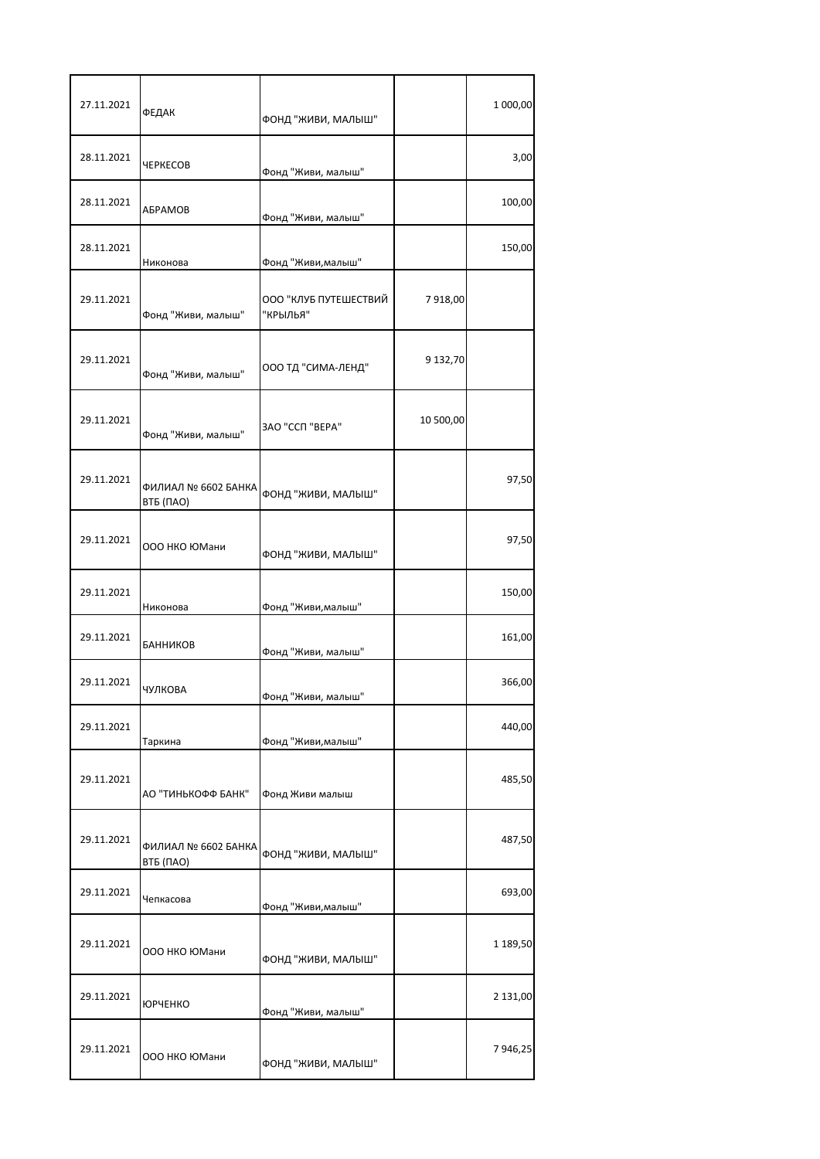| 27.11.2021 | ФЕДАК                            | ФОНД "ЖИВИ, МАЛЫШ"                |           | 1 000,00 |
|------------|----------------------------------|-----------------------------------|-----------|----------|
| 28.11.2021 | ЧЕРКЕСОВ                         | Фонд "Живи, малыш"                |           | 3,00     |
| 28.11.2021 | АБРАМОВ                          | Фонд "Живи, малыш"                |           | 100,00   |
| 28.11.2021 | Никонова                         | Фонд "Живи, малыш"                |           | 150,00   |
| 29.11.2021 | Фонд "Живи, малыш"               | ООО "КЛУБ ПУТЕШЕСТВИЙ<br>"крылья" | 7918,00   |          |
| 29.11.2021 | Фонд "Живи, малыш"               | ООО ТД "СИМА-ЛЕНД"                | 9 132,70  |          |
| 29.11.2021 | Фонд "Живи, малыш"               | ЗАО "ССП "ВЕРА"                   | 10 500,00 |          |
| 29.11.2021 | ФИЛИАЛ № 6602 БАНКА<br>ВТБ (ПАО) | ФОНД "ЖИВИ, МАЛЫШ"                |           | 97,50    |
| 29.11.2021 | ООО НКО ЮМани                    | ФОНД "ЖИВИ, МАЛЫШ"                |           | 97,50    |
| 29.11.2021 | Никонова                         | Фонд "Живи, малыш"                |           | 150,00   |
| 29.11.2021 | БАННИКОВ                         | Фонд "Живи, малыш"                |           | 161,00   |
| 29.11.2021 | ЧУЛКОВА                          | Фонд "Живи, малыш                 |           | 366,00   |
| 29.11.2021 | Таркина                          | Фонд "Живи, малыш"                |           | 440,00   |
| 29.11.2021 | АО "ТИНЬКОФФ БАНК"               | Фонд Живи малыш                   |           | 485,50   |
| 29.11.2021 | ФИЛИАЛ № 6602 БАНКА<br>ВТБ (ПАО) | ФОНД "ЖИВИ, МАЛЫШ"                |           | 487,50   |
| 29.11.2021 | Чепкасова                        | Фонд "Живи, малыш"                |           | 693,00   |
| 29.11.2021 | 000 НКО ЮМани                    | ФОНД "ЖИВИ, МАЛЫШ"                |           | 1 189,50 |
| 29.11.2021 | <b>ЮРЧЕНКО</b>                   | Фонд "Живи, малыш"                |           | 2 131,00 |
| 29.11.2021 | 000 НКО ЮМани                    | ФОНД "ЖИВИ, МАЛЫШ"                |           | 7946,25  |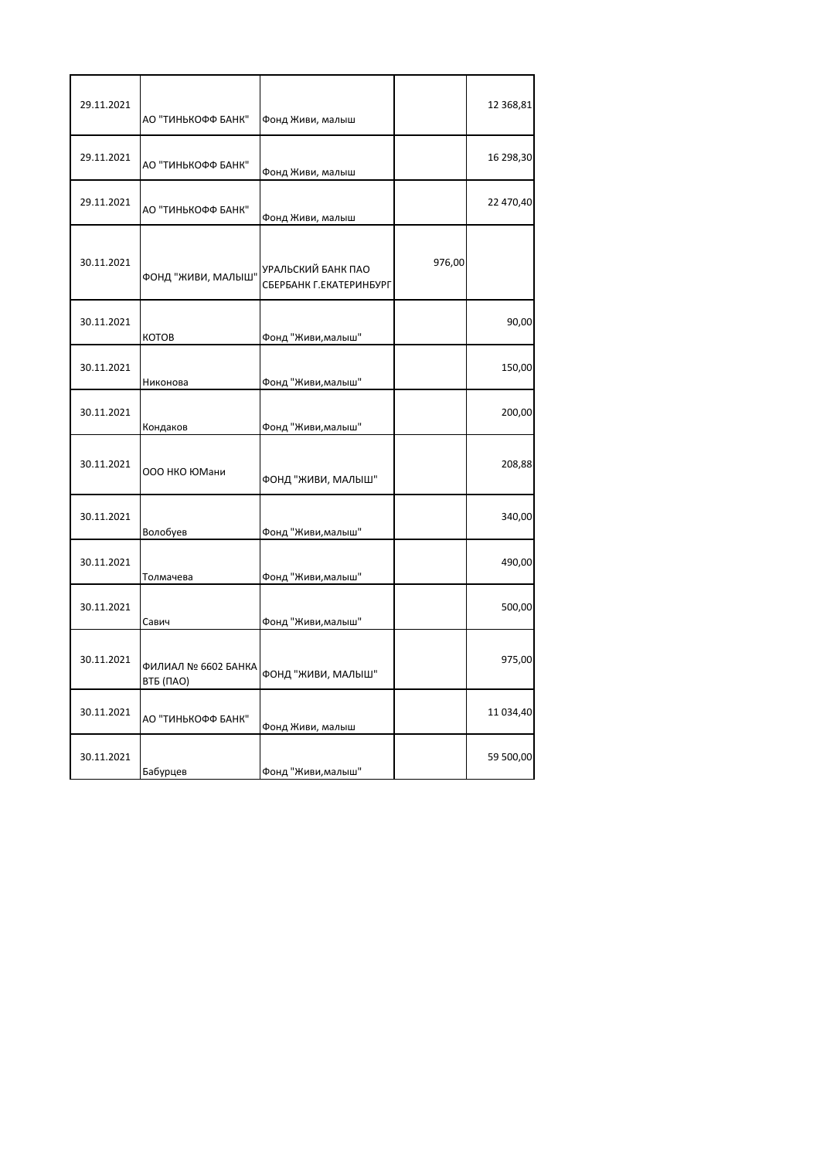| 29.11.2021 | АО "ТИНЬКОФФ БАНК"               | Фонд Живи, малыш                              |        | 12 368,81 |
|------------|----------------------------------|-----------------------------------------------|--------|-----------|
| 29.11.2021 | АО "ТИНЬКОФФ БАНК"               | Фонд Живи, малыш                              |        | 16 298,30 |
| 29.11.2021 | АО "ТИНЬКОФФ БАНК"               | Фонд Живи, малыш                              |        | 22 470,40 |
| 30.11.2021 | ФОНД "ЖИВИ, МАЛЫШ"               | УРАЛЬСКИЙ БАНК ПАО<br>СБЕРБАНК Г.ЕКАТЕРИНБУРГ | 976,00 |           |
| 30.11.2021 | <b>KOTOB</b>                     | Фонд "Живи, малыш"                            |        | 90,00     |
| 30.11.2021 | Никонова                         | Фонд "Живи,малыш"                             |        | 150,00    |
| 30.11.2021 | Кондаков                         | Фонд "Живи,малыш"                             |        | 200,00    |
| 30.11.2021 | ООО НКО ЮМани                    | ФОНД "ЖИВИ, МАЛЫШ"                            |        | 208,88    |
| 30.11.2021 | Волобуев                         | Фонд "Живи, малыш"                            |        | 340,00    |
| 30.11.2021 | Толмачева                        | Фонд "Живи,малыш"                             |        | 490,00    |
| 30.11.2021 | Савич                            | Фонд "Живи,малыш"                             |        | 500,00    |
| 30.11.2021 | ФИЛИАЛ № 6602 БАНКА<br>ВТБ (ПАО) | ФОНД "ЖИВИ, МАЛЫШ"                            |        | 975,00    |
| 30.11.2021 | АО "ТИНЬКОФФ БАНК"               | Фонд Живи, малыш                              |        | 11 034,40 |
| 30.11.2021 | <b>Бабурцев</b>                  | Фонд "Живи,малыш"                             |        | 59 500,00 |